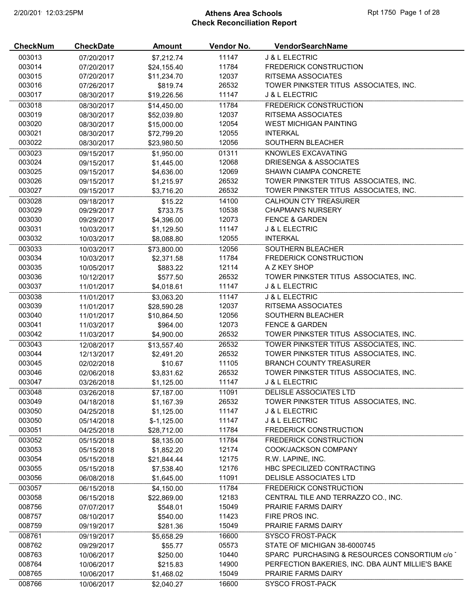# 2/20/2019 12:03:25PM **Athens Area Schools Reference 2018** Rpt 1750 Page 1 of 28 Check Reconciliation Report

| <b>CheckNum</b> | <b>CheckDate</b>         | Amount                | Vendor No. | VendorSearchName                                 |
|-----------------|--------------------------|-----------------------|------------|--------------------------------------------------|
| 003013          | 07/20/2017               | \$7,212.74            | 11147      | <b>J &amp; L ELECTRIC</b>                        |
| 003014          | 07/20/2017               | \$24,155.40           | 11784      | <b>FREDERICK CONSTRUCTION</b>                    |
| 003015          | 07/20/2017               | \$11,234.70           | 12037      | RITSEMA ASSOCIATES                               |
| 003016          | 07/26/2017               | \$819.74              | 26532      | TOWER PINKSTER TITUS ASSOCIATES, INC.            |
| 003017          | 08/30/2017               | \$19,226.56           | 11147      | <b>J &amp; L ELECTRIC</b>                        |
| 003018          | 08/30/2017               | \$14,450.00           | 11784      | <b>FREDERICK CONSTRUCTION</b>                    |
| 003019          | 08/30/2017               | \$52,039.80           | 12037      | RITSEMA ASSOCIATES                               |
| 003020          | 08/30/2017               | \$15,000.00           | 12054      | <b>WEST MICHIGAN PAINTING</b>                    |
| 003021          | 08/30/2017               | \$72,799.20           | 12055      | <b>INTERKAL</b>                                  |
| 003022          | 08/30/2017               | \$23,980.50           | 12056      | SOUTHERN BLEACHER                                |
| 003023          | 09/15/2017               | \$1,950.00            | 01311      | KNOWLES EXCAVATING                               |
| 003024          | 09/15/2017               | \$1,445.00            | 12068      | DRIESENGA & ASSOCIATES                           |
| 003025          | 09/15/2017               | \$4,636.00            | 12069      | SHAWN CIAMPA CONCRETE                            |
| 003026          | 09/15/2017               | \$1,215.97            | 26532      | TOWER PINKSTER TITUS ASSOCIATES, INC.            |
| 003027          | 09/15/2017               | \$3,716.20            | 26532      | TOWER PINKSTER TITUS ASSOCIATES, INC.            |
| 003028          | 09/18/2017               | \$15.22               | 14100      | <b>CALHOUN CTY TREASURER</b>                     |
| 003029          | 09/29/2017               | \$733.75              | 10538      | <b>CHAPMAN'S NURSERY</b>                         |
| 003030          | 09/29/2017               | \$4,396.00            | 12073      | <b>FENCE &amp; GARDEN</b>                        |
| 003031          | 10/03/2017               | \$1,129.50            | 11147      | <b>J &amp; L ELECTRIC</b>                        |
| 003032          | 10/03/2017               | \$8,088.80            | 12055      | <b>INTERKAL</b>                                  |
| 003033          | 10/03/2017               | \$73,800.00           | 12056      | SOUTHERN BLEACHER                                |
| 003034          | 10/03/2017               | \$2,371.58            | 11784      | <b>FREDERICK CONSTRUCTION</b>                    |
| 003035          | 10/05/2017               | \$883.22              | 12114      | A Z KEY SHOP                                     |
| 003036          | 10/12/2017               | \$577.50              | 26532      | TOWER PINKSTER TITUS ASSOCIATES, INC.            |
| 003037          | 11/01/2017               | \$4,018.61            | 11147      | <b>J &amp; L ELECTRIC</b>                        |
| 003038          | 11/01/2017               | \$3,063.20            | 11147      | <b>J &amp; L ELECTRIC</b>                        |
| 003039          | 11/01/2017               | \$28,590.28           | 12037      | RITSEMA ASSOCIATES                               |
| 003040          | 11/01/2017               | \$10,864.50           | 12056      | SOUTHERN BLEACHER                                |
| 003041          | 11/03/2017               | \$964.00              | 12073      | <b>FENCE &amp; GARDEN</b>                        |
| 003042          | 11/03/2017               | \$4,900.00            | 26532      | TOWER PINKSTER TITUS ASSOCIATES, INC.            |
| 003043          | 12/08/2017               | \$13,557.40           | 26532      | TOWER PINKSTER TITUS ASSOCIATES, INC.            |
| 003044          | 12/13/2017               | \$2,491.20            | 26532      | TOWER PINKSTER TITUS ASSOCIATES, INC.            |
| 003045          | 02/02/2018               | \$10.67               | 11105      | <b>BRANCH COUNTY TREASURER</b>                   |
| 003046          | 02/06/2018               | \$3,831.62            | 26532      | TOWER PINKSTER TITUS ASSOCIATES, INC.            |
| 003047          | 03/26/2018               | \$1,125.00            | 11147      | <b>J &amp; L ELECTRIC</b>                        |
| 003048          | 03/26/2018               | \$7,187.00            | 11091      | DELISLE ASSOCIATES LTD                           |
| 003049          | 04/18/2018               | \$1,167.39            | 26532      | TOWER PINKSTER TITUS ASSOCIATES, INC.            |
| 003050          | 04/25/2018               | \$1,125.00            | 11147      | <b>J &amp; L ELECTRIC</b>                        |
| 003050          | 05/14/2018               | $$-1,125.00$          | 11147      | <b>J &amp; L ELECTRIC</b>                        |
| 003051          | 04/25/2018               | \$28,712.00           | 11784      | <b>FREDERICK CONSTRUCTION</b>                    |
| 003052          | 05/15/2018               | \$8,135.00            | 11784      | <b>FREDERICK CONSTRUCTION</b>                    |
| 003053          | 05/15/2018               | \$1,852.20            | 12174      | COOK/JACKSON COMPANY                             |
| 003054          | 05/15/2018               | \$21,844.44           | 12175      | R.W. LAPINE, INC.                                |
| 003055          | 05/15/2018               | \$7,538.40            | 12176      | HBC SPECILIZED CONTRACTING                       |
| 003056          | 06/08/2018               | \$1,645.00            | 11091      | DELISLE ASSOCIATES LTD                           |
| 003057          | 06/15/2018               | \$4,150.00            | 11784      | <b>FREDERICK CONSTRUCTION</b>                    |
| 003058          | 06/15/2018               | \$22,869.00           | 12183      | CENTRAL TILE AND TERRAZZO CO., INC.              |
| 008756          | 07/07/2017               | \$548.01              | 15049      | <b>PRAIRIE FARMS DAIRY</b>                       |
| 008757          | 08/10/2017               | \$540.00              | 11423      | FIRE PROS INC.                                   |
| 008759          | 09/19/2017               | \$281.36              | 15049      | PRAIRIE FARMS DAIRY                              |
| 008761          |                          |                       | 16600      | <b>SYSCO FROST-PACK</b>                          |
| 008762          | 09/19/2017<br>09/29/2017 | \$5,658.29<br>\$55.77 | 05573      | STATE OF MICHIGAN 38-6000745                     |
| 008763          | 10/06/2017               | \$250.00              | 10440      | SPARC PURCHASING & RESOURCES CONSORTIUM c/o      |
| 008764          | 10/06/2017               | \$215.83              | 14900      | PERFECTION BAKERIES, INC. DBA AUNT MILLIE'S BAKE |
| 008765          | 10/06/2017               |                       | 15049      | <b>PRAIRIE FARMS DAIRY</b>                       |
|                 |                          | \$1,468.02            |            |                                                  |
| 008766          | 10/06/2017               | \$2,040.27            | 16600      | <b>SYSCO FROST-PACK</b>                          |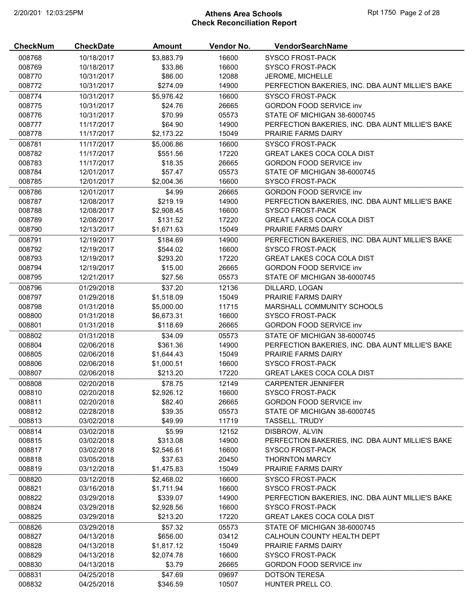# 2/20/2019 12:03:25PM **Athens Area Schools Rpt 1750 Page 2 of 28** Check Reconciliation Report

| <b>CheckNum</b> | <b>CheckDate</b> | Amount     | Vendor No. | <b>VendorSearchName</b>                          |
|-----------------|------------------|------------|------------|--------------------------------------------------|
| 008768          | 10/18/2017       | \$3,883.79 | 16600      | <b>SYSCO FROST-PACK</b>                          |
| 008769          | 10/18/2017       | \$33.86    | 16600      | <b>SYSCO FROST-PACK</b>                          |
| 008770          | 10/31/2017       | \$86.00    | 12088      | JEROME, MICHELLE                                 |
| 008772          | 10/31/2017       | \$274.09   | 14900      | PERFECTION BAKERIES, INC. DBA AUNT MILLIE'S BAKE |
| 008774          | 10/31/2017       | \$5,976.42 | 16600      | <b>SYSCO FROST-PACK</b>                          |
| 008775          | 10/31/2017       | \$24.76    | 26665      | <b>GORDON FOOD SERVICE inv</b>                   |
| 008776          | 10/31/2017       | \$70.99    | 05573      | STATE OF MICHIGAN 38-6000745                     |
| 008777          | 11/17/2017       | \$64.90    | 14900      | PERFECTION BAKERIES, INC. DBA AUNT MILLIE'S BAKE |
| 008778          | 11/17/2017       | \$2,173.22 | 15049      | <b>PRAIRIE FARMS DAIRY</b>                       |
| 008781          | 11/17/2017       | \$5,006.86 | 16600      | <b>SYSCO FROST-PACK</b>                          |
| 008782          | 11/17/2017       | \$551.56   | 17220      | <b>GREAT LAKES COCA COLA DIST</b>                |
| 008783          | 11/17/2017       | \$18.35    | 26665      | <b>GORDON FOOD SERVICE inv</b>                   |
| 008784          | 12/01/2017       | \$57.47    | 05573      | STATE OF MICHIGAN 38-6000745                     |
| 008785          | 12/01/2017       | \$2,004.36 | 16600      | <b>SYSCO FROST-PACK</b>                          |
| 008786          | 12/01/2017       | \$4.99     | 26665      | <b>GORDON FOOD SERVICE inv</b>                   |
| 008787          | 12/08/2017       | \$219.19   | 14900      | PERFECTION BAKERIES, INC. DBA AUNT MILLIE'S BAKE |
| 008788          | 12/08/2017       | \$2,908.45 | 16600      | <b>SYSCO FROST-PACK</b>                          |
|                 | 12/08/2017       |            |            |                                                  |
| 008789          |                  | \$131.52   | 17220      | <b>GREAT LAKES COCA COLA DIST</b>                |
| 008790          | 12/13/2017       | \$1,671.63 | 15049      | <b>PRAIRIE FARMS DAIRY</b>                       |
| 008791          | 12/19/2017       | \$184.69   | 14900      | PERFECTION BAKERIES, INC. DBA AUNT MILLIE'S BAKE |
| 008792          | 12/19/2017       | \$544.02   | 16600      | <b>SYSCO FROST-PACK</b>                          |
| 008793          | 12/19/2017       | \$293.20   | 17220      | <b>GREAT LAKES COCA COLA DIST</b>                |
| 008794          | 12/19/2017       | \$15.00    | 26665      | <b>GORDON FOOD SERVICE inv</b>                   |
| 008795          | 12/21/2017       | \$27.56    | 05573      | STATE OF MICHIGAN 38-6000745                     |
| 008796          | 01/29/2018       | \$37.20    | 12136      | DILLARD, LOGAN                                   |
| 008797          | 01/29/2018       | \$1,518.09 | 15049      | PRAIRIE FARMS DAIRY                              |
| 008798          | 01/31/2018       | \$5,000.00 | 11715      | MARSHALL COMMUNITY SCHOOLS                       |
| 008800          | 01/31/2018       | \$6,673.31 | 16600      | <b>SYSCO FROST-PACK</b>                          |
| 008801          | 01/31/2018       | \$118.69   | 26665      | <b>GORDON FOOD SERVICE inv</b>                   |
| 008802          | 01/31/2018       | \$34.09    | 05573      | STATE OF MICHIGAN 38-6000745                     |
| 008804          | 02/06/2018       | \$361.36   | 14900      | PERFECTION BAKERIES, INC. DBA AUNT MILLIE'S BAKE |
| 008805          | 02/06/2018       | \$1,644.43 | 15049      | <b>PRAIRIE FARMS DAIRY</b>                       |
| 008806          | 02/06/2018       | \$1,000.51 | 16600      | <b>SYSCO FROST-PACK</b>                          |
| 008807          | 02/06/2018       | \$213.20   | 17220      | <b>GREAT LAKES COCA COLA DIST</b>                |
|                 |                  |            |            |                                                  |
| 008808          | 02/20/2018       | \$78.75    | 12149      | <b>CARPENTER JENNIFER</b>                        |
| 008810          | 02/20/2018       | \$2,926.12 | 16600      | <b>SYSCO FROST-PACK</b>                          |
| 008811          | 02/20/2018       | \$82.40    | 26665      | <b>GORDON FOOD SERVICE inv</b>                   |
| 008812          | 02/28/2018       | \$39.35    | 05573      | STATE OF MICHIGAN 38-6000745                     |
| 008813          | 03/02/2018       | \$49.99    | 11719      | <b>TASSELL. TRUDY</b>                            |
| 008814          | 03/02/2018       | \$5.99     | 12152      | DISBROW, ALVIN                                   |
| 008815          | 03/02/2018       | \$313.08   | 14900      | PERFECTION BAKERIES, INC. DBA AUNT MILLIE'S BAKE |
| 008817          | 03/02/2018       | \$2,546.61 | 16600      | <b>SYSCO FROST-PACK</b>                          |
| 008818          | 03/05/2018       | \$37.63    | 20450      | <b>THORNTON MARCY</b>                            |
| 008819          | 03/12/2018       | \$1,475.83 | 15049      | <b>PRAIRIE FARMS DAIRY</b>                       |
| 008820          | 03/12/2018       | \$2,468.02 | 16600      | <b>SYSCO FROST-PACK</b>                          |
| 008821          | 03/16/2018       | \$1,711.94 | 16600      | <b>SYSCO FROST-PACK</b>                          |
| 008822          | 03/29/2018       | \$339.07   | 14900      | PERFECTION BAKERIES, INC. DBA AUNT MILLIE'S BAKE |
| 008824          | 03/29/2018       | \$2,928.56 | 16600      | <b>SYSCO FROST-PACK</b>                          |
| 008825          | 03/29/2018       | \$213.20   | 17220      | <b>GREAT LAKES COCA COLA DIST</b>                |
| 008826          | 03/29/2018       | \$57.32    | 05573      | STATE OF MICHIGAN 38-6000745                     |
|                 |                  |            |            |                                                  |
| 008827          | 04/13/2018       | \$656.00   | 03412      | CALHOUN COUNTY HEALTH DEPT                       |
| 008828          | 04/13/2018       | \$1,817.12 | 15049      | <b>PRAIRIE FARMS DAIRY</b>                       |
| 008829          | 04/13/2018       | \$2,074.78 | 16600      | SYSCO FROST-PACK                                 |
| 008830          | 04/13/2018       | \$3.79     | 26665      | <b>GORDON FOOD SERVICE inv</b>                   |
| 008831          | 04/25/2018       | \$47.69    | 09697      | <b>DOTSON TERESA</b>                             |
| 008832          | 04/25/2018       | \$346.59   | 10507      | HUNTER PRELL CO.                                 |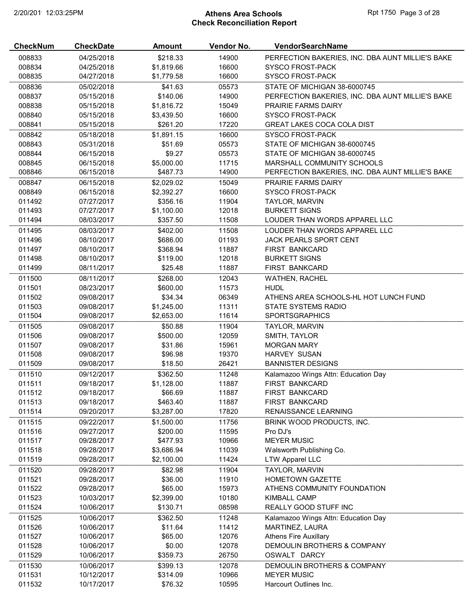# 2/20/2019 12:03:25PM **Athens Area Schools Rpt 1750 Page 3 of 28** Check Reconciliation Report

| \$218.33<br>008833<br>14900<br>PERFECTION BAKERIES, INC. DBA AUNT MILLIE'S BAKE<br>04/25/2018<br>008834<br>\$1,819.66<br>16600<br>04/25/2018<br><b>SYSCO FROST-PACK</b><br>008835<br>\$1,779.58<br>16600<br>04/27/2018<br><b>SYSCO FROST-PACK</b><br>008836<br>\$41.63<br>05573<br>STATE OF MICHIGAN 38-6000745<br>05/02/2018<br>008837<br>\$140.06<br>14900<br>05/15/2018<br>PERFECTION BAKERIES, INC. DBA AUNT MILLIE'S BAKE<br>008838<br>15049<br>05/15/2018<br>\$1,816.72<br><b>PRAIRIE FARMS DAIRY</b><br>16600<br>008840<br>05/15/2018<br>\$3,439.50<br><b>SYSCO FROST-PACK</b><br>\$261.20<br>17220<br>008841<br>05/15/2018<br><b>GREAT LAKES COCA COLA DIST</b><br>008842<br>05/18/2018<br>\$1,891.15<br>16600<br><b>SYSCO FROST-PACK</b><br>008843<br>05/31/2018<br>\$51.69<br>05573<br>STATE OF MICHIGAN 38-6000745<br>008844<br>\$9.27<br>05573<br>STATE OF MICHIGAN 38-6000745<br>06/15/2018<br>008845<br>\$5,000.00<br>11715<br>06/15/2018<br>MARSHALL COMMUNITY SCHOOLS<br>008846<br>\$487.73<br>14900<br>06/15/2018<br>PERFECTION BAKERIES, INC. DBA AUNT MILLIE'S BAKE<br>008847<br>06/15/2018<br>\$2,029.02<br>15049<br>PRAIRIE FARMS DAIRY<br>16600<br>008849<br>06/15/2018<br>\$2,392.27<br><b>SYSCO FROST-PACK</b><br>\$356.16<br>11904<br>011492<br>07/27/2017<br><b>TAYLOR, MARVIN</b><br>12018<br><b>BURKETT SIGNS</b><br>011493<br>07/27/2017<br>\$1,100.00<br>011494<br>\$357.50<br>11508<br>LOUDER THAN WORDS APPAREL LLC<br>08/03/2017<br>011495<br>\$402.00<br>11508<br>08/03/2017<br>LOUDER THAN WORDS APPAREL LLC<br>\$686.00<br>01193<br>011496<br>JACK PEARLS SPORT CENT<br>08/10/2017<br>\$368.94<br>11887<br>011497<br>08/10/2017<br><b>FIRST BANKCARD</b><br>12018<br>011498<br>08/10/2017<br>\$119.00<br><b>BURKETT SIGNS</b><br>\$25.48<br>11887<br>011499<br>08/11/2017<br>FIRST BANKCARD<br>12043<br>011500<br>08/11/2017<br>\$268.00<br>WATHEN, RACHEL<br>011501<br>\$600.00<br>11573<br><b>HUDL</b><br>08/23/2017<br>\$34.34<br>06349<br>011502<br>09/08/2017<br>ATHENS AREA SCHOOLS-HL HOT LUNCH FUND<br>011503<br>09/08/2017<br>\$1,245.00<br>11311<br>STATE SYSTEMS RADIO<br>11614<br>011504<br>09/08/2017<br>\$2,653.00<br><b>SPORTSGRAPHICS</b><br>011505<br>09/08/2017<br>\$50.88<br>11904<br>TAYLOR, MARVIN<br>011506<br>\$500.00<br>12059<br>09/08/2017<br>SMITH, TAYLOR<br>011507<br>\$31.86<br>15961<br>09/08/2017<br><b>MORGAN MARY</b><br>\$96.98<br>19370<br>011508<br>09/08/2017<br>HARVEY SUSAN<br>011509<br>\$18.50<br>26421<br><b>BANNISTER DESIGNS</b><br>09/08/2017<br>011510<br>\$362.50<br>11248<br>Kalamazoo Wings Attn: Education Day<br>09/12/2017<br>011511<br>\$1,128.00<br>11887<br>FIRST BANKCARD<br>09/18/2017<br>\$66.69<br>011512<br>09/18/2017<br>11887<br>FIRST BANKCARD<br>011513<br>\$463.40<br>11887<br>FIRST BANKCARD<br>09/18/2017<br>011514<br>17820<br>09/20/2017<br>\$3,287.00<br>RENAISSANCE LEARNING<br>011515<br>09/22/2017<br>\$1,500.00<br>11756<br>BRINK WOOD PRODUCTS, INC.<br>011516<br>09/27/2017<br>\$200.00<br>11595<br>Pro DJ's<br>011517<br>\$477.93<br>10966<br><b>MEYER MUSIC</b><br>09/28/2017<br>011518<br>11039<br>09/28/2017<br>\$3,686.94<br>Walsworth Publishing Co.<br>11424<br>011519<br>09/28/2017<br>\$2,100.00<br><b>LTW Apparel LLC</b><br>011520<br>09/28/2017<br>\$82.98<br>11904<br>TAYLOR, MARVIN<br>011521<br>09/28/2017<br>\$36.00<br>11910<br><b>HOMETOWN GAZETTE</b><br>011522<br>\$65.00<br>15973<br>ATHENS COMMUNITY FOUNDATION<br>09/28/2017<br>10180<br>011523<br>\$2,399.00<br>KIMBALL CAMP<br>10/03/2017<br>011524<br>\$130.71<br>08598<br>REALLY GOOD STUFF INC<br>10/06/2017<br>011525<br>10/06/2017<br>\$362.50<br>11248<br>Kalamazoo Wings Attn: Education Day<br>011526<br>10/06/2017<br>\$11.64<br>11412<br>MARTINEZ, LAURA<br>011527<br>\$65.00<br>12076<br>10/06/2017<br><b>Athens Fire Auxillary</b><br>011528<br>\$0.00<br>12078<br>DEMOULIN BROTHERS & COMPANY<br>10/06/2017<br>011529<br>\$359.73<br>26750<br>OSWALT DARCY<br>10/06/2017<br>12078<br>011530<br>10/06/2017<br>\$399.13<br>DEMOULIN BROTHERS & COMPANY<br>011531<br>\$314.09<br>10966<br><b>MEYER MUSIC</b><br>10/12/2017<br>011532<br>Harcourt Outlines Inc.<br>10/17/2017<br>\$76.32<br>10595 | <b>CheckNum</b> | <b>CheckDate</b> | <b>Amount</b> | Vendor No. | VendorSearchName |
|------------------------------------------------------------------------------------------------------------------------------------------------------------------------------------------------------------------------------------------------------------------------------------------------------------------------------------------------------------------------------------------------------------------------------------------------------------------------------------------------------------------------------------------------------------------------------------------------------------------------------------------------------------------------------------------------------------------------------------------------------------------------------------------------------------------------------------------------------------------------------------------------------------------------------------------------------------------------------------------------------------------------------------------------------------------------------------------------------------------------------------------------------------------------------------------------------------------------------------------------------------------------------------------------------------------------------------------------------------------------------------------------------------------------------------------------------------------------------------------------------------------------------------------------------------------------------------------------------------------------------------------------------------------------------------------------------------------------------------------------------------------------------------------------------------------------------------------------------------------------------------------------------------------------------------------------------------------------------------------------------------------------------------------------------------------------------------------------------------------------------------------------------------------------------------------------------------------------------------------------------------------------------------------------------------------------------------------------------------------------------------------------------------------------------------------------------------------------------------------------------------------------------------------------------------------------------------------------------------------------------------------------------------------------------------------------------------------------------------------------------------------------------------------------------------------------------------------------------------------------------------------------------------------------------------------------------------------------------------------------------------------------------------------------------------------------------------------------------------------------------------------------------------------------------------------------------------------------------------------------------------------------------------------------------------------------------------------------------------------------------------------------------------------------------------------------------------------------------------------------------------------------------------------------------------------------------------------------------------------------------------------------------------------------------------------------------------------------------------------------------------------------------------------------------------------------------------------------------------------------------------------------------------------------------------------------------------------------------------------------------------------------------------------------------------------------------------------------------------------------------------------------------------------------------------------------------|-----------------|------------------|---------------|------------|------------------|
|                                                                                                                                                                                                                                                                                                                                                                                                                                                                                                                                                                                                                                                                                                                                                                                                                                                                                                                                                                                                                                                                                                                                                                                                                                                                                                                                                                                                                                                                                                                                                                                                                                                                                                                                                                                                                                                                                                                                                                                                                                                                                                                                                                                                                                                                                                                                                                                                                                                                                                                                                                                                                                                                                                                                                                                                                                                                                                                                                                                                                                                                                                                                                                                                                                                                                                                                                                                                                                                                                                                                                                                                                                                                                                                                                                                                                                                                                                                                                                                                                                                                                                                                                                                                      |                 |                  |               |            |                  |
|                                                                                                                                                                                                                                                                                                                                                                                                                                                                                                                                                                                                                                                                                                                                                                                                                                                                                                                                                                                                                                                                                                                                                                                                                                                                                                                                                                                                                                                                                                                                                                                                                                                                                                                                                                                                                                                                                                                                                                                                                                                                                                                                                                                                                                                                                                                                                                                                                                                                                                                                                                                                                                                                                                                                                                                                                                                                                                                                                                                                                                                                                                                                                                                                                                                                                                                                                                                                                                                                                                                                                                                                                                                                                                                                                                                                                                                                                                                                                                                                                                                                                                                                                                                                      |                 |                  |               |            |                  |
|                                                                                                                                                                                                                                                                                                                                                                                                                                                                                                                                                                                                                                                                                                                                                                                                                                                                                                                                                                                                                                                                                                                                                                                                                                                                                                                                                                                                                                                                                                                                                                                                                                                                                                                                                                                                                                                                                                                                                                                                                                                                                                                                                                                                                                                                                                                                                                                                                                                                                                                                                                                                                                                                                                                                                                                                                                                                                                                                                                                                                                                                                                                                                                                                                                                                                                                                                                                                                                                                                                                                                                                                                                                                                                                                                                                                                                                                                                                                                                                                                                                                                                                                                                                                      |                 |                  |               |            |                  |
|                                                                                                                                                                                                                                                                                                                                                                                                                                                                                                                                                                                                                                                                                                                                                                                                                                                                                                                                                                                                                                                                                                                                                                                                                                                                                                                                                                                                                                                                                                                                                                                                                                                                                                                                                                                                                                                                                                                                                                                                                                                                                                                                                                                                                                                                                                                                                                                                                                                                                                                                                                                                                                                                                                                                                                                                                                                                                                                                                                                                                                                                                                                                                                                                                                                                                                                                                                                                                                                                                                                                                                                                                                                                                                                                                                                                                                                                                                                                                                                                                                                                                                                                                                                                      |                 |                  |               |            |                  |
|                                                                                                                                                                                                                                                                                                                                                                                                                                                                                                                                                                                                                                                                                                                                                                                                                                                                                                                                                                                                                                                                                                                                                                                                                                                                                                                                                                                                                                                                                                                                                                                                                                                                                                                                                                                                                                                                                                                                                                                                                                                                                                                                                                                                                                                                                                                                                                                                                                                                                                                                                                                                                                                                                                                                                                                                                                                                                                                                                                                                                                                                                                                                                                                                                                                                                                                                                                                                                                                                                                                                                                                                                                                                                                                                                                                                                                                                                                                                                                                                                                                                                                                                                                                                      |                 |                  |               |            |                  |
|                                                                                                                                                                                                                                                                                                                                                                                                                                                                                                                                                                                                                                                                                                                                                                                                                                                                                                                                                                                                                                                                                                                                                                                                                                                                                                                                                                                                                                                                                                                                                                                                                                                                                                                                                                                                                                                                                                                                                                                                                                                                                                                                                                                                                                                                                                                                                                                                                                                                                                                                                                                                                                                                                                                                                                                                                                                                                                                                                                                                                                                                                                                                                                                                                                                                                                                                                                                                                                                                                                                                                                                                                                                                                                                                                                                                                                                                                                                                                                                                                                                                                                                                                                                                      |                 |                  |               |            |                  |
|                                                                                                                                                                                                                                                                                                                                                                                                                                                                                                                                                                                                                                                                                                                                                                                                                                                                                                                                                                                                                                                                                                                                                                                                                                                                                                                                                                                                                                                                                                                                                                                                                                                                                                                                                                                                                                                                                                                                                                                                                                                                                                                                                                                                                                                                                                                                                                                                                                                                                                                                                                                                                                                                                                                                                                                                                                                                                                                                                                                                                                                                                                                                                                                                                                                                                                                                                                                                                                                                                                                                                                                                                                                                                                                                                                                                                                                                                                                                                                                                                                                                                                                                                                                                      |                 |                  |               |            |                  |
|                                                                                                                                                                                                                                                                                                                                                                                                                                                                                                                                                                                                                                                                                                                                                                                                                                                                                                                                                                                                                                                                                                                                                                                                                                                                                                                                                                                                                                                                                                                                                                                                                                                                                                                                                                                                                                                                                                                                                                                                                                                                                                                                                                                                                                                                                                                                                                                                                                                                                                                                                                                                                                                                                                                                                                                                                                                                                                                                                                                                                                                                                                                                                                                                                                                                                                                                                                                                                                                                                                                                                                                                                                                                                                                                                                                                                                                                                                                                                                                                                                                                                                                                                                                                      |                 |                  |               |            |                  |
|                                                                                                                                                                                                                                                                                                                                                                                                                                                                                                                                                                                                                                                                                                                                                                                                                                                                                                                                                                                                                                                                                                                                                                                                                                                                                                                                                                                                                                                                                                                                                                                                                                                                                                                                                                                                                                                                                                                                                                                                                                                                                                                                                                                                                                                                                                                                                                                                                                                                                                                                                                                                                                                                                                                                                                                                                                                                                                                                                                                                                                                                                                                                                                                                                                                                                                                                                                                                                                                                                                                                                                                                                                                                                                                                                                                                                                                                                                                                                                                                                                                                                                                                                                                                      |                 |                  |               |            |                  |
|                                                                                                                                                                                                                                                                                                                                                                                                                                                                                                                                                                                                                                                                                                                                                                                                                                                                                                                                                                                                                                                                                                                                                                                                                                                                                                                                                                                                                                                                                                                                                                                                                                                                                                                                                                                                                                                                                                                                                                                                                                                                                                                                                                                                                                                                                                                                                                                                                                                                                                                                                                                                                                                                                                                                                                                                                                                                                                                                                                                                                                                                                                                                                                                                                                                                                                                                                                                                                                                                                                                                                                                                                                                                                                                                                                                                                                                                                                                                                                                                                                                                                                                                                                                                      |                 |                  |               |            |                  |
|                                                                                                                                                                                                                                                                                                                                                                                                                                                                                                                                                                                                                                                                                                                                                                                                                                                                                                                                                                                                                                                                                                                                                                                                                                                                                                                                                                                                                                                                                                                                                                                                                                                                                                                                                                                                                                                                                                                                                                                                                                                                                                                                                                                                                                                                                                                                                                                                                                                                                                                                                                                                                                                                                                                                                                                                                                                                                                                                                                                                                                                                                                                                                                                                                                                                                                                                                                                                                                                                                                                                                                                                                                                                                                                                                                                                                                                                                                                                                                                                                                                                                                                                                                                                      |                 |                  |               |            |                  |
|                                                                                                                                                                                                                                                                                                                                                                                                                                                                                                                                                                                                                                                                                                                                                                                                                                                                                                                                                                                                                                                                                                                                                                                                                                                                                                                                                                                                                                                                                                                                                                                                                                                                                                                                                                                                                                                                                                                                                                                                                                                                                                                                                                                                                                                                                                                                                                                                                                                                                                                                                                                                                                                                                                                                                                                                                                                                                                                                                                                                                                                                                                                                                                                                                                                                                                                                                                                                                                                                                                                                                                                                                                                                                                                                                                                                                                                                                                                                                                                                                                                                                                                                                                                                      |                 |                  |               |            |                  |
|                                                                                                                                                                                                                                                                                                                                                                                                                                                                                                                                                                                                                                                                                                                                                                                                                                                                                                                                                                                                                                                                                                                                                                                                                                                                                                                                                                                                                                                                                                                                                                                                                                                                                                                                                                                                                                                                                                                                                                                                                                                                                                                                                                                                                                                                                                                                                                                                                                                                                                                                                                                                                                                                                                                                                                                                                                                                                                                                                                                                                                                                                                                                                                                                                                                                                                                                                                                                                                                                                                                                                                                                                                                                                                                                                                                                                                                                                                                                                                                                                                                                                                                                                                                                      |                 |                  |               |            |                  |
|                                                                                                                                                                                                                                                                                                                                                                                                                                                                                                                                                                                                                                                                                                                                                                                                                                                                                                                                                                                                                                                                                                                                                                                                                                                                                                                                                                                                                                                                                                                                                                                                                                                                                                                                                                                                                                                                                                                                                                                                                                                                                                                                                                                                                                                                                                                                                                                                                                                                                                                                                                                                                                                                                                                                                                                                                                                                                                                                                                                                                                                                                                                                                                                                                                                                                                                                                                                                                                                                                                                                                                                                                                                                                                                                                                                                                                                                                                                                                                                                                                                                                                                                                                                                      |                 |                  |               |            |                  |
|                                                                                                                                                                                                                                                                                                                                                                                                                                                                                                                                                                                                                                                                                                                                                                                                                                                                                                                                                                                                                                                                                                                                                                                                                                                                                                                                                                                                                                                                                                                                                                                                                                                                                                                                                                                                                                                                                                                                                                                                                                                                                                                                                                                                                                                                                                                                                                                                                                                                                                                                                                                                                                                                                                                                                                                                                                                                                                                                                                                                                                                                                                                                                                                                                                                                                                                                                                                                                                                                                                                                                                                                                                                                                                                                                                                                                                                                                                                                                                                                                                                                                                                                                                                                      |                 |                  |               |            |                  |
|                                                                                                                                                                                                                                                                                                                                                                                                                                                                                                                                                                                                                                                                                                                                                                                                                                                                                                                                                                                                                                                                                                                                                                                                                                                                                                                                                                                                                                                                                                                                                                                                                                                                                                                                                                                                                                                                                                                                                                                                                                                                                                                                                                                                                                                                                                                                                                                                                                                                                                                                                                                                                                                                                                                                                                                                                                                                                                                                                                                                                                                                                                                                                                                                                                                                                                                                                                                                                                                                                                                                                                                                                                                                                                                                                                                                                                                                                                                                                                                                                                                                                                                                                                                                      |                 |                  |               |            |                  |
|                                                                                                                                                                                                                                                                                                                                                                                                                                                                                                                                                                                                                                                                                                                                                                                                                                                                                                                                                                                                                                                                                                                                                                                                                                                                                                                                                                                                                                                                                                                                                                                                                                                                                                                                                                                                                                                                                                                                                                                                                                                                                                                                                                                                                                                                                                                                                                                                                                                                                                                                                                                                                                                                                                                                                                                                                                                                                                                                                                                                                                                                                                                                                                                                                                                                                                                                                                                                                                                                                                                                                                                                                                                                                                                                                                                                                                                                                                                                                                                                                                                                                                                                                                                                      |                 |                  |               |            |                  |
|                                                                                                                                                                                                                                                                                                                                                                                                                                                                                                                                                                                                                                                                                                                                                                                                                                                                                                                                                                                                                                                                                                                                                                                                                                                                                                                                                                                                                                                                                                                                                                                                                                                                                                                                                                                                                                                                                                                                                                                                                                                                                                                                                                                                                                                                                                                                                                                                                                                                                                                                                                                                                                                                                                                                                                                                                                                                                                                                                                                                                                                                                                                                                                                                                                                                                                                                                                                                                                                                                                                                                                                                                                                                                                                                                                                                                                                                                                                                                                                                                                                                                                                                                                                                      |                 |                  |               |            |                  |
|                                                                                                                                                                                                                                                                                                                                                                                                                                                                                                                                                                                                                                                                                                                                                                                                                                                                                                                                                                                                                                                                                                                                                                                                                                                                                                                                                                                                                                                                                                                                                                                                                                                                                                                                                                                                                                                                                                                                                                                                                                                                                                                                                                                                                                                                                                                                                                                                                                                                                                                                                                                                                                                                                                                                                                                                                                                                                                                                                                                                                                                                                                                                                                                                                                                                                                                                                                                                                                                                                                                                                                                                                                                                                                                                                                                                                                                                                                                                                                                                                                                                                                                                                                                                      |                 |                  |               |            |                  |
|                                                                                                                                                                                                                                                                                                                                                                                                                                                                                                                                                                                                                                                                                                                                                                                                                                                                                                                                                                                                                                                                                                                                                                                                                                                                                                                                                                                                                                                                                                                                                                                                                                                                                                                                                                                                                                                                                                                                                                                                                                                                                                                                                                                                                                                                                                                                                                                                                                                                                                                                                                                                                                                                                                                                                                                                                                                                                                                                                                                                                                                                                                                                                                                                                                                                                                                                                                                                                                                                                                                                                                                                                                                                                                                                                                                                                                                                                                                                                                                                                                                                                                                                                                                                      |                 |                  |               |            |                  |
|                                                                                                                                                                                                                                                                                                                                                                                                                                                                                                                                                                                                                                                                                                                                                                                                                                                                                                                                                                                                                                                                                                                                                                                                                                                                                                                                                                                                                                                                                                                                                                                                                                                                                                                                                                                                                                                                                                                                                                                                                                                                                                                                                                                                                                                                                                                                                                                                                                                                                                                                                                                                                                                                                                                                                                                                                                                                                                                                                                                                                                                                                                                                                                                                                                                                                                                                                                                                                                                                                                                                                                                                                                                                                                                                                                                                                                                                                                                                                                                                                                                                                                                                                                                                      |                 |                  |               |            |                  |
|                                                                                                                                                                                                                                                                                                                                                                                                                                                                                                                                                                                                                                                                                                                                                                                                                                                                                                                                                                                                                                                                                                                                                                                                                                                                                                                                                                                                                                                                                                                                                                                                                                                                                                                                                                                                                                                                                                                                                                                                                                                                                                                                                                                                                                                                                                                                                                                                                                                                                                                                                                                                                                                                                                                                                                                                                                                                                                                                                                                                                                                                                                                                                                                                                                                                                                                                                                                                                                                                                                                                                                                                                                                                                                                                                                                                                                                                                                                                                                                                                                                                                                                                                                                                      |                 |                  |               |            |                  |
|                                                                                                                                                                                                                                                                                                                                                                                                                                                                                                                                                                                                                                                                                                                                                                                                                                                                                                                                                                                                                                                                                                                                                                                                                                                                                                                                                                                                                                                                                                                                                                                                                                                                                                                                                                                                                                                                                                                                                                                                                                                                                                                                                                                                                                                                                                                                                                                                                                                                                                                                                                                                                                                                                                                                                                                                                                                                                                                                                                                                                                                                                                                                                                                                                                                                                                                                                                                                                                                                                                                                                                                                                                                                                                                                                                                                                                                                                                                                                                                                                                                                                                                                                                                                      |                 |                  |               |            |                  |
|                                                                                                                                                                                                                                                                                                                                                                                                                                                                                                                                                                                                                                                                                                                                                                                                                                                                                                                                                                                                                                                                                                                                                                                                                                                                                                                                                                                                                                                                                                                                                                                                                                                                                                                                                                                                                                                                                                                                                                                                                                                                                                                                                                                                                                                                                                                                                                                                                                                                                                                                                                                                                                                                                                                                                                                                                                                                                                                                                                                                                                                                                                                                                                                                                                                                                                                                                                                                                                                                                                                                                                                                                                                                                                                                                                                                                                                                                                                                                                                                                                                                                                                                                                                                      |                 |                  |               |            |                  |
|                                                                                                                                                                                                                                                                                                                                                                                                                                                                                                                                                                                                                                                                                                                                                                                                                                                                                                                                                                                                                                                                                                                                                                                                                                                                                                                                                                                                                                                                                                                                                                                                                                                                                                                                                                                                                                                                                                                                                                                                                                                                                                                                                                                                                                                                                                                                                                                                                                                                                                                                                                                                                                                                                                                                                                                                                                                                                                                                                                                                                                                                                                                                                                                                                                                                                                                                                                                                                                                                                                                                                                                                                                                                                                                                                                                                                                                                                                                                                                                                                                                                                                                                                                                                      |                 |                  |               |            |                  |
|                                                                                                                                                                                                                                                                                                                                                                                                                                                                                                                                                                                                                                                                                                                                                                                                                                                                                                                                                                                                                                                                                                                                                                                                                                                                                                                                                                                                                                                                                                                                                                                                                                                                                                                                                                                                                                                                                                                                                                                                                                                                                                                                                                                                                                                                                                                                                                                                                                                                                                                                                                                                                                                                                                                                                                                                                                                                                                                                                                                                                                                                                                                                                                                                                                                                                                                                                                                                                                                                                                                                                                                                                                                                                                                                                                                                                                                                                                                                                                                                                                                                                                                                                                                                      |                 |                  |               |            |                  |
|                                                                                                                                                                                                                                                                                                                                                                                                                                                                                                                                                                                                                                                                                                                                                                                                                                                                                                                                                                                                                                                                                                                                                                                                                                                                                                                                                                                                                                                                                                                                                                                                                                                                                                                                                                                                                                                                                                                                                                                                                                                                                                                                                                                                                                                                                                                                                                                                                                                                                                                                                                                                                                                                                                                                                                                                                                                                                                                                                                                                                                                                                                                                                                                                                                                                                                                                                                                                                                                                                                                                                                                                                                                                                                                                                                                                                                                                                                                                                                                                                                                                                                                                                                                                      |                 |                  |               |            |                  |
|                                                                                                                                                                                                                                                                                                                                                                                                                                                                                                                                                                                                                                                                                                                                                                                                                                                                                                                                                                                                                                                                                                                                                                                                                                                                                                                                                                                                                                                                                                                                                                                                                                                                                                                                                                                                                                                                                                                                                                                                                                                                                                                                                                                                                                                                                                                                                                                                                                                                                                                                                                                                                                                                                                                                                                                                                                                                                                                                                                                                                                                                                                                                                                                                                                                                                                                                                                                                                                                                                                                                                                                                                                                                                                                                                                                                                                                                                                                                                                                                                                                                                                                                                                                                      |                 |                  |               |            |                  |
|                                                                                                                                                                                                                                                                                                                                                                                                                                                                                                                                                                                                                                                                                                                                                                                                                                                                                                                                                                                                                                                                                                                                                                                                                                                                                                                                                                                                                                                                                                                                                                                                                                                                                                                                                                                                                                                                                                                                                                                                                                                                                                                                                                                                                                                                                                                                                                                                                                                                                                                                                                                                                                                                                                                                                                                                                                                                                                                                                                                                                                                                                                                                                                                                                                                                                                                                                                                                                                                                                                                                                                                                                                                                                                                                                                                                                                                                                                                                                                                                                                                                                                                                                                                                      |                 |                  |               |            |                  |
|                                                                                                                                                                                                                                                                                                                                                                                                                                                                                                                                                                                                                                                                                                                                                                                                                                                                                                                                                                                                                                                                                                                                                                                                                                                                                                                                                                                                                                                                                                                                                                                                                                                                                                                                                                                                                                                                                                                                                                                                                                                                                                                                                                                                                                                                                                                                                                                                                                                                                                                                                                                                                                                                                                                                                                                                                                                                                                                                                                                                                                                                                                                                                                                                                                                                                                                                                                                                                                                                                                                                                                                                                                                                                                                                                                                                                                                                                                                                                                                                                                                                                                                                                                                                      |                 |                  |               |            |                  |
|                                                                                                                                                                                                                                                                                                                                                                                                                                                                                                                                                                                                                                                                                                                                                                                                                                                                                                                                                                                                                                                                                                                                                                                                                                                                                                                                                                                                                                                                                                                                                                                                                                                                                                                                                                                                                                                                                                                                                                                                                                                                                                                                                                                                                                                                                                                                                                                                                                                                                                                                                                                                                                                                                                                                                                                                                                                                                                                                                                                                                                                                                                                                                                                                                                                                                                                                                                                                                                                                                                                                                                                                                                                                                                                                                                                                                                                                                                                                                                                                                                                                                                                                                                                                      |                 |                  |               |            |                  |
|                                                                                                                                                                                                                                                                                                                                                                                                                                                                                                                                                                                                                                                                                                                                                                                                                                                                                                                                                                                                                                                                                                                                                                                                                                                                                                                                                                                                                                                                                                                                                                                                                                                                                                                                                                                                                                                                                                                                                                                                                                                                                                                                                                                                                                                                                                                                                                                                                                                                                                                                                                                                                                                                                                                                                                                                                                                                                                                                                                                                                                                                                                                                                                                                                                                                                                                                                                                                                                                                                                                                                                                                                                                                                                                                                                                                                                                                                                                                                                                                                                                                                                                                                                                                      |                 |                  |               |            |                  |
|                                                                                                                                                                                                                                                                                                                                                                                                                                                                                                                                                                                                                                                                                                                                                                                                                                                                                                                                                                                                                                                                                                                                                                                                                                                                                                                                                                                                                                                                                                                                                                                                                                                                                                                                                                                                                                                                                                                                                                                                                                                                                                                                                                                                                                                                                                                                                                                                                                                                                                                                                                                                                                                                                                                                                                                                                                                                                                                                                                                                                                                                                                                                                                                                                                                                                                                                                                                                                                                                                                                                                                                                                                                                                                                                                                                                                                                                                                                                                                                                                                                                                                                                                                                                      |                 |                  |               |            |                  |
|                                                                                                                                                                                                                                                                                                                                                                                                                                                                                                                                                                                                                                                                                                                                                                                                                                                                                                                                                                                                                                                                                                                                                                                                                                                                                                                                                                                                                                                                                                                                                                                                                                                                                                                                                                                                                                                                                                                                                                                                                                                                                                                                                                                                                                                                                                                                                                                                                                                                                                                                                                                                                                                                                                                                                                                                                                                                                                                                                                                                                                                                                                                                                                                                                                                                                                                                                                                                                                                                                                                                                                                                                                                                                                                                                                                                                                                                                                                                                                                                                                                                                                                                                                                                      |                 |                  |               |            |                  |
|                                                                                                                                                                                                                                                                                                                                                                                                                                                                                                                                                                                                                                                                                                                                                                                                                                                                                                                                                                                                                                                                                                                                                                                                                                                                                                                                                                                                                                                                                                                                                                                                                                                                                                                                                                                                                                                                                                                                                                                                                                                                                                                                                                                                                                                                                                                                                                                                                                                                                                                                                                                                                                                                                                                                                                                                                                                                                                                                                                                                                                                                                                                                                                                                                                                                                                                                                                                                                                                                                                                                                                                                                                                                                                                                                                                                                                                                                                                                                                                                                                                                                                                                                                                                      |                 |                  |               |            |                  |
|                                                                                                                                                                                                                                                                                                                                                                                                                                                                                                                                                                                                                                                                                                                                                                                                                                                                                                                                                                                                                                                                                                                                                                                                                                                                                                                                                                                                                                                                                                                                                                                                                                                                                                                                                                                                                                                                                                                                                                                                                                                                                                                                                                                                                                                                                                                                                                                                                                                                                                                                                                                                                                                                                                                                                                                                                                                                                                                                                                                                                                                                                                                                                                                                                                                                                                                                                                                                                                                                                                                                                                                                                                                                                                                                                                                                                                                                                                                                                                                                                                                                                                                                                                                                      |                 |                  |               |            |                  |
|                                                                                                                                                                                                                                                                                                                                                                                                                                                                                                                                                                                                                                                                                                                                                                                                                                                                                                                                                                                                                                                                                                                                                                                                                                                                                                                                                                                                                                                                                                                                                                                                                                                                                                                                                                                                                                                                                                                                                                                                                                                                                                                                                                                                                                                                                                                                                                                                                                                                                                                                                                                                                                                                                                                                                                                                                                                                                                                                                                                                                                                                                                                                                                                                                                                                                                                                                                                                                                                                                                                                                                                                                                                                                                                                                                                                                                                                                                                                                                                                                                                                                                                                                                                                      |                 |                  |               |            |                  |
|                                                                                                                                                                                                                                                                                                                                                                                                                                                                                                                                                                                                                                                                                                                                                                                                                                                                                                                                                                                                                                                                                                                                                                                                                                                                                                                                                                                                                                                                                                                                                                                                                                                                                                                                                                                                                                                                                                                                                                                                                                                                                                                                                                                                                                                                                                                                                                                                                                                                                                                                                                                                                                                                                                                                                                                                                                                                                                                                                                                                                                                                                                                                                                                                                                                                                                                                                                                                                                                                                                                                                                                                                                                                                                                                                                                                                                                                                                                                                                                                                                                                                                                                                                                                      |                 |                  |               |            |                  |
|                                                                                                                                                                                                                                                                                                                                                                                                                                                                                                                                                                                                                                                                                                                                                                                                                                                                                                                                                                                                                                                                                                                                                                                                                                                                                                                                                                                                                                                                                                                                                                                                                                                                                                                                                                                                                                                                                                                                                                                                                                                                                                                                                                                                                                                                                                                                                                                                                                                                                                                                                                                                                                                                                                                                                                                                                                                                                                                                                                                                                                                                                                                                                                                                                                                                                                                                                                                                                                                                                                                                                                                                                                                                                                                                                                                                                                                                                                                                                                                                                                                                                                                                                                                                      |                 |                  |               |            |                  |
|                                                                                                                                                                                                                                                                                                                                                                                                                                                                                                                                                                                                                                                                                                                                                                                                                                                                                                                                                                                                                                                                                                                                                                                                                                                                                                                                                                                                                                                                                                                                                                                                                                                                                                                                                                                                                                                                                                                                                                                                                                                                                                                                                                                                                                                                                                                                                                                                                                                                                                                                                                                                                                                                                                                                                                                                                                                                                                                                                                                                                                                                                                                                                                                                                                                                                                                                                                                                                                                                                                                                                                                                                                                                                                                                                                                                                                                                                                                                                                                                                                                                                                                                                                                                      |                 |                  |               |            |                  |
|                                                                                                                                                                                                                                                                                                                                                                                                                                                                                                                                                                                                                                                                                                                                                                                                                                                                                                                                                                                                                                                                                                                                                                                                                                                                                                                                                                                                                                                                                                                                                                                                                                                                                                                                                                                                                                                                                                                                                                                                                                                                                                                                                                                                                                                                                                                                                                                                                                                                                                                                                                                                                                                                                                                                                                                                                                                                                                                                                                                                                                                                                                                                                                                                                                                                                                                                                                                                                                                                                                                                                                                                                                                                                                                                                                                                                                                                                                                                                                                                                                                                                                                                                                                                      |                 |                  |               |            |                  |
|                                                                                                                                                                                                                                                                                                                                                                                                                                                                                                                                                                                                                                                                                                                                                                                                                                                                                                                                                                                                                                                                                                                                                                                                                                                                                                                                                                                                                                                                                                                                                                                                                                                                                                                                                                                                                                                                                                                                                                                                                                                                                                                                                                                                                                                                                                                                                                                                                                                                                                                                                                                                                                                                                                                                                                                                                                                                                                                                                                                                                                                                                                                                                                                                                                                                                                                                                                                                                                                                                                                                                                                                                                                                                                                                                                                                                                                                                                                                                                                                                                                                                                                                                                                                      |                 |                  |               |            |                  |
|                                                                                                                                                                                                                                                                                                                                                                                                                                                                                                                                                                                                                                                                                                                                                                                                                                                                                                                                                                                                                                                                                                                                                                                                                                                                                                                                                                                                                                                                                                                                                                                                                                                                                                                                                                                                                                                                                                                                                                                                                                                                                                                                                                                                                                                                                                                                                                                                                                                                                                                                                                                                                                                                                                                                                                                                                                                                                                                                                                                                                                                                                                                                                                                                                                                                                                                                                                                                                                                                                                                                                                                                                                                                                                                                                                                                                                                                                                                                                                                                                                                                                                                                                                                                      |                 |                  |               |            |                  |
|                                                                                                                                                                                                                                                                                                                                                                                                                                                                                                                                                                                                                                                                                                                                                                                                                                                                                                                                                                                                                                                                                                                                                                                                                                                                                                                                                                                                                                                                                                                                                                                                                                                                                                                                                                                                                                                                                                                                                                                                                                                                                                                                                                                                                                                                                                                                                                                                                                                                                                                                                                                                                                                                                                                                                                                                                                                                                                                                                                                                                                                                                                                                                                                                                                                                                                                                                                                                                                                                                                                                                                                                                                                                                                                                                                                                                                                                                                                                                                                                                                                                                                                                                                                                      |                 |                  |               |            |                  |
|                                                                                                                                                                                                                                                                                                                                                                                                                                                                                                                                                                                                                                                                                                                                                                                                                                                                                                                                                                                                                                                                                                                                                                                                                                                                                                                                                                                                                                                                                                                                                                                                                                                                                                                                                                                                                                                                                                                                                                                                                                                                                                                                                                                                                                                                                                                                                                                                                                                                                                                                                                                                                                                                                                                                                                                                                                                                                                                                                                                                                                                                                                                                                                                                                                                                                                                                                                                                                                                                                                                                                                                                                                                                                                                                                                                                                                                                                                                                                                                                                                                                                                                                                                                                      |                 |                  |               |            |                  |
|                                                                                                                                                                                                                                                                                                                                                                                                                                                                                                                                                                                                                                                                                                                                                                                                                                                                                                                                                                                                                                                                                                                                                                                                                                                                                                                                                                                                                                                                                                                                                                                                                                                                                                                                                                                                                                                                                                                                                                                                                                                                                                                                                                                                                                                                                                                                                                                                                                                                                                                                                                                                                                                                                                                                                                                                                                                                                                                                                                                                                                                                                                                                                                                                                                                                                                                                                                                                                                                                                                                                                                                                                                                                                                                                                                                                                                                                                                                                                                                                                                                                                                                                                                                                      |                 |                  |               |            |                  |
|                                                                                                                                                                                                                                                                                                                                                                                                                                                                                                                                                                                                                                                                                                                                                                                                                                                                                                                                                                                                                                                                                                                                                                                                                                                                                                                                                                                                                                                                                                                                                                                                                                                                                                                                                                                                                                                                                                                                                                                                                                                                                                                                                                                                                                                                                                                                                                                                                                                                                                                                                                                                                                                                                                                                                                                                                                                                                                                                                                                                                                                                                                                                                                                                                                                                                                                                                                                                                                                                                                                                                                                                                                                                                                                                                                                                                                                                                                                                                                                                                                                                                                                                                                                                      |                 |                  |               |            |                  |
|                                                                                                                                                                                                                                                                                                                                                                                                                                                                                                                                                                                                                                                                                                                                                                                                                                                                                                                                                                                                                                                                                                                                                                                                                                                                                                                                                                                                                                                                                                                                                                                                                                                                                                                                                                                                                                                                                                                                                                                                                                                                                                                                                                                                                                                                                                                                                                                                                                                                                                                                                                                                                                                                                                                                                                                                                                                                                                                                                                                                                                                                                                                                                                                                                                                                                                                                                                                                                                                                                                                                                                                                                                                                                                                                                                                                                                                                                                                                                                                                                                                                                                                                                                                                      |                 |                  |               |            |                  |
|                                                                                                                                                                                                                                                                                                                                                                                                                                                                                                                                                                                                                                                                                                                                                                                                                                                                                                                                                                                                                                                                                                                                                                                                                                                                                                                                                                                                                                                                                                                                                                                                                                                                                                                                                                                                                                                                                                                                                                                                                                                                                                                                                                                                                                                                                                                                                                                                                                                                                                                                                                                                                                                                                                                                                                                                                                                                                                                                                                                                                                                                                                                                                                                                                                                                                                                                                                                                                                                                                                                                                                                                                                                                                                                                                                                                                                                                                                                                                                                                                                                                                                                                                                                                      |                 |                  |               |            |                  |
|                                                                                                                                                                                                                                                                                                                                                                                                                                                                                                                                                                                                                                                                                                                                                                                                                                                                                                                                                                                                                                                                                                                                                                                                                                                                                                                                                                                                                                                                                                                                                                                                                                                                                                                                                                                                                                                                                                                                                                                                                                                                                                                                                                                                                                                                                                                                                                                                                                                                                                                                                                                                                                                                                                                                                                                                                                                                                                                                                                                                                                                                                                                                                                                                                                                                                                                                                                                                                                                                                                                                                                                                                                                                                                                                                                                                                                                                                                                                                                                                                                                                                                                                                                                                      |                 |                  |               |            |                  |
|                                                                                                                                                                                                                                                                                                                                                                                                                                                                                                                                                                                                                                                                                                                                                                                                                                                                                                                                                                                                                                                                                                                                                                                                                                                                                                                                                                                                                                                                                                                                                                                                                                                                                                                                                                                                                                                                                                                                                                                                                                                                                                                                                                                                                                                                                                                                                                                                                                                                                                                                                                                                                                                                                                                                                                                                                                                                                                                                                                                                                                                                                                                                                                                                                                                                                                                                                                                                                                                                                                                                                                                                                                                                                                                                                                                                                                                                                                                                                                                                                                                                                                                                                                                                      |                 |                  |               |            |                  |
|                                                                                                                                                                                                                                                                                                                                                                                                                                                                                                                                                                                                                                                                                                                                                                                                                                                                                                                                                                                                                                                                                                                                                                                                                                                                                                                                                                                                                                                                                                                                                                                                                                                                                                                                                                                                                                                                                                                                                                                                                                                                                                                                                                                                                                                                                                                                                                                                                                                                                                                                                                                                                                                                                                                                                                                                                                                                                                                                                                                                                                                                                                                                                                                                                                                                                                                                                                                                                                                                                                                                                                                                                                                                                                                                                                                                                                                                                                                                                                                                                                                                                                                                                                                                      |                 |                  |               |            |                  |
|                                                                                                                                                                                                                                                                                                                                                                                                                                                                                                                                                                                                                                                                                                                                                                                                                                                                                                                                                                                                                                                                                                                                                                                                                                                                                                                                                                                                                                                                                                                                                                                                                                                                                                                                                                                                                                                                                                                                                                                                                                                                                                                                                                                                                                                                                                                                                                                                                                                                                                                                                                                                                                                                                                                                                                                                                                                                                                                                                                                                                                                                                                                                                                                                                                                                                                                                                                                                                                                                                                                                                                                                                                                                                                                                                                                                                                                                                                                                                                                                                                                                                                                                                                                                      |                 |                  |               |            |                  |
|                                                                                                                                                                                                                                                                                                                                                                                                                                                                                                                                                                                                                                                                                                                                                                                                                                                                                                                                                                                                                                                                                                                                                                                                                                                                                                                                                                                                                                                                                                                                                                                                                                                                                                                                                                                                                                                                                                                                                                                                                                                                                                                                                                                                                                                                                                                                                                                                                                                                                                                                                                                                                                                                                                                                                                                                                                                                                                                                                                                                                                                                                                                                                                                                                                                                                                                                                                                                                                                                                                                                                                                                                                                                                                                                                                                                                                                                                                                                                                                                                                                                                                                                                                                                      |                 |                  |               |            |                  |
|                                                                                                                                                                                                                                                                                                                                                                                                                                                                                                                                                                                                                                                                                                                                                                                                                                                                                                                                                                                                                                                                                                                                                                                                                                                                                                                                                                                                                                                                                                                                                                                                                                                                                                                                                                                                                                                                                                                                                                                                                                                                                                                                                                                                                                                                                                                                                                                                                                                                                                                                                                                                                                                                                                                                                                                                                                                                                                                                                                                                                                                                                                                                                                                                                                                                                                                                                                                                                                                                                                                                                                                                                                                                                                                                                                                                                                                                                                                                                                                                                                                                                                                                                                                                      |                 |                  |               |            |                  |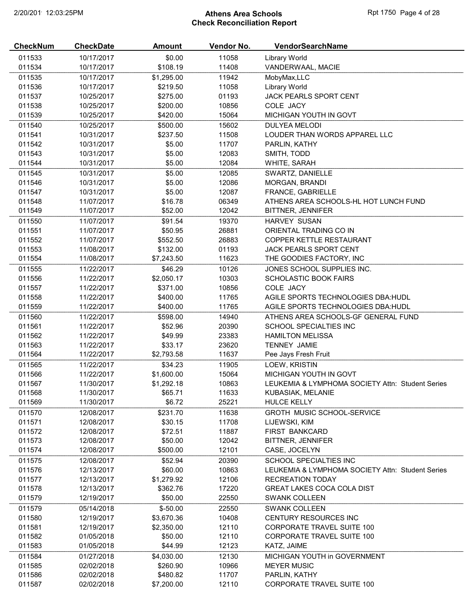# 2/20/2019 12:03:25PM **Athens Area Schools Rpt 1750 Page 4 of 28** Check Reconciliation Report

| <b>CheckNum</b> | <b>CheckDate</b> | <b>Amount</b> | Vendor No. | VendorSearchName                                           |
|-----------------|------------------|---------------|------------|------------------------------------------------------------|
| 011533          | 10/17/2017       | \$0.00        | 11058      | Library World                                              |
| 011534          | 10/17/2017       | \$108.19      | 11408      | VANDERWAAL, MACIE                                          |
| 011535          | 10/17/2017       | \$1,295.00    | 11942      | MobyMax,LLC                                                |
| 011536          | 10/17/2017       | \$219.50      | 11058      | Library World                                              |
| 011537          | 10/25/2017       | \$275.00      | 01193      | JACK PEARLS SPORT CENT                                     |
| 011538          | 10/25/2017       | \$200.00      | 10856      | COLE JACY                                                  |
| 011539          | 10/25/2017       | \$420.00      | 15064      | <b>MICHIGAN YOUTH IN GOVT</b>                              |
| 011540          | 10/25/2017       | \$500.00      | 15602      | <b>DULYEA MELODI</b>                                       |
| 011541          | 10/31/2017       | \$237.50      | 11508      | LOUDER THAN WORDS APPAREL LLC                              |
| 011542          | 10/31/2017       | \$5.00        | 11707      | PARLIN, KATHY                                              |
| 011543          | 10/31/2017       | \$5.00        | 12083      | SMITH, TODD                                                |
| 011544          | 10/31/2017       | \$5.00        | 12084      | WHITE, SARAH                                               |
|                 |                  |               |            |                                                            |
| 011545          | 10/31/2017       | \$5.00        | 12085      | SWARTZ, DANIELLE                                           |
| 011546          | 10/31/2017       | \$5.00        | 12086      | MORGAN, BRANDI                                             |
| 011547          | 10/31/2017       | \$5.00        | 12087      | FRANCE, GABRIELLE<br>ATHENS AREA SCHOOLS-HL HOT LUNCH FUND |
| 011548          | 11/07/2017       | \$16.78       | 06349      |                                                            |
| 011549          | 11/07/2017       | \$52.00       | 12042      | BITTNER, JENNIFER                                          |
| 011550          | 11/07/2017       | \$91.54       | 19370      | <b>HARVEY SUSAN</b>                                        |
| 011551          | 11/07/2017       | \$50.95       | 26881      | ORIENTAL TRADING CO IN                                     |
| 011552          | 11/07/2017       | \$552.50      | 26883      | COPPER KETTLE RESTAURANT                                   |
| 011553          | 11/08/2017       | \$132.00      | 01193      | JACK PEARLS SPORT CENT                                     |
| 011554          | 11/08/2017       | \$7,243.50    | 11623      | THE GOODIES FACTORY, INC                                   |
| 011555          | 11/22/2017       | \$46.29       | 10126      | JONES SCHOOL SUPPLIES INC.                                 |
| 011556          | 11/22/2017       | \$2,050.17    | 10303      | SCHOLASTIC BOOK FAIRS                                      |
| 011557          | 11/22/2017       | \$371.00      | 10856      | COLE JACY                                                  |
| 011558          | 11/22/2017       | \$400.00      | 11765      | AGILE SPORTS TECHNOLOGIES DBA: HUDL                        |
| 011559          | 11/22/2017       | \$400.00      | 11765      | AGILE SPORTS TECHNOLOGIES DBA: HUDL                        |
| 011560          | 11/22/2017       | \$598.00      | 14940      | ATHENS AREA SCHOOLS-GF GENERAL FUND                        |
| 011561          | 11/22/2017       | \$52.96       | 20390      | SCHOOL SPECIALTIES INC                                     |
| 011562          | 11/22/2017       | \$49.99       | 23383      | <b>HAMILTON MELISSA</b>                                    |
| 011563          | 11/22/2017       | \$33.17       | 23620      | <b>TENNEY JAMIE</b>                                        |
| 011564          | 11/22/2017       | \$2,793.58    | 11637      | Pee Jays Fresh Fruit                                       |
| 011565          | 11/22/2017       | \$34.23       | 11905      | LOEW, KRISTIN                                              |
| 011566          | 11/22/2017       | \$1,600.00    | 15064      | MICHIGAN YOUTH IN GOVT                                     |
| 011567          | 11/30/2017       | \$1,292.18    | 10863      | LEUKEMIA & LYMPHOMA SOCIETY Attn: Student Series           |
| 011568          | 11/30/2017       | \$65.71       | 11633      | KUBASIAK, MELANIE                                          |
| 011569          | 11/30/2017       | \$6.72        | 25221      | <b>HULCE KELLY</b>                                         |
| 011570          | 12/08/2017       | \$231.70      | 11638      | <b>GROTH MUSIC SCHOOL-SERVICE</b>                          |
| 011571          | 12/08/2017       | \$30.15       | 11708      | LIJEWSKI, KIM                                              |
| 011572          | 12/08/2017       | \$72.51       | 11887      | FIRST BANKCARD                                             |
| 011573          | 12/08/2017       | \$50.00       | 12042      | <b>BITTNER, JENNIFER</b>                                   |
| 011574          | 12/08/2017       | \$500.00      | 12101      | CASE, JOCELYN                                              |
| 011575          | 12/08/2017       | \$52.94       | 20390      | SCHOOL SPECIALTIES INC                                     |
| 011576          | 12/13/2017       | \$60.00       | 10863      | LEUKEMIA & LYMPHOMA SOCIETY Attn: Student Series           |
| 011577          | 12/13/2017       | \$1,279.92    | 12106      | <b>RECREATION TODAY</b>                                    |
| 011578          | 12/13/2017       | \$362.76      | 17220      | <b>GREAT LAKES COCA COLA DIST</b>                          |
| 011579          | 12/19/2017       | \$50.00       | 22550      | <b>SWANK COLLEEN</b>                                       |
|                 |                  |               |            |                                                            |
| 011579          | 05/14/2018       | $$-50.00$     | 22550      | <b>SWANK COLLEEN</b>                                       |
| 011580          | 12/19/2017       | \$3,670.36    | 10408      | CENTURY RESOURCES INC                                      |
| 011581          | 12/19/2017       | \$2,350.00    | 12110      | <b>CORPORATE TRAVEL SUITE 100</b>                          |
| 011582          | 01/05/2018       | \$50.00       | 12110      | <b>CORPORATE TRAVEL SUITE 100</b>                          |
| 011583          | 01/05/2018       | \$44.99       | 12123      | KATZ, JAIME                                                |
| 011584          | 01/27/2018       | \$4,030.00    | 12130      | MICHIGAN YOUTH in GOVERNMENT                               |
| 011585          | 02/02/2018       | \$260.90      | 10966      | <b>MEYER MUSIC</b>                                         |
| 011586          | 02/02/2018       | \$480.82      | 11707      | PARLIN, KATHY                                              |
| 011587          | 02/02/2018       | \$7,200.00    | 12110      | <b>CORPORATE TRAVEL SUITE 100</b>                          |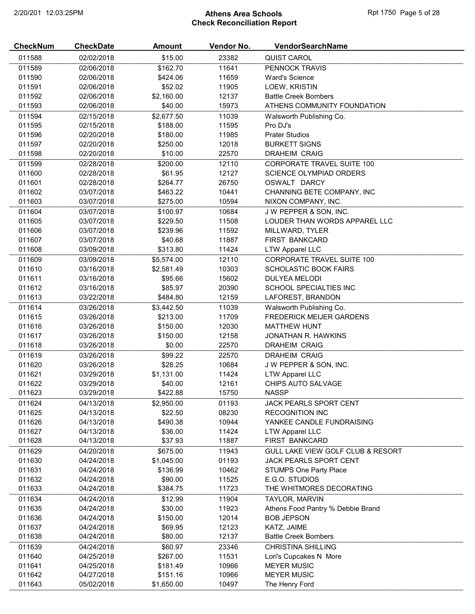# 2/20/2019 12:03:25PM **Athens Area Schools Rpt 1750 Page 5 of 28** Check Reconciliation Report

| <b>CheckNum</b> | <b>CheckDate</b> | <b>Amount</b> | Vendor No. | VendorSearchName                  |
|-----------------|------------------|---------------|------------|-----------------------------------|
| 011588          | 02/02/2018       | \$15.00       | 23382      | QUIST CAROL                       |
| 011589          | 02/06/2018       | \$162.70      | 11641      | PENNOCK TRAVIS                    |
| 011590          | 02/06/2018       | \$424.06      | 11659      | <b>Ward's Science</b>             |
| 011591          | 02/06/2018       | \$52.02       | 11905      | LOEW, KRISTIN                     |
| 011592          | 02/06/2018       | \$2,160.00    | 12137      | <b>Battle Creek Bombers</b>       |
| 011593          | 02/06/2018       | \$40.00       | 15973      | ATHENS COMMUNITY FOUNDATION       |
| 011594          | 02/15/2018       | \$2,677.50    | 11039      | Walsworth Publishing Co.          |
| 011595          | 02/15/2018       | \$188.00      | 11595      | Pro DJ's                          |
| 011596          | 02/20/2018       | \$180.00      | 11985      | <b>Prater Studios</b>             |
| 011597          | 02/20/2018       | \$250.00      | 12018      | <b>BURKETT SIGNS</b>              |
| 011598          | 02/20/2018       | \$10.00       | 22570      | <b>DRAHEIM CRAIG</b>              |
| 011599          | 02/28/2018       | \$200.00      | 12110      | CORPORATE TRAVEL SUITE 100        |
| 011600          | 02/28/2018       | \$61.95       | 12127      | <b>SCIENCE OLYMPIAD ORDERS</b>    |
| 011601          | 02/28/2018       | \$264.77      | 26750      | OSWALT DARCY                      |
| 011602          | 03/07/2018       | \$463.22      | 10441      | CHANNING BETE COMPANY, INC        |
| 011603          | 03/07/2018       | \$275.00      | 10594      | NIXON COMPANY, INC.               |
| 011604          | 03/07/2018       | \$100.97      | 10684      | J W PEPPER & SON, INC.            |
| 011605          | 03/07/2018       | \$229.50      | 11508      | LOUDER THAN WORDS APPAREL LLC     |
| 011606          | 03/07/2018       | \$239.96      | 11592      | MILLWARD, TYLER                   |
| 011607          | 03/07/2018       | \$40.68       | 11887      | FIRST BANKCARD                    |
| 011608          | 03/09/2018       | \$313.80      | 11424      | <b>LTW Apparel LLC</b>            |
| 011609          | 03/09/2018       | \$5,574.00    | 12110      | <b>CORPORATE TRAVEL SUITE 100</b> |
| 011610          | 03/16/2018       | \$2,581.49    | 10303      | <b>SCHOLASTIC BOOK FAIRS</b>      |
| 011611          | 03/16/2018       | \$95.66       | 15602      | <b>DULYEA MELODI</b>              |
| 011612          | 03/16/2018       | \$85.97       | 20390      | SCHOOL SPECIALTIES INC            |
| 011613          | 03/22/2018       | \$484.80      | 12159      | LAFOREST, BRANDON                 |
| 011614          | 03/26/2018       | \$3,442.50    | 11039      | Walsworth Publishing Co.          |
| 011615          | 03/26/2018       | \$213.00      | 11709      | <b>FREDERICK MEIJER GARDENS</b>   |
| 011616          | 03/26/2018       | \$150.00      | 12030      | <b>MATTHEW HUNT</b>               |
| 011617          | 03/26/2018       | \$150.00      | 12158      | JONATHAN R. HAWKINS               |
| 011618          | 03/26/2018       | \$0.00        | 22570      | <b>DRAHEIM CRAIG</b>              |
| 011619          | 03/26/2018       | \$99.22       | 22570      | <b>DRAHEIM CRAIG</b>              |
| 011620          | 03/26/2018       | \$28.25       | 10684      | J W PEPPER & SON, INC.            |
| 011621          | 03/29/2018       | \$1,131.00    | 11424      | <b>LTW Apparel LLC</b>            |
| 011622          | 03/29/2018       | \$40.00       | 12161      | CHIPS AUTO SALVAGE                |
| 011623          | 03/29/2018       | \$422.88      | 15750      | <b>NASSP</b>                      |
| 011624          | 04/13/2018       | \$2,950.00    | 01193      | JACK PEARLS SPORT CENT            |
| 011625          | 04/13/2018       | \$22.50       | 08230      | <b>RECOGNITION INC</b>            |
| 011626          | 04/13/2018       | \$490.38      | 10944      | YANKEE CANDLE FUNDRAISING         |
| 011627          | 04/13/2018       | \$36.00       | 11424      | <b>LTW Apparel LLC</b>            |
| 011628          | 04/13/2018       | \$37.93       | 11887      | FIRST BANKCARD                    |
| 011629          | 04/20/2018       | \$675.00      | 11943      | GULL LAKE VIEW GOLF CLUB & RESORT |
| 011630          | 04/24/2018       | \$1,045.00    | 01193      | JACK PEARLS SPORT CENT            |
| 011631          | 04/24/2018       | \$136.99      | 10462      | <b>STUMPS One Party Place</b>     |
| 011632          | 04/24/2018       | \$90.00       | 11525      | E.G.O. STUDIOS                    |
| 011633          | 04/24/2018       | \$384.75      | 11723      | THE WHITMORES DECORATING          |
| 011634          | 04/24/2018       | \$12.99       | 11904      | TAYLOR, MARVIN                    |
| 011635          | 04/24/2018       | \$30.00       | 11923      | Athens Food Pantry % Debbie Brand |
| 011636          | 04/24/2018       | \$150.00      | 12014      | <b>BOB JEPSON</b>                 |
| 011637          | 04/24/2018       | \$69.95       | 12123      | KATZ, JAIME                       |
| 011638          | 04/24/2018       | \$80.00       | 12137      | <b>Battle Creek Bombers</b>       |
| 011639          | 04/24/2018       | \$60.97       | 23346      | <b>CHRISTINA SHILLING</b>         |
| 011640          | 04/25/2018       | \$267.00      | 11531      | Lori's Cupcakes N More            |
| 011641          | 04/25/2018       | \$181.49      | 10966      | <b>MEYER MUSIC</b>                |
| 011642          | 04/27/2018       | \$151.16      | 10966      | <b>MEYER MUSIC</b>                |
| 011643          | 05/02/2018       | \$1,650.00    | 10497      | The Henry Ford                    |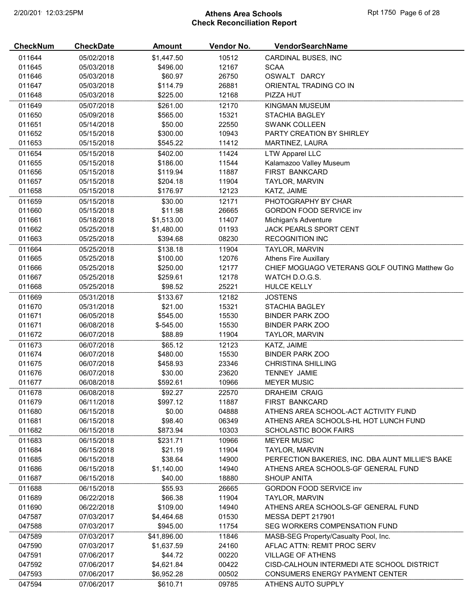# 2/20/2019 12:03:25PM **Athens Area Schools Rpt 1750 Page 6 of 28** Check Reconciliation Report

| <b>CheckNum</b> | <b>CheckDate</b> | <b>Amount</b> | Vendor No. | <b>VendorSearchName</b>                          |
|-----------------|------------------|---------------|------------|--------------------------------------------------|
| 011644          | 05/02/2018       | \$1,447.50    | 10512      | CARDINAL BUSES, INC                              |
| 011645          | 05/03/2018       | \$496.00      | 12167      | <b>SCAA</b>                                      |
| 011646          | 05/03/2018       | \$60.97       | 26750      | OSWALT DARCY                                     |
| 011647          | 05/03/2018       | \$114.79      | 26881      | ORIENTAL TRADING CO IN                           |
| 011648          | 05/03/2018       | \$225.00      | 12168      | PIZZA HUT                                        |
| 011649          | 05/07/2018       | \$261.00      | 12170      | KINGMAN MUSEUM                                   |
| 011650          | 05/09/2018       | \$565.00      | 15321      | <b>STACHIA BAGLEY</b>                            |
| 011651          | 05/14/2018       | \$50.00       | 22550      | <b>SWANK COLLEEN</b>                             |
| 011652          | 05/15/2018       | \$300.00      | 10943      | PARTY CREATION BY SHIRLEY                        |
| 011653          | 05/15/2018       | \$545.22      | 11412      | MARTINEZ, LAURA                                  |
| 011654          | 05/15/2018       | \$402.00      | 11424      | <b>LTW Apparel LLC</b>                           |
| 011655          | 05/15/2018       | \$186.00      | 11544      | Kalamazoo Valley Museum                          |
| 011656          | 05/15/2018       | \$119.94      | 11887      | FIRST BANKCARD                                   |
| 011657          | 05/15/2018       | \$204.18      | 11904      | TAYLOR, MARVIN                                   |
| 011658          | 05/15/2018       | \$176.97      | 12123      | KATZ, JAIME                                      |
| 011659          | 05/15/2018       | \$30.00       | 12171      | PHOTOGRAPHY BY CHAR                              |
| 011660          | 05/15/2018       | \$11.98       | 26665      | <b>GORDON FOOD SERVICE inv</b>                   |
|                 |                  |               |            |                                                  |
| 011661          | 05/18/2018       | \$1,513.00    | 11407      | Michigan's Adventure                             |
| 011662          | 05/25/2018       | \$1,480.00    | 01193      | JACK PEARLS SPORT CENT                           |
| 011663          | 05/25/2018       | \$394.68      | 08230      | RECOGNITION INC                                  |
| 011664          | 05/25/2018       | \$138.18      | 11904      | TAYLOR, MARVIN                                   |
| 011665          | 05/25/2018       | \$100.00      | 12076      | <b>Athens Fire Auxillary</b>                     |
| 011666          | 05/25/2018       | \$250.00      | 12177      | CHIEF MOGUAGO VETERANS GOLF OUTING Matthew Go    |
| 011667          | 05/25/2018       | \$259.61      | 12178      | WATCH D.O.G.S.                                   |
| 011668          | 05/25/2018       | \$98.52       | 25221      | <b>HULCE KELLY</b>                               |
| 011669          | 05/31/2018       | \$133.67      | 12182      | <b>JOSTENS</b>                                   |
| 011670          | 05/31/2018       | \$21.00       | 15321      | <b>STACHIA BAGLEY</b>                            |
| 011671          | 06/05/2018       | \$545.00      | 15530      | <b>BINDER PARK ZOO</b>                           |
| 011671          | 06/08/2018       | $$-545.00$    | 15530      | <b>BINDER PARK ZOO</b>                           |
| 011672          | 06/07/2018       | \$88.89       | 11904      | TAYLOR, MARVIN                                   |
| 011673          | 06/07/2018       | \$65.12       | 12123      | KATZ, JAIME                                      |
| 011674          | 06/07/2018       | \$480.00      | 15530      | <b>BINDER PARK ZOO</b>                           |
| 011675          | 06/07/2018       | \$458.93      | 23346      | <b>CHRISTINA SHILLING</b>                        |
| 011676          | 06/07/2018       | \$30.00       | 23620      | <b>TENNEY JAMIE</b>                              |
| 011677          | 06/08/2018       | \$592.61      | 10966      | <b>MEYER MUSIC</b>                               |
| 011678          | 06/08/2018       | \$92.27       | 22570      | <b>DRAHEIM CRAIG</b>                             |
| 011679          | 06/11/2018       | \$997.12      | 11887      | <b>FIRST BANKCARD</b>                            |
| 011680          | 06/15/2018       | \$0.00        | 04888      | ATHENS AREA SCHOOL-ACT ACTIVITY FUND             |
| 011681          | 06/15/2018       | \$98.40       | 06349      | ATHENS AREA SCHOOLS-HL HOT LUNCH FUND            |
| 011682          | 06/15/2018       | \$873.94      | 10303      | <b>SCHOLASTIC BOOK FAIRS</b>                     |
| 011683          | 06/15/2018       | \$231.71      | 10966      | <b>MEYER MUSIC</b>                               |
| 011684          | 06/15/2018       | \$21.19       | 11904      | <b>TAYLOR, MARVIN</b>                            |
| 011685          | 06/15/2018       | \$38.64       | 14900      | PERFECTION BAKERIES, INC. DBA AUNT MILLIE'S BAKE |
| 011686          | 06/15/2018       | \$1,140.00    | 14940      | ATHENS AREA SCHOOLS-GF GENERAL FUND              |
| 011687          | 06/15/2018       | \$40.00       | 18880      | <b>SHOUP ANITA</b>                               |
| 011688          | 06/15/2018       | \$55.93       | 26665      | <b>GORDON FOOD SERVICE inv</b>                   |
| 011689          | 06/22/2018       | \$66.38       | 11904      | TAYLOR, MARVIN                                   |
| 011690          | 06/22/2018       | \$109.00      | 14940      | ATHENS AREA SCHOOLS-GF GENERAL FUND              |
| 047587          | 07/03/2017       | \$4,464.68    | 01530      | MESSA DEPT 217901                                |
| 047588          | 07/03/2017       | \$945.00      | 11754      | SEG WORKERS COMPENSATION FUND                    |
| 047589          | 07/03/2017       | \$41,896.00   | 11846      | MASB-SEG Property/Casualty Pool, Inc.            |
| 047590          | 07/03/2017       | \$1,637.59    | 24160      | AFLAC ATTN: REMIT PROC SERV                      |
| 047591          | 07/06/2017       | \$44.72       | 00220      | <b>VILLAGE OF ATHENS</b>                         |
| 047592          | 07/06/2017       | \$4,621.84    | 00422      | CISD-CALHOUN INTERMEDI ATE SCHOOL DISTRICT       |
| 047593          | 07/06/2017       | \$6,952.28    | 00502      | CONSUMERS ENERGY PAYMENT CENTER                  |
| 047594          | 07/06/2017       | \$610.71      | 09785      | ATHENS AUTO SUPPLY                               |
|                 |                  |               |            |                                                  |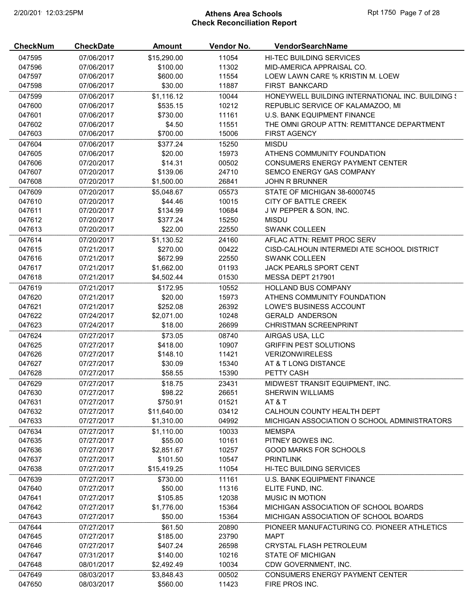# 2/20/2019 12:03:25PM **Athens Area Schools Rpt 1750 Page 7 of 28** Check Reconciliation Report

| <b>CheckNum</b> | <b>CheckDate</b> | <b>Amount</b> | Vendor No. | VendorSearchName                                 |
|-----------------|------------------|---------------|------------|--------------------------------------------------|
| 047595          | 07/06/2017       | \$15,290.00   | 11054      | <b>HI-TEC BUILDING SERVICES</b>                  |
| 047596          | 07/06/2017       | \$100.00      | 11302      | MID-AMERICA APPRAISAL CO.                        |
| 047597          | 07/06/2017       | \$600.00      | 11554      | LOEW LAWN CARE % KRISTIN M. LOEW                 |
| 047598          | 07/06/2017       | \$30.00       | 11887      | <b>FIRST BANKCARD</b>                            |
| 047599          | 07/06/2017       | \$1,116.12    | 10044      | HONEYWELL BUILDING INTERNATIONAL INC. BUILDING { |
| 047600          | 07/06/2017       | \$535.15      | 10212      | REPUBLIC SERVICE OF KALAMAZOO, MI                |
| 047601          | 07/06/2017       | \$730.00      | 11161      | U.S. BANK EQUIPMENT FINANCE                      |
| 047602          | 07/06/2017       | \$4.50        | 11551      | THE OMNI GROUP ATTN: REMITTANCE DEPARTMENT       |
| 047603          | 07/06/2017       | \$700.00      | 15006      | <b>FIRST AGENCY</b>                              |
| 047604          | 07/06/2017       | \$377.24      | 15250      | <b>MISDU</b>                                     |
| 047605          | 07/06/2017       | \$20.00       | 15973      | ATHENS COMMUNITY FOUNDATION                      |
| 047606          | 07/20/2017       | \$14.31       | 00502      | CONSUMERS ENERGY PAYMENT CENTER                  |
| 047607          | 07/20/2017       | \$139.06      | 24710      | SEMCO ENERGY GAS COMPANY                         |
| 047608          | 07/20/2017       | \$1,500.00    | 26841      | <b>JOHN R BRUNNER</b>                            |
| 047609          | 07/20/2017       | \$5,048.67    | 05573      | STATE OF MICHIGAN 38-6000745                     |
| 047610          | 07/20/2017       | \$44.46       | 10015      | CITY OF BATTLE CREEK                             |
| 047611          | 07/20/2017       | \$134.99      | 10684      | J W PEPPER & SON, INC.                           |
| 047612          | 07/20/2017       | \$377.24      | 15250      | <b>MISDU</b>                                     |
| 047613          | 07/20/2017       | \$22.00       | 22550      | <b>SWANK COLLEEN</b>                             |
| 047614          | 07/20/2017       | \$1,130.52    | 24160      | AFLAC ATTN: REMIT PROC SERV                      |
| 047615          | 07/21/2017       | \$270.00      | 00422      | CISD-CALHOUN INTERMEDI ATE SCHOOL DISTRICT       |
| 047616          | 07/21/2017       | \$672.99      | 22550      | <b>SWANK COLLEEN</b>                             |
| 047617          | 07/21/2017       | \$1,662.00    | 01193      | <b>JACK PEARLS SPORT CENT</b>                    |
| 047618          | 07/21/2017       | \$4,502.44    | 01530      | MESSA DEPT 217901                                |
| 047619          | 07/21/2017       | \$172.95      | 10552      | HOLLAND BUS COMPANY                              |
| 047620          | 07/21/2017       | \$20.00       | 15973      | ATHENS COMMUNITY FOUNDATION                      |
| 047621          | 07/21/2017       | \$252.08      | 26392      | LOWE'S BUSINESS ACCOUNT                          |
| 047622          | 07/24/2017       | \$2,071.00    | 10248      | <b>GERALD ANDERSON</b>                           |
| 047623          | 07/24/2017       | \$18.00       | 26699      | <b>CHRISTMAN SCREENPRINT</b>                     |
| 047624          | 07/27/2017       | \$73.05       | 08740      | AIRGAS USA, LLC                                  |
| 047625          | 07/27/2017       | \$418.00      | 10907      | <b>GRIFFIN PEST SOLUTIONS</b>                    |
| 047626          | 07/27/2017       | \$148.10      | 11421      | <b>VERIZONWIRELESS</b>                           |
| 047627          | 07/27/2017       | \$30.09       | 15340      | AT & T LONG DISTANCE                             |
| 047628          | 07/27/2017       | \$58.55       | 15390      | PETTY CASH                                       |
| 047629          | 07/27/2017       | \$18.75       | 23431      | MIDWEST TRANSIT EQUIPMENT, INC.                  |
| 047630          | 07/27/2017       | \$98.22       | 26651      | <b>SHERWIN WILLIAMS</b>                          |
| 047631          | 07/27/2017       | \$750.91      | 01521      | AT&T                                             |
| 047632          | 07/27/2017       | \$11,640.00   | 03412      | CALHOUN COUNTY HEALTH DEPT                       |
| 047633          | 07/27/2017       | \$1,310.00    | 04992      | MICHIGAN ASSOCIATION O SCHOOL ADMINISTRATORS     |
| 047634          | 07/27/2017       | \$1,110.00    | 10033      | <b>MEMSPA</b>                                    |
| 047635          | 07/27/2017       | \$55.00       | 10161      | PITNEY BOWES INC.                                |
| 047636          | 07/27/2017       | \$2,851.67    | 10257      | <b>GOOD MARKS FOR SCHOOLS</b>                    |
| 047637          | 07/27/2017       | \$101.50      | 10547      | <b>PRINTLINK</b>                                 |
| 047638          | 07/27/2017       | \$15,419.25   | 11054      | <b>HI-TEC BUILDING SERVICES</b>                  |
| 047639          | 07/27/2017       | \$730.00      | 11161      | U.S. BANK EQUIPMENT FINANCE                      |
| 047640          | 07/27/2017       | \$50.00       | 11316      | ELITE FUND, INC.                                 |
| 047641          | 07/27/2017       | \$105.85      | 12038      | <b>MUSIC IN MOTION</b>                           |
| 047642          | 07/27/2017       | \$1,776.00    | 15364      | MICHIGAN ASSOCIATION OF SCHOOL BOARDS            |
| 047643          | 07/27/2017       | \$50.00       | 15364      | MICHIGAN ASSOCIATION OF SCHOOL BOARDS            |
|                 |                  |               |            |                                                  |
| 047644          | 07/27/2017       | \$61.50       | 20890      | PIONEER MANUFACTURING CO. PIONEER ATHLETICS      |
| 047645          | 07/27/2017       | \$185.00      | 23790      | <b>MAPT</b>                                      |
| 047646          | 07/27/2017       | \$407.24      | 26598      | CRYSTAL FLASH PETROLEUM                          |
| 047647          | 07/31/2017       | \$140.00      | 10216      | <b>STATE OF MICHIGAN</b>                         |
| 047648          | 08/01/2017       | \$2,492.49    | 10034      | CDW GOVERNMENT, INC.                             |
| 047649          | 08/03/2017       | \$3,848.43    | 00502      | <b>CONSUMERS ENERGY PAYMENT CENTER</b>           |
| 047650          | 08/03/2017       | \$560.00      | 11423      | FIRE PROS INC.                                   |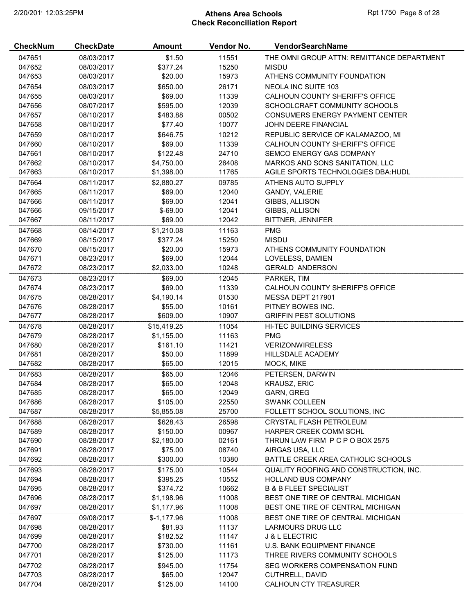# 2/20/2019 12:03:25PM **Athens Area Schools Rpt 1750 Page 8 of 28** Check Reconciliation Report

| <b>CheckNum</b> | <b>CheckDate</b> | <b>Amount</b> | Vendor No. | VendorSearchName                           |
|-----------------|------------------|---------------|------------|--------------------------------------------|
| 047651          | 08/03/2017       | \$1.50        | 11551      | THE OMNI GROUP ATTN: REMITTANCE DEPARTMENT |
| 047652          | 08/03/2017       | \$377.24      | 15250      | <b>MISDU</b>                               |
| 047653          | 08/03/2017       | \$20.00       | 15973      | ATHENS COMMUNITY FOUNDATION                |
| 047654          | 08/03/2017       | \$650.00      | 26171      | <b>NEOLA INC SUITE 103</b>                 |
| 047655          | 08/03/2017       | \$69.00       | 11339      | CALHOUN COUNTY SHERIFF'S OFFICE            |
| 047656          | 08/07/2017       | \$595.00      | 12039      | SCHOOLCRAFT COMMUNITY SCHOOLS              |
| 047657          | 08/10/2017       | \$483.88      | 00502      | CONSUMERS ENERGY PAYMENT CENTER            |
| 047658          | 08/10/2017       | \$77.40       | 10077      | <b>JOHN DEERE FINANCIAL</b>                |
| 047659          | 08/10/2017       | \$646.75      | 10212      | REPUBLIC SERVICE OF KALAMAZOO, MI          |
| 047660          | 08/10/2017       | \$69.00       | 11339      | CALHOUN COUNTY SHERIFF'S OFFICE            |
| 047661          | 08/10/2017       | \$122.48      | 24710      | SEMCO ENERGY GAS COMPANY                   |
| 047662          | 08/10/2017       | \$4,750.00    | 26408      | MARKOS AND SONS SANITATION, LLC            |
| 047663          | 08/10/2017       | \$1,398.00    | 11765      | AGILE SPORTS TECHNOLOGIES DBA: HUDL        |
| 047664          | 08/11/2017       | \$2,880.27    | 09785      | ATHENS AUTO SUPPLY                         |
| 047665          | 08/11/2017       | \$69.00       | 12040      | GANDY, VALERIE                             |
| 047666          | 08/11/2017       | \$69.00       | 12041      | GIBBS, ALLISON                             |
| 047666          | 09/15/2017       | $$-69.00$     | 12041      | GIBBS, ALLISON                             |
| 047667          |                  | \$69.00       | 12042      | <b>BITTNER, JENNIFER</b>                   |
|                 | 08/11/2017       |               |            |                                            |
| 047668          | 08/14/2017       | \$1,210.08    | 11163      | <b>PMG</b>                                 |
| 047669          | 08/15/2017       | \$377.24      | 15250      | <b>MISDU</b>                               |
| 047670          | 08/15/2017       | \$20.00       | 15973      | ATHENS COMMUNITY FOUNDATION                |
| 047671          | 08/23/2017       | \$69.00       | 12044      | LOVELESS, DAMIEN                           |
| 047672          | 08/23/2017       | \$2,033.00    | 10248      | <b>GERALD ANDERSON</b>                     |
| 047673          | 08/23/2017       | \$69.00       | 12045      | PARKER, TIM                                |
| 047674          | 08/23/2017       | \$69.00       | 11339      | CALHOUN COUNTY SHERIFF'S OFFICE            |
| 047675          | 08/28/2017       | \$4,190.14    | 01530      | MESSA DEPT 217901                          |
| 047676          | 08/28/2017       | \$55.00       | 10161      | PITNEY BOWES INC.                          |
| 047677          | 08/28/2017       | \$609.00      | 10907      | <b>GRIFFIN PEST SOLUTIONS</b>              |
| 047678          | 08/28/2017       | \$15,419.25   | 11054      | HI-TEC BUILDING SERVICES                   |
| 047679          | 08/28/2017       | \$1,155.00    | 11163      | <b>PMG</b>                                 |
| 047680          | 08/28/2017       | \$161.10      | 11421      | <b>VERIZONWIRELESS</b>                     |
| 047681          | 08/28/2017       | \$50.00       | 11899      | HILLSDALE ACADEMY                          |
| 047682          | 08/28/2017       | \$65.00       | 12015      | MOCK, MIKE                                 |
| 047683          | 08/28/2017       | \$65.00       | 12046      | PETERSEN, DARWIN                           |
| 047684          | 08/28/2017       | \$65.00       | 12048      | <b>KRAUSZ, ERIC</b>                        |
| 047685          | 08/28/2017       | \$65.00       | 12049      | <b>GARN, GREG</b>                          |
| 047686          | 08/28/2017       | \$105.00      | 22550      | <b>SWANK COLLEEN</b>                       |
| 047687          | 08/28/2017       | \$5,855.08    | 25700      | FOLLETT SCHOOL SOLUTIONS, INC              |
| 047688          | 08/28/2017       | \$628.43      | 26598      | CRYSTAL FLASH PETROLEUM                    |
| 047689          | 08/28/2017       | \$150.00      | 00967      | HARPER CREEK COMM SCHL                     |
| 047690          | 08/28/2017       | \$2,180.00    | 02161      | THRUN LAW FIRM P C P O BOX 2575            |
| 047691          | 08/28/2017       | \$75.00       | 08740      | AIRGAS USA, LLC                            |
| 047692          | 08/28/2017       | \$300.00      | 10380      | BATTLE CREEK AREA CATHOLIC SCHOOLS         |
| 047693          | 08/28/2017       | \$175.00      | 10544      | QUALITY ROOFING AND CONSTRUCTION, INC.     |
| 047694          | 08/28/2017       | \$395.25      | 10552      | <b>HOLLAND BUS COMPANY</b>                 |
| 047695          | 08/28/2017       | \$374.72      | 10662      | <b>B &amp; B FLEET SPECIALIST</b>          |
| 047696          | 08/28/2017       | \$1,198.96    | 11008      | BEST ONE TIRE OF CENTRAL MICHIGAN          |
| 047697          | 08/28/2017       | \$1,177.96    | 11008      | BEST ONE TIRE OF CENTRAL MICHIGAN          |
| 047697          | 09/08/2017       | $$-1,177.96$  | 11008      | BEST ONE TIRE OF CENTRAL MICHIGAN          |
| 047698          | 08/28/2017       | \$81.93       | 11137      | <b>LARMOURS DRUG LLC</b>                   |
| 047699          | 08/28/2017       | \$182.52      | 11147      | <b>J &amp; L ELECTRIC</b>                  |
| 047700          | 08/28/2017       | \$730.00      | 11161      | <b>U.S. BANK EQUIPMENT FINANCE</b>         |
| 047701          | 08/28/2017       | \$125.00      | 11173      | THREE RIVERS COMMUNITY SCHOOLS             |
| 047702          | 08/28/2017       | \$945.00      | 11754      | SEG WORKERS COMPENSATION FUND              |
| 047703          | 08/28/2017       | \$65.00       | 12047      | CUTHRELL, DAVID                            |
| 047704          | 08/28/2017       | \$125.00      | 14100      | <b>CALHOUN CTY TREASURER</b>               |
|                 |                  |               |            |                                            |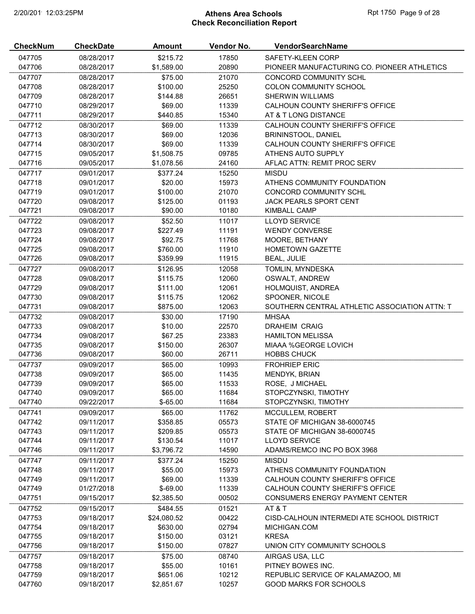# 2/20/2019 12:03:25PM **Athens Area Schools Rpt 1750 Page 9 of 28** Check Reconciliation Report

| <b>CheckNum</b> | <b>CheckDate</b> | Amount      | Vendor No. | VendorSearchName                              |
|-----------------|------------------|-------------|------------|-----------------------------------------------|
| 047705          | 08/28/2017       | \$215.72    | 17850      | SAFETY-KLEEN CORP                             |
| 047706          | 08/28/2017       | \$1,589.00  | 20890      | PIONEER MANUFACTURING CO. PIONEER ATHLETICS   |
| 047707          | 08/28/2017       | \$75.00     | 21070      | CONCORD COMMUNITY SCHL                        |
| 047708          | 08/28/2017       | \$100.00    | 25250      | COLON COMMUNITY SCHOOL                        |
| 047709          | 08/28/2017       | \$144.88    | 26651      | <b>SHERWIN WILLIAMS</b>                       |
| 047710          | 08/29/2017       | \$69.00     | 11339      | CALHOUN COUNTY SHERIFF'S OFFICE               |
| 047711          | 08/29/2017       | \$440.85    | 15340      | AT & T LONG DISTANCE                          |
| 047712          | 08/30/2017       | \$69.00     | 11339      | CALHOUN COUNTY SHERIFF'S OFFICE               |
| 047713          | 08/30/2017       | \$69.00     | 12036      | BRININSTOOL, DANIEL                           |
| 047714          | 08/30/2017       | \$69.00     | 11339      | CALHOUN COUNTY SHERIFF'S OFFICE               |
| 047715          | 09/05/2017       | \$1,508.75  | 09785      | ATHENS AUTO SUPPLY                            |
| 047716          | 09/05/2017       | \$1,078.56  | 24160      | AFLAC ATTN: REMIT PROC SERV                   |
| 047717          | 09/01/2017       | \$377.24    | 15250      | <b>MISDU</b>                                  |
| 047718          | 09/01/2017       | \$20.00     | 15973      | ATHENS COMMUNITY FOUNDATION                   |
| 047719          | 09/01/2017       | \$100.00    | 21070      | CONCORD COMMUNITY SCHL                        |
| 047720          | 09/08/2017       | \$125.00    | 01193      | <b>JACK PEARLS SPORT CENT</b>                 |
| 047721          | 09/08/2017       | \$90.00     | 10180      | KIMBALL CAMP                                  |
|                 |                  |             |            | <b>LLOYD SERVICE</b>                          |
| 047722          | 09/08/2017       | \$52.50     | 11017      |                                               |
| 047723          | 09/08/2017       | \$227.49    | 11191      | <b>WENDY CONVERSE</b>                         |
| 047724          | 09/08/2017       | \$92.75     | 11768      | MOORE, BETHANY                                |
| 047725          | 09/08/2017       | \$760.00    | 11910      | <b>HOMETOWN GAZETTE</b>                       |
| 047726          | 09/08/2017       | \$359.99    | 11915      | <b>BEAL, JULIE</b>                            |
| 047727          | 09/08/2017       | \$126.95    | 12058      | TOMLIN, MYNDESKA                              |
| 047728          | 09/08/2017       | \$115.75    | 12060      | OSWALT, ANDREW                                |
| 047729          | 09/08/2017       | \$111.00    | 12061      | HOLMQUIST, ANDREA                             |
| 047730          | 09/08/2017       | \$115.75    | 12062      | SPOONER, NICOLE                               |
| 047731          | 09/08/2017       | \$875.00    | 12063      | SOUTHERN CENTRAL ATHLETIC ASSOCIATION ATTN: T |
| 047732          | 09/08/2017       | \$30.00     | 17190      | <b>MHSAA</b>                                  |
| 047733          | 09/08/2017       | \$10.00     | 22570      | <b>DRAHEIM CRAIG</b>                          |
| 047734          | 09/08/2017       | \$67.25     | 23383      | <b>HAMILTON MELISSA</b>                       |
| 047735          | 09/08/2017       | \$150.00    | 26307      | <b>MIAAA %GEORGE LOVICH</b>                   |
| 047736          | 09/08/2017       | \$60.00     | 26711      | <b>HOBBS CHUCK</b>                            |
| 047737          | 09/09/2017       | \$65.00     | 10993      | <b>FROHRIEP ERIC</b>                          |
| 047738          | 09/09/2017       | \$65.00     | 11435      | MENDYK, BRIAN                                 |
| 047739          | 09/09/2017       | \$65.00     | 11533      | ROSE, J MICHAEL                               |
| 047740          | 09/09/2017       | \$65.00     | 11684      | STOPCZYNSKI, TIMOTHY                          |
| 047740          | 09/22/2017       | $$-65.00$   | 11684      | STOPCZYNSKI, TIMOTHY                          |
| 047741          | 09/09/2017       | \$65.00     | 11762      | MCCULLEM, ROBERT                              |
| 047742          | 09/11/2017       | \$358.85    | 05573      | STATE OF MICHIGAN 38-6000745                  |
| 047743          | 09/11/2017       | \$209.85    | 05573      | STATE OF MICHIGAN 38-6000745                  |
| 047744          | 09/11/2017       | \$130.54    | 11017      | <b>LLOYD SERVICE</b>                          |
| 047746          | 09/11/2017       | \$3,796.72  | 14590      | ADAMS/REMCO INC PO BOX 3968                   |
| 047747          | 09/11/2017       | \$377.24    | 15250      | <b>MISDU</b>                                  |
| 047748          | 09/11/2017       | \$55.00     | 15973      | ATHENS COMMUNITY FOUNDATION                   |
| 047749          | 09/11/2017       | \$69.00     | 11339      | CALHOUN COUNTY SHERIFF'S OFFICE               |
| 047749          | 01/27/2018       | $$-69.00$   | 11339      | CALHOUN COUNTY SHERIFF'S OFFICE               |
| 047751          | 09/15/2017       | \$2,385.50  | 00502      | CONSUMERS ENERGY PAYMENT CENTER               |
| 047752          | 09/15/2017       | \$484.55    | 01521      | AT&T                                          |
| 047753          | 09/18/2017       | \$24,080.52 | 00422      | CISD-CALHOUN INTERMEDI ATE SCHOOL DISTRICT    |
| 047754          | 09/18/2017       | \$630.00    | 02794      | MICHIGAN.COM                                  |
| 047755          | 09/18/2017       | \$150.00    | 03121      | <b>KRESA</b>                                  |
| 047756          | 09/18/2017       | \$150.00    | 07827      | UNION CITY COMMUNITY SCHOOLS                  |
| 047757          | 09/18/2017       | \$75.00     | 08740      | AIRGAS USA, LLC                               |
| 047758          | 09/18/2017       | \$55.00     | 10161      | PITNEY BOWES INC.                             |
| 047759          | 09/18/2017       | \$651.06    | 10212      | REPUBLIC SERVICE OF KALAMAZOO, MI             |
| 047760          | 09/18/2017       | \$2,851.67  | 10257      | <b>GOOD MARKS FOR SCHOOLS</b>                 |
|                 |                  |             |            |                                               |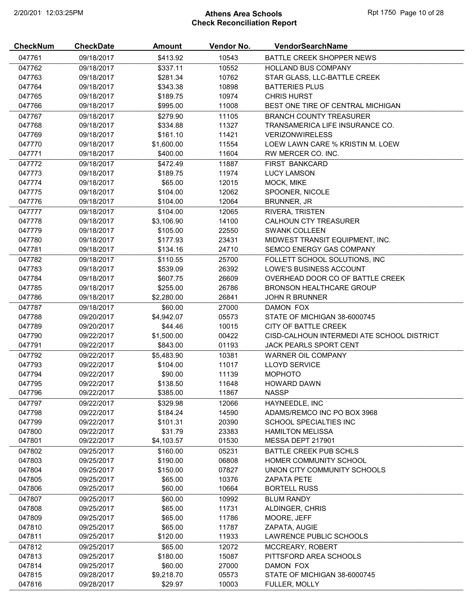# 2/20/2019 12:03:25PM **Athens Area Schools Rpt 1750 Page 10 of 28** Check Reconciliation Report

| <b>CheckNum</b> | <b>CheckDate</b> | <b>Amount</b> | Vendor No. | VendorSearchName                           |
|-----------------|------------------|---------------|------------|--------------------------------------------|
| 047761          | 09/18/2017       | \$413.92      | 10543      | BATTLE CREEK SHOPPER NEWS                  |
| 047762          | 09/18/2017       | \$337.11      | 10552      | <b>HOLLAND BUS COMPANY</b>                 |
| 047763          | 09/18/2017       | \$281.34      | 10762      | STAR GLASS, LLC-BATTLE CREEK               |
| 047764          | 09/18/2017       | \$343.38      | 10898      | <b>BATTERIES PLUS</b>                      |
| 047765          | 09/18/2017       | \$189.75      | 10974      | <b>CHRIS HURST</b>                         |
| 047766          | 09/18/2017       | \$995.00      | 11008      | BEST ONE TIRE OF CENTRAL MICHIGAN          |
| 047767          | 09/18/2017       | \$279.90      | 11105      | <b>BRANCH COUNTY TREASURER</b>             |
| 047768          | 09/18/2017       | \$334.88      | 11327      | TRANSAMERICA LIFE INSURANCE CO.            |
| 047769          | 09/18/2017       | \$161.10      | 11421      | <b>VERIZONWIRELESS</b>                     |
| 047770          | 09/18/2017       | \$1,600.00    | 11554      | LOEW LAWN CARE % KRISTIN M. LOEW           |
| 047771          | 09/18/2017       | \$400.00      | 11604      | RW MERCER CO. INC.                         |
| 047772          | 09/18/2017       | \$472.49      | 11887      | FIRST BANKCARD                             |
| 047773          | 09/18/2017       | \$189.75      | 11974      | <b>LUCY LAMSON</b>                         |
| 047774          | 09/18/2017       | \$65.00       | 12015      | MOCK, MIKE                                 |
| 047775          | 09/18/2017       | \$104.00      | 12062      | SPOONER, NICOLE                            |
| 047776          | 09/18/2017       | \$104.00      | 12064      | <b>BRUNNER, JR</b>                         |
| 047777          | 09/18/2017       | \$104.00      | 12065      | RIVERA, TRISTEN                            |
| 047778          | 09/18/2017       | \$3,106.90    | 14100      | <b>CALHOUN CTY TREASURER</b>               |
| 047779          | 09/18/2017       | \$105.00      | 22550      | <b>SWANK COLLEEN</b>                       |
| 047780          | 09/18/2017       | \$177.93      | 23431      | MIDWEST TRANSIT EQUIPMENT, INC.            |
| 047781          | 09/18/2017       | \$134.16      | 24710      | <b>SEMCO ENERGY GAS COMPANY</b>            |
| 047782          | 09/18/2017       | \$110.55      | 25700      | FOLLETT SCHOOL SOLUTIONS, INC              |
| 047783          | 09/18/2017       | \$539.09      | 26392      | LOWE'S BUSINESS ACCOUNT                    |
| 047784          | 09/18/2017       | \$607.75      | 26609      | OVERHEAD DOOR CO OF BATTLE CREEK           |
| 047785          | 09/18/2017       | \$255.00      | 26786      | BRONSON HEALTHCARE GROUP                   |
| 047786          | 09/18/2017       | \$2,280.00    | 26841      | <b>JOHN R BRUNNER</b>                      |
| 047787          | 09/18/2017       | \$60.00       | 27000      | DAMON FOX                                  |
| 047788          | 09/20/2017       | \$4,942.07    | 05573      | STATE OF MICHIGAN 38-6000745               |
| 047789          | 09/20/2017       | \$44.46       | 10015      | CITY OF BATTLE CREEK                       |
| 047790          | 09/22/2017       | \$1,500.00    | 00422      | CISD-CALHOUN INTERMEDI ATE SCHOOL DISTRICT |
| 047791          | 09/22/2017       | \$843.00      | 01193      | JACK PEARLS SPORT CENT                     |
| 047792          | 09/22/2017       | \$5,483.90    | 10381      | <b>WARNER OIL COMPANY</b>                  |
| 047793          | 09/22/2017       | \$104.00      | 11017      | <b>LLOYD SERVICE</b>                       |
| 047794          | 09/22/2017       | \$90.00       | 11139      | <b>MOPHOTO</b>                             |
| 047795          | 09/22/2017       | \$138.50      | 11648      | <b>HOWARD DAWN</b>                         |
| 047796          | 09/22/2017       | \$385.00      | 11867      | <b>NASSP</b>                               |
| 047797          | 09/22/2017       | \$329.98      | 12066      | HAYNEEDLE, INC                             |
| 047798          | 09/22/2017       | \$184.24      | 14590      | ADAMS/REMCO INC PO BOX 3968                |
| 047799          | 09/22/2017       | \$101.31      | 20390      | SCHOOL SPECIALTIES INC                     |
| 047800          | 09/22/2017       | \$31.79       | 23383      | <b>HAMILTON MELISSA</b>                    |
| 047801          | 09/22/2017       | \$4,103.57    | 01530      | MESSA DEPT 217901                          |
| 047802          | 09/25/2017       | \$160.00      | 05231      | <b>BATTLE CREEK PUB SCHLS</b>              |
| 047803          | 09/25/2017       | \$190.00      | 06808      | HOMER COMMUNITY SCHOOL                     |
| 047804          | 09/25/2017       | \$150.00      | 07827      | UNION CITY COMMUNITY SCHOOLS               |
| 047805          | 09/25/2017       | \$65.00       | 10376      | <b>ZAPATA PETE</b>                         |
| 047806          | 09/25/2017       | \$60.00       | 10664      | <b>BORTELL RUSS</b>                        |
| 047807          | 09/25/2017       | \$60.00       | 10992      | <b>BLUM RANDY</b>                          |
| 047808          | 09/25/2017       | \$65.00       | 11731      | ALDINGER, CHRIS                            |
| 047809          | 09/25/2017       | \$65.00       | 11786      | MOORE, JEFF                                |
| 047810          | 09/25/2017       | \$65.00       | 11787      | ZAPATA, AUGIE                              |
| 047811          | 09/25/2017       | \$120.00      | 11933      | LAWRENCE PUBLIC SCHOOLS                    |
| 047812          | 09/25/2017       | \$65.00       | 12072      | MCCREARY, ROBERT                           |
| 047813          | 09/25/2017       | \$180.00      | 15087      | PITTSFORD AREA SCHOOLS                     |
| 047814          | 09/25/2017       | \$60.00       | 27000      | DAMON FOX                                  |
| 047815          | 09/28/2017       | \$9,218.70    | 05573      | STATE OF MICHIGAN 38-6000745               |
| 047816          | 09/28/2017       | \$29.97       | 10003      | FULLER, MOLLY                              |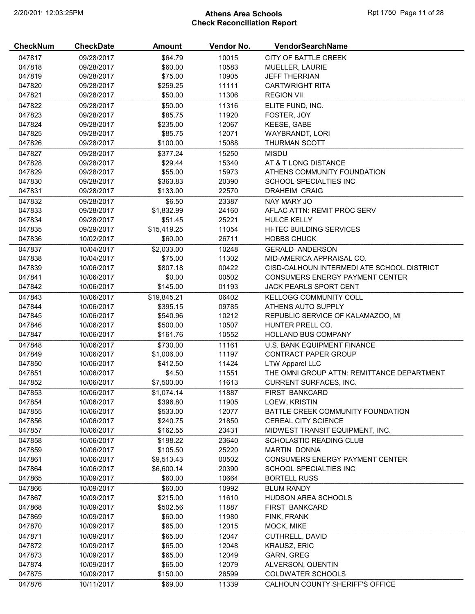# 2/20/2019 12:03:25PM **Athens Area Schools Rpt 1750 Page 11 of 28** Check Reconciliation Report

| <b>CheckNum</b> | <b>CheckDate</b> | Amount      | Vendor No. | <b>VendorSearchName</b>                    |
|-----------------|------------------|-------------|------------|--------------------------------------------|
| 047817          | 09/28/2017       | \$64.79     | 10015      | CITY OF BATTLE CREEK                       |
| 047818          | 09/28/2017       | \$60.00     | 10583      | MUELLER, LAURIE                            |
| 047819          | 09/28/2017       | \$75.00     | 10905      | <b>JEFF THERRIAN</b>                       |
| 047820          | 09/28/2017       | \$259.25    | 11111      | <b>CARTWRIGHT RITA</b>                     |
| 047821          | 09/28/2017       | \$50.00     | 11306      | <b>REGION VII</b>                          |
| 047822          | 09/28/2017       | \$50.00     | 11316      | ELITE FUND, INC.                           |
| 047823          | 09/28/2017       | \$85.75     | 11920      | FOSTER, JOY                                |
| 047824          | 09/28/2017       | \$235.00    | 12067      | KEESE, GABE                                |
| 047825          | 09/28/2017       | \$85.75     | 12071      | WAYBRANDT, LORI                            |
| 047826          | 09/28/2017       | \$100.00    | 15088      | THURMAN SCOTT                              |
| 047827          | 09/28/2017       | \$377.24    | 15250      | <b>MISDU</b>                               |
| 047828          | 09/28/2017       | \$29.44     | 15340      | AT & T LONG DISTANCE                       |
| 047829          | 09/28/2017       | \$55.00     | 15973      | ATHENS COMMUNITY FOUNDATION                |
| 047830          | 09/28/2017       | \$363.83    | 20390      | SCHOOL SPECIALTIES INC                     |
| 047831          | 09/28/2017       | \$133.00    | 22570      | <b>DRAHEIM CRAIG</b>                       |
| 047832          | 09/28/2017       | \$6.50      | 23387      | NAY MARY JO                                |
| 047833          | 09/28/2017       | \$1,832.99  | 24160      | AFLAC ATTN: REMIT PROC SERV                |
| 047834          | 09/28/2017       | \$51.45     | 25221      | <b>HULCE KELLY</b>                         |
| 047835          | 09/29/2017       | \$15,419.25 | 11054      | HI-TEC BUILDING SERVICES                   |
| 047836          | 10/02/2017       | \$60.00     | 26711      | <b>HOBBS CHUCK</b>                         |
| 047837          | 10/04/2017       | \$2,033.00  | 10248      | <b>GERALD ANDERSON</b>                     |
| 047838          | 10/04/2017       | \$75.00     | 11302      | MID-AMERICA APPRAISAL CO.                  |
| 047839          | 10/06/2017       | \$807.18    | 00422      | CISD-CALHOUN INTERMEDI ATE SCHOOL DISTRICT |
| 047841          | 10/06/2017       | \$0.00      | 00502      | <b>CONSUMERS ENERGY PAYMENT CENTER</b>     |
| 047842          | 10/06/2017       | \$145.00    | 01193      | JACK PEARLS SPORT CENT                     |
|                 |                  |             |            |                                            |
| 047843          | 10/06/2017       | \$19,845.21 | 06402      | <b>KELLOGG COMMUNITY COLL</b>              |
| 047844          | 10/06/2017       | \$395.15    | 09785      | ATHENS AUTO SUPPLY                         |
| 047845          | 10/06/2017       | \$540.96    | 10212      | REPUBLIC SERVICE OF KALAMAZOO, MI          |
| 047846          | 10/06/2017       | \$500.00    | 10507      | HUNTER PRELL CO.                           |
| 047847          | 10/06/2017       | \$161.76    | 10552      | <b>HOLLAND BUS COMPANY</b>                 |
| 047848          | 10/06/2017       | \$730.00    | 11161      | <b>U.S. BANK EQUIPMENT FINANCE</b>         |
| 047849          | 10/06/2017       | \$1,006.00  | 11197      | CONTRACT PAPER GROUP                       |
| 047850          | 10/06/2017       | \$412.50    | 11424      | <b>LTW Apparel LLC</b>                     |
| 047851          | 10/06/2017       | \$4.50      | 11551      | THE OMNI GROUP ATTN: REMITTANCE DEPARTMENT |
| 047852          | 10/06/2017       | \$7,500.00  | 11613      | <b>CURRENT SURFACES, INC.</b>              |
| 047853          | 10/06/2017       | \$1,074.14  | 11887      | <b>FIRST BANKCARD</b>                      |
| 047854          | 10/06/2017       | \$396.80    | 11905      | LOEW, KRISTIN                              |
| 047855          | 10/06/2017       | \$533.00    | 12077      | BATTLE CREEK COMMUNITY FOUNDATION          |
| 047856          | 10/06/2017       | \$240.75    | 21850      | <b>CEREAL CITY SCIENCE</b>                 |
| 047857          | 10/06/2017       | \$162.55    | 23431      | MIDWEST TRANSIT EQUIPMENT, INC.            |
| 047858          | 10/06/2017       | \$198.22    | 23640      | SCHOLASTIC READING CLUB                    |
| 047859          | 10/06/2017       | \$105.50    | 25220      | <b>MARTIN DONNA</b>                        |
| 047861          | 10/06/2017       | \$9,513.43  | 00502      | CONSUMERS ENERGY PAYMENT CENTER            |
| 047864          | 10/06/2017       | \$6,600.14  | 20390      | <b>SCHOOL SPECIALTIES INC</b>              |
| 047865          | 10/09/2017       | \$60.00     | 10664      | <b>BORTELL RUSS</b>                        |
| 047866          | 10/09/2017       | \$60.00     | 10992      | <b>BLUM RANDY</b>                          |
| 047867          | 10/09/2017       | \$215.00    | 11610      | HUDSON AREA SCHOOLS                        |
| 047868          | 10/09/2017       | \$502.56    | 11887      | <b>FIRST BANKCARD</b>                      |
| 047869          | 10/09/2017       | \$60.00     | 11980      | FINK, FRANK                                |
| 047870          | 10/09/2017       | \$65.00     | 12015      | MOCK, MIKE                                 |
| 047871          | 10/09/2017       | \$65.00     | 12047      | CUTHRELL, DAVID                            |
| 047872          | 10/09/2017       | \$65.00     | 12048      | <b>KRAUSZ, ERIC</b>                        |
| 047873          | 10/09/2017       | \$65.00     | 12049      | GARN, GREG                                 |
| 047874          | 10/09/2017       | \$65.00     | 12079      | ALVERSON, QUENTIN                          |
| 047875          | 10/09/2017       | \$150.00    | 26599      | <b>COLDWATER SCHOOLS</b>                   |
| 047876          | 10/11/2017       | \$69.00     | 11339      | CALHOUN COUNTY SHERIFF'S OFFICE            |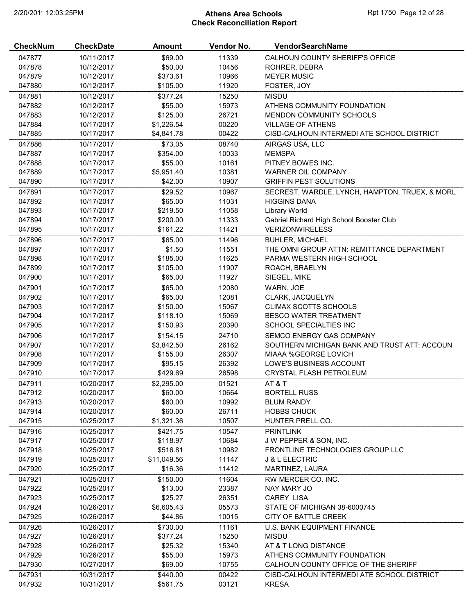# 2/20/2019 12:03:25PM **Athens Area Schools Rpt 1750 Page 12 of 28** Check Reconciliation Report

| \$69.00<br>047877<br>10/11/2017<br>11339<br>CALHOUN COUNTY SHERIFF'S OFFICE<br>047878<br>10/12/2017<br>\$50.00<br>10456<br>ROHRER, DEBRA<br>047879<br>\$373.61<br>10966<br><b>MEYER MUSIC</b><br>10/12/2017<br>047880<br>11920<br>10/12/2017<br>\$105.00<br>FOSTER, JOY<br>047881<br>\$377.24<br>15250<br><b>MISDU</b><br>10/12/2017<br>047882<br>\$55.00<br>15973<br>ATHENS COMMUNITY FOUNDATION<br>10/12/2017<br>047883<br>\$125.00<br>26721<br><b>MENDON COMMUNITY SCHOOLS</b><br>10/12/2017<br>047884<br>00220<br><b>VILLAGE OF ATHENS</b><br>10/17/2017<br>\$1,226.54<br>047885<br>00422<br>CISD-CALHOUN INTERMEDI ATE SCHOOL DISTRICT<br>10/17/2017<br>\$4,841.78<br>\$73.05<br>08740<br>047886<br>10/17/2017<br>AIRGAS USA, LLC<br>047887<br>10/17/2017<br>\$354.00<br>10033<br><b>MEMSPA</b><br>PITNEY BOWES INC.<br>047888<br>\$55.00<br>10161<br>10/17/2017<br>047889<br>\$5,951.40<br>10381<br>WARNER OIL COMPANY<br>10/17/2017<br>047890<br>\$42.00<br>10907<br><b>GRIFFIN PEST SOLUTIONS</b><br>10/17/2017<br>047891<br>\$29.52<br>10967<br>SECREST, WARDLE, LYNCH, HAMPTON, TRUEX, & MORL<br>10/17/2017<br><b>HIGGINS DANA</b><br>047892<br>10/17/2017<br>\$65.00<br>11031<br>047893<br>\$219.50<br>11058<br><b>Library World</b><br>10/17/2017<br>047894<br>\$200.00<br>11333<br>Gabriel Richard High School Booster Club<br>10/17/2017<br>11421<br>047895<br>\$161.22<br><b>VERIZONWIRELESS</b><br>10/17/2017<br>047896<br>\$65.00<br>11496<br>10/17/2017<br><b>BUHLER, MICHAEL</b><br>047897<br>10/17/2017<br>\$1.50<br>11551<br>THE OMNI GROUP ATTN: REMITTANCE DEPARTMENT<br>047898<br>\$185.00<br>11625<br>PARMA WESTERN HIGH SCHOOL<br>10/17/2017<br>047899<br>11907<br>10/17/2017<br>\$105.00<br>ROACH, BRAELYN<br>047900<br>11927<br>10/17/2017<br>\$65.00<br>SIEGEL, MIKE<br>047901<br>12080<br>10/17/2017<br>\$65.00<br>WARN, JOE<br>047902<br>10/17/2017<br>\$65.00<br>12081<br>CLARK, JACQUELYN<br>047903<br>\$150.00<br>15067<br><b>CLIMAX SCOTTS SCHOOLS</b><br>10/17/2017<br>047904<br>\$118.10<br>15069<br><b>BESCO WATER TREATMENT</b><br>10/17/2017<br>047905<br>20390<br>SCHOOL SPECIALTIES INC<br>10/17/2017<br>\$150.93<br>047906<br>\$154.15<br>24710<br>SEMCO ENERGY GAS COMPANY<br>10/17/2017<br>047907<br>\$3,842.50<br>26162<br>SOUTHERN MICHIGAN BANK AND TRUST ATT: ACCOUN<br>10/17/2017<br>047908<br>\$155.00<br>26307<br>MIAAA %GEORGE LOVICH<br>10/17/2017<br>047909<br>\$95.15<br>26392<br>LOWE'S BUSINESS ACCOUNT<br>10/17/2017<br>047910<br>26598<br><b>CRYSTAL FLASH PETROLEUM</b><br>10/17/2017<br>\$429.69<br>047911<br>10/20/2017<br>\$2,295.00<br>01521<br>AT&T<br>047912<br>\$60.00<br>10664<br>10/20/2017<br><b>BORTELL RUSS</b><br>047913<br>\$60.00<br>10992<br>10/20/2017<br><b>BLUM RANDY</b><br>047914<br>\$60.00<br>26711<br>10/20/2017<br><b>HOBBS CHUCK</b><br>047915<br>\$1,321.36<br>10507<br>HUNTER PRELL CO.<br>10/25/2017<br>047916<br>10/25/2017<br>\$421.75<br>10547<br><b>PRINTLINK</b><br>047917<br>10/25/2017<br>\$118.97<br>10684<br>J W PEPPER & SON, INC.<br>047918<br>\$516.81<br>10982<br>FRONTLINE TECHNOLOGIES GROUP LLC<br>10/25/2017<br>047919<br>11147<br>10/25/2017<br>\$11,049.56<br><b>J &amp; L ELECTRIC</b><br>047920<br>\$16.36<br>11412<br>10/25/2017<br>MARTINEZ, LAURA<br>047921<br>10/25/2017<br>\$150.00<br>11604<br>RW MERCER CO. INC.<br>047922<br>10/25/2017<br>\$13.00<br>23387<br>NAY MARY JO<br>047923<br>\$25.27<br>26351<br><b>CAREY LISA</b><br>10/25/2017<br>047924<br>\$6,605.43<br>10/26/2017<br>05573<br>STATE OF MICHIGAN 38-6000745<br>047925<br>\$44.86<br>10015<br>10/26/2017<br>CITY OF BATTLE CREEK<br>\$730.00<br>11161<br>047926<br>10/26/2017<br>U.S. BANK EQUIPMENT FINANCE<br>047927<br>\$377.24<br>15250<br><b>MISDU</b><br>10/26/2017<br>047928<br>\$25.32<br>15340<br>10/26/2017<br>AT & T LONG DISTANCE<br>\$55.00<br>ATHENS COMMUNITY FOUNDATION<br>047929<br>10/26/2017<br>15973<br>\$69.00<br>10755<br>CALHOUN COUNTY OFFICE OF THE SHERIFF<br>047930<br>10/27/2017<br>047931<br>10/31/2017<br>\$440.00<br>00422<br>CISD-CALHOUN INTERMEDI ATE SCHOOL DISTRICT | <b>CheckNum</b> | <b>CheckDate</b> | <b>Amount</b> | Vendor No. | VendorSearchName |
|----------------------------------------------------------------------------------------------------------------------------------------------------------------------------------------------------------------------------------------------------------------------------------------------------------------------------------------------------------------------------------------------------------------------------------------------------------------------------------------------------------------------------------------------------------------------------------------------------------------------------------------------------------------------------------------------------------------------------------------------------------------------------------------------------------------------------------------------------------------------------------------------------------------------------------------------------------------------------------------------------------------------------------------------------------------------------------------------------------------------------------------------------------------------------------------------------------------------------------------------------------------------------------------------------------------------------------------------------------------------------------------------------------------------------------------------------------------------------------------------------------------------------------------------------------------------------------------------------------------------------------------------------------------------------------------------------------------------------------------------------------------------------------------------------------------------------------------------------------------------------------------------------------------------------------------------------------------------------------------------------------------------------------------------------------------------------------------------------------------------------------------------------------------------------------------------------------------------------------------------------------------------------------------------------------------------------------------------------------------------------------------------------------------------------------------------------------------------------------------------------------------------------------------------------------------------------------------------------------------------------------------------------------------------------------------------------------------------------------------------------------------------------------------------------------------------------------------------------------------------------------------------------------------------------------------------------------------------------------------------------------------------------------------------------------------------------------------------------------------------------------------------------------------------------------------------------------------------------------------------------------------------------------------------------------------------------------------------------------------------------------------------------------------------------------------------------------------------------------------------------------------------------------------------------------------------------------------------------------------------------------------------------------------------------------------------------------------------------------------------------------------------------------------------------------------------------------------------------------------------------------------------------------------------------------------------------------------------------------------------------------------------------------------------------------------------------------------------|-----------------|------------------|---------------|------------|------------------|
|                                                                                                                                                                                                                                                                                                                                                                                                                                                                                                                                                                                                                                                                                                                                                                                                                                                                                                                                                                                                                                                                                                                                                                                                                                                                                                                                                                                                                                                                                                                                                                                                                                                                                                                                                                                                                                                                                                                                                                                                                                                                                                                                                                                                                                                                                                                                                                                                                                                                                                                                                                                                                                                                                                                                                                                                                                                                                                                                                                                                                                                                                                                                                                                                                                                                                                                                                                                                                                                                                                                                                                                                                                                                                                                                                                                                                                                                                                                                                                                                                                                                                              |                 |                  |               |            |                  |
|                                                                                                                                                                                                                                                                                                                                                                                                                                                                                                                                                                                                                                                                                                                                                                                                                                                                                                                                                                                                                                                                                                                                                                                                                                                                                                                                                                                                                                                                                                                                                                                                                                                                                                                                                                                                                                                                                                                                                                                                                                                                                                                                                                                                                                                                                                                                                                                                                                                                                                                                                                                                                                                                                                                                                                                                                                                                                                                                                                                                                                                                                                                                                                                                                                                                                                                                                                                                                                                                                                                                                                                                                                                                                                                                                                                                                                                                                                                                                                                                                                                                                              |                 |                  |               |            |                  |
|                                                                                                                                                                                                                                                                                                                                                                                                                                                                                                                                                                                                                                                                                                                                                                                                                                                                                                                                                                                                                                                                                                                                                                                                                                                                                                                                                                                                                                                                                                                                                                                                                                                                                                                                                                                                                                                                                                                                                                                                                                                                                                                                                                                                                                                                                                                                                                                                                                                                                                                                                                                                                                                                                                                                                                                                                                                                                                                                                                                                                                                                                                                                                                                                                                                                                                                                                                                                                                                                                                                                                                                                                                                                                                                                                                                                                                                                                                                                                                                                                                                                                              |                 |                  |               |            |                  |
|                                                                                                                                                                                                                                                                                                                                                                                                                                                                                                                                                                                                                                                                                                                                                                                                                                                                                                                                                                                                                                                                                                                                                                                                                                                                                                                                                                                                                                                                                                                                                                                                                                                                                                                                                                                                                                                                                                                                                                                                                                                                                                                                                                                                                                                                                                                                                                                                                                                                                                                                                                                                                                                                                                                                                                                                                                                                                                                                                                                                                                                                                                                                                                                                                                                                                                                                                                                                                                                                                                                                                                                                                                                                                                                                                                                                                                                                                                                                                                                                                                                                                              |                 |                  |               |            |                  |
|                                                                                                                                                                                                                                                                                                                                                                                                                                                                                                                                                                                                                                                                                                                                                                                                                                                                                                                                                                                                                                                                                                                                                                                                                                                                                                                                                                                                                                                                                                                                                                                                                                                                                                                                                                                                                                                                                                                                                                                                                                                                                                                                                                                                                                                                                                                                                                                                                                                                                                                                                                                                                                                                                                                                                                                                                                                                                                                                                                                                                                                                                                                                                                                                                                                                                                                                                                                                                                                                                                                                                                                                                                                                                                                                                                                                                                                                                                                                                                                                                                                                                              |                 |                  |               |            |                  |
|                                                                                                                                                                                                                                                                                                                                                                                                                                                                                                                                                                                                                                                                                                                                                                                                                                                                                                                                                                                                                                                                                                                                                                                                                                                                                                                                                                                                                                                                                                                                                                                                                                                                                                                                                                                                                                                                                                                                                                                                                                                                                                                                                                                                                                                                                                                                                                                                                                                                                                                                                                                                                                                                                                                                                                                                                                                                                                                                                                                                                                                                                                                                                                                                                                                                                                                                                                                                                                                                                                                                                                                                                                                                                                                                                                                                                                                                                                                                                                                                                                                                                              |                 |                  |               |            |                  |
|                                                                                                                                                                                                                                                                                                                                                                                                                                                                                                                                                                                                                                                                                                                                                                                                                                                                                                                                                                                                                                                                                                                                                                                                                                                                                                                                                                                                                                                                                                                                                                                                                                                                                                                                                                                                                                                                                                                                                                                                                                                                                                                                                                                                                                                                                                                                                                                                                                                                                                                                                                                                                                                                                                                                                                                                                                                                                                                                                                                                                                                                                                                                                                                                                                                                                                                                                                                                                                                                                                                                                                                                                                                                                                                                                                                                                                                                                                                                                                                                                                                                                              |                 |                  |               |            |                  |
|                                                                                                                                                                                                                                                                                                                                                                                                                                                                                                                                                                                                                                                                                                                                                                                                                                                                                                                                                                                                                                                                                                                                                                                                                                                                                                                                                                                                                                                                                                                                                                                                                                                                                                                                                                                                                                                                                                                                                                                                                                                                                                                                                                                                                                                                                                                                                                                                                                                                                                                                                                                                                                                                                                                                                                                                                                                                                                                                                                                                                                                                                                                                                                                                                                                                                                                                                                                                                                                                                                                                                                                                                                                                                                                                                                                                                                                                                                                                                                                                                                                                                              |                 |                  |               |            |                  |
|                                                                                                                                                                                                                                                                                                                                                                                                                                                                                                                                                                                                                                                                                                                                                                                                                                                                                                                                                                                                                                                                                                                                                                                                                                                                                                                                                                                                                                                                                                                                                                                                                                                                                                                                                                                                                                                                                                                                                                                                                                                                                                                                                                                                                                                                                                                                                                                                                                                                                                                                                                                                                                                                                                                                                                                                                                                                                                                                                                                                                                                                                                                                                                                                                                                                                                                                                                                                                                                                                                                                                                                                                                                                                                                                                                                                                                                                                                                                                                                                                                                                                              |                 |                  |               |            |                  |
|                                                                                                                                                                                                                                                                                                                                                                                                                                                                                                                                                                                                                                                                                                                                                                                                                                                                                                                                                                                                                                                                                                                                                                                                                                                                                                                                                                                                                                                                                                                                                                                                                                                                                                                                                                                                                                                                                                                                                                                                                                                                                                                                                                                                                                                                                                                                                                                                                                                                                                                                                                                                                                                                                                                                                                                                                                                                                                                                                                                                                                                                                                                                                                                                                                                                                                                                                                                                                                                                                                                                                                                                                                                                                                                                                                                                                                                                                                                                                                                                                                                                                              |                 |                  |               |            |                  |
|                                                                                                                                                                                                                                                                                                                                                                                                                                                                                                                                                                                                                                                                                                                                                                                                                                                                                                                                                                                                                                                                                                                                                                                                                                                                                                                                                                                                                                                                                                                                                                                                                                                                                                                                                                                                                                                                                                                                                                                                                                                                                                                                                                                                                                                                                                                                                                                                                                                                                                                                                                                                                                                                                                                                                                                                                                                                                                                                                                                                                                                                                                                                                                                                                                                                                                                                                                                                                                                                                                                                                                                                                                                                                                                                                                                                                                                                                                                                                                                                                                                                                              |                 |                  |               |            |                  |
|                                                                                                                                                                                                                                                                                                                                                                                                                                                                                                                                                                                                                                                                                                                                                                                                                                                                                                                                                                                                                                                                                                                                                                                                                                                                                                                                                                                                                                                                                                                                                                                                                                                                                                                                                                                                                                                                                                                                                                                                                                                                                                                                                                                                                                                                                                                                                                                                                                                                                                                                                                                                                                                                                                                                                                                                                                                                                                                                                                                                                                                                                                                                                                                                                                                                                                                                                                                                                                                                                                                                                                                                                                                                                                                                                                                                                                                                                                                                                                                                                                                                                              |                 |                  |               |            |                  |
|                                                                                                                                                                                                                                                                                                                                                                                                                                                                                                                                                                                                                                                                                                                                                                                                                                                                                                                                                                                                                                                                                                                                                                                                                                                                                                                                                                                                                                                                                                                                                                                                                                                                                                                                                                                                                                                                                                                                                                                                                                                                                                                                                                                                                                                                                                                                                                                                                                                                                                                                                                                                                                                                                                                                                                                                                                                                                                                                                                                                                                                                                                                                                                                                                                                                                                                                                                                                                                                                                                                                                                                                                                                                                                                                                                                                                                                                                                                                                                                                                                                                                              |                 |                  |               |            |                  |
|                                                                                                                                                                                                                                                                                                                                                                                                                                                                                                                                                                                                                                                                                                                                                                                                                                                                                                                                                                                                                                                                                                                                                                                                                                                                                                                                                                                                                                                                                                                                                                                                                                                                                                                                                                                                                                                                                                                                                                                                                                                                                                                                                                                                                                                                                                                                                                                                                                                                                                                                                                                                                                                                                                                                                                                                                                                                                                                                                                                                                                                                                                                                                                                                                                                                                                                                                                                                                                                                                                                                                                                                                                                                                                                                                                                                                                                                                                                                                                                                                                                                                              |                 |                  |               |            |                  |
|                                                                                                                                                                                                                                                                                                                                                                                                                                                                                                                                                                                                                                                                                                                                                                                                                                                                                                                                                                                                                                                                                                                                                                                                                                                                                                                                                                                                                                                                                                                                                                                                                                                                                                                                                                                                                                                                                                                                                                                                                                                                                                                                                                                                                                                                                                                                                                                                                                                                                                                                                                                                                                                                                                                                                                                                                                                                                                                                                                                                                                                                                                                                                                                                                                                                                                                                                                                                                                                                                                                                                                                                                                                                                                                                                                                                                                                                                                                                                                                                                                                                                              |                 |                  |               |            |                  |
|                                                                                                                                                                                                                                                                                                                                                                                                                                                                                                                                                                                                                                                                                                                                                                                                                                                                                                                                                                                                                                                                                                                                                                                                                                                                                                                                                                                                                                                                                                                                                                                                                                                                                                                                                                                                                                                                                                                                                                                                                                                                                                                                                                                                                                                                                                                                                                                                                                                                                                                                                                                                                                                                                                                                                                                                                                                                                                                                                                                                                                                                                                                                                                                                                                                                                                                                                                                                                                                                                                                                                                                                                                                                                                                                                                                                                                                                                                                                                                                                                                                                                              |                 |                  |               |            |                  |
|                                                                                                                                                                                                                                                                                                                                                                                                                                                                                                                                                                                                                                                                                                                                                                                                                                                                                                                                                                                                                                                                                                                                                                                                                                                                                                                                                                                                                                                                                                                                                                                                                                                                                                                                                                                                                                                                                                                                                                                                                                                                                                                                                                                                                                                                                                                                                                                                                                                                                                                                                                                                                                                                                                                                                                                                                                                                                                                                                                                                                                                                                                                                                                                                                                                                                                                                                                                                                                                                                                                                                                                                                                                                                                                                                                                                                                                                                                                                                                                                                                                                                              |                 |                  |               |            |                  |
|                                                                                                                                                                                                                                                                                                                                                                                                                                                                                                                                                                                                                                                                                                                                                                                                                                                                                                                                                                                                                                                                                                                                                                                                                                                                                                                                                                                                                                                                                                                                                                                                                                                                                                                                                                                                                                                                                                                                                                                                                                                                                                                                                                                                                                                                                                                                                                                                                                                                                                                                                                                                                                                                                                                                                                                                                                                                                                                                                                                                                                                                                                                                                                                                                                                                                                                                                                                                                                                                                                                                                                                                                                                                                                                                                                                                                                                                                                                                                                                                                                                                                              |                 |                  |               |            |                  |
|                                                                                                                                                                                                                                                                                                                                                                                                                                                                                                                                                                                                                                                                                                                                                                                                                                                                                                                                                                                                                                                                                                                                                                                                                                                                                                                                                                                                                                                                                                                                                                                                                                                                                                                                                                                                                                                                                                                                                                                                                                                                                                                                                                                                                                                                                                                                                                                                                                                                                                                                                                                                                                                                                                                                                                                                                                                                                                                                                                                                                                                                                                                                                                                                                                                                                                                                                                                                                                                                                                                                                                                                                                                                                                                                                                                                                                                                                                                                                                                                                                                                                              |                 |                  |               |            |                  |
|                                                                                                                                                                                                                                                                                                                                                                                                                                                                                                                                                                                                                                                                                                                                                                                                                                                                                                                                                                                                                                                                                                                                                                                                                                                                                                                                                                                                                                                                                                                                                                                                                                                                                                                                                                                                                                                                                                                                                                                                                                                                                                                                                                                                                                                                                                                                                                                                                                                                                                                                                                                                                                                                                                                                                                                                                                                                                                                                                                                                                                                                                                                                                                                                                                                                                                                                                                                                                                                                                                                                                                                                                                                                                                                                                                                                                                                                                                                                                                                                                                                                                              |                 |                  |               |            |                  |
|                                                                                                                                                                                                                                                                                                                                                                                                                                                                                                                                                                                                                                                                                                                                                                                                                                                                                                                                                                                                                                                                                                                                                                                                                                                                                                                                                                                                                                                                                                                                                                                                                                                                                                                                                                                                                                                                                                                                                                                                                                                                                                                                                                                                                                                                                                                                                                                                                                                                                                                                                                                                                                                                                                                                                                                                                                                                                                                                                                                                                                                                                                                                                                                                                                                                                                                                                                                                                                                                                                                                                                                                                                                                                                                                                                                                                                                                                                                                                                                                                                                                                              |                 |                  |               |            |                  |
|                                                                                                                                                                                                                                                                                                                                                                                                                                                                                                                                                                                                                                                                                                                                                                                                                                                                                                                                                                                                                                                                                                                                                                                                                                                                                                                                                                                                                                                                                                                                                                                                                                                                                                                                                                                                                                                                                                                                                                                                                                                                                                                                                                                                                                                                                                                                                                                                                                                                                                                                                                                                                                                                                                                                                                                                                                                                                                                                                                                                                                                                                                                                                                                                                                                                                                                                                                                                                                                                                                                                                                                                                                                                                                                                                                                                                                                                                                                                                                                                                                                                                              |                 |                  |               |            |                  |
|                                                                                                                                                                                                                                                                                                                                                                                                                                                                                                                                                                                                                                                                                                                                                                                                                                                                                                                                                                                                                                                                                                                                                                                                                                                                                                                                                                                                                                                                                                                                                                                                                                                                                                                                                                                                                                                                                                                                                                                                                                                                                                                                                                                                                                                                                                                                                                                                                                                                                                                                                                                                                                                                                                                                                                                                                                                                                                                                                                                                                                                                                                                                                                                                                                                                                                                                                                                                                                                                                                                                                                                                                                                                                                                                                                                                                                                                                                                                                                                                                                                                                              |                 |                  |               |            |                  |
|                                                                                                                                                                                                                                                                                                                                                                                                                                                                                                                                                                                                                                                                                                                                                                                                                                                                                                                                                                                                                                                                                                                                                                                                                                                                                                                                                                                                                                                                                                                                                                                                                                                                                                                                                                                                                                                                                                                                                                                                                                                                                                                                                                                                                                                                                                                                                                                                                                                                                                                                                                                                                                                                                                                                                                                                                                                                                                                                                                                                                                                                                                                                                                                                                                                                                                                                                                                                                                                                                                                                                                                                                                                                                                                                                                                                                                                                                                                                                                                                                                                                                              |                 |                  |               |            |                  |
|                                                                                                                                                                                                                                                                                                                                                                                                                                                                                                                                                                                                                                                                                                                                                                                                                                                                                                                                                                                                                                                                                                                                                                                                                                                                                                                                                                                                                                                                                                                                                                                                                                                                                                                                                                                                                                                                                                                                                                                                                                                                                                                                                                                                                                                                                                                                                                                                                                                                                                                                                                                                                                                                                                                                                                                                                                                                                                                                                                                                                                                                                                                                                                                                                                                                                                                                                                                                                                                                                                                                                                                                                                                                                                                                                                                                                                                                                                                                                                                                                                                                                              |                 |                  |               |            |                  |
|                                                                                                                                                                                                                                                                                                                                                                                                                                                                                                                                                                                                                                                                                                                                                                                                                                                                                                                                                                                                                                                                                                                                                                                                                                                                                                                                                                                                                                                                                                                                                                                                                                                                                                                                                                                                                                                                                                                                                                                                                                                                                                                                                                                                                                                                                                                                                                                                                                                                                                                                                                                                                                                                                                                                                                                                                                                                                                                                                                                                                                                                                                                                                                                                                                                                                                                                                                                                                                                                                                                                                                                                                                                                                                                                                                                                                                                                                                                                                                                                                                                                                              |                 |                  |               |            |                  |
|                                                                                                                                                                                                                                                                                                                                                                                                                                                                                                                                                                                                                                                                                                                                                                                                                                                                                                                                                                                                                                                                                                                                                                                                                                                                                                                                                                                                                                                                                                                                                                                                                                                                                                                                                                                                                                                                                                                                                                                                                                                                                                                                                                                                                                                                                                                                                                                                                                                                                                                                                                                                                                                                                                                                                                                                                                                                                                                                                                                                                                                                                                                                                                                                                                                                                                                                                                                                                                                                                                                                                                                                                                                                                                                                                                                                                                                                                                                                                                                                                                                                                              |                 |                  |               |            |                  |
|                                                                                                                                                                                                                                                                                                                                                                                                                                                                                                                                                                                                                                                                                                                                                                                                                                                                                                                                                                                                                                                                                                                                                                                                                                                                                                                                                                                                                                                                                                                                                                                                                                                                                                                                                                                                                                                                                                                                                                                                                                                                                                                                                                                                                                                                                                                                                                                                                                                                                                                                                                                                                                                                                                                                                                                                                                                                                                                                                                                                                                                                                                                                                                                                                                                                                                                                                                                                                                                                                                                                                                                                                                                                                                                                                                                                                                                                                                                                                                                                                                                                                              |                 |                  |               |            |                  |
|                                                                                                                                                                                                                                                                                                                                                                                                                                                                                                                                                                                                                                                                                                                                                                                                                                                                                                                                                                                                                                                                                                                                                                                                                                                                                                                                                                                                                                                                                                                                                                                                                                                                                                                                                                                                                                                                                                                                                                                                                                                                                                                                                                                                                                                                                                                                                                                                                                                                                                                                                                                                                                                                                                                                                                                                                                                                                                                                                                                                                                                                                                                                                                                                                                                                                                                                                                                                                                                                                                                                                                                                                                                                                                                                                                                                                                                                                                                                                                                                                                                                                              |                 |                  |               |            |                  |
|                                                                                                                                                                                                                                                                                                                                                                                                                                                                                                                                                                                                                                                                                                                                                                                                                                                                                                                                                                                                                                                                                                                                                                                                                                                                                                                                                                                                                                                                                                                                                                                                                                                                                                                                                                                                                                                                                                                                                                                                                                                                                                                                                                                                                                                                                                                                                                                                                                                                                                                                                                                                                                                                                                                                                                                                                                                                                                                                                                                                                                                                                                                                                                                                                                                                                                                                                                                                                                                                                                                                                                                                                                                                                                                                                                                                                                                                                                                                                                                                                                                                                              |                 |                  |               |            |                  |
|                                                                                                                                                                                                                                                                                                                                                                                                                                                                                                                                                                                                                                                                                                                                                                                                                                                                                                                                                                                                                                                                                                                                                                                                                                                                                                                                                                                                                                                                                                                                                                                                                                                                                                                                                                                                                                                                                                                                                                                                                                                                                                                                                                                                                                                                                                                                                                                                                                                                                                                                                                                                                                                                                                                                                                                                                                                                                                                                                                                                                                                                                                                                                                                                                                                                                                                                                                                                                                                                                                                                                                                                                                                                                                                                                                                                                                                                                                                                                                                                                                                                                              |                 |                  |               |            |                  |
|                                                                                                                                                                                                                                                                                                                                                                                                                                                                                                                                                                                                                                                                                                                                                                                                                                                                                                                                                                                                                                                                                                                                                                                                                                                                                                                                                                                                                                                                                                                                                                                                                                                                                                                                                                                                                                                                                                                                                                                                                                                                                                                                                                                                                                                                                                                                                                                                                                                                                                                                                                                                                                                                                                                                                                                                                                                                                                                                                                                                                                                                                                                                                                                                                                                                                                                                                                                                                                                                                                                                                                                                                                                                                                                                                                                                                                                                                                                                                                                                                                                                                              |                 |                  |               |            |                  |
|                                                                                                                                                                                                                                                                                                                                                                                                                                                                                                                                                                                                                                                                                                                                                                                                                                                                                                                                                                                                                                                                                                                                                                                                                                                                                                                                                                                                                                                                                                                                                                                                                                                                                                                                                                                                                                                                                                                                                                                                                                                                                                                                                                                                                                                                                                                                                                                                                                                                                                                                                                                                                                                                                                                                                                                                                                                                                                                                                                                                                                                                                                                                                                                                                                                                                                                                                                                                                                                                                                                                                                                                                                                                                                                                                                                                                                                                                                                                                                                                                                                                                              |                 |                  |               |            |                  |
|                                                                                                                                                                                                                                                                                                                                                                                                                                                                                                                                                                                                                                                                                                                                                                                                                                                                                                                                                                                                                                                                                                                                                                                                                                                                                                                                                                                                                                                                                                                                                                                                                                                                                                                                                                                                                                                                                                                                                                                                                                                                                                                                                                                                                                                                                                                                                                                                                                                                                                                                                                                                                                                                                                                                                                                                                                                                                                                                                                                                                                                                                                                                                                                                                                                                                                                                                                                                                                                                                                                                                                                                                                                                                                                                                                                                                                                                                                                                                                                                                                                                                              |                 |                  |               |            |                  |
|                                                                                                                                                                                                                                                                                                                                                                                                                                                                                                                                                                                                                                                                                                                                                                                                                                                                                                                                                                                                                                                                                                                                                                                                                                                                                                                                                                                                                                                                                                                                                                                                                                                                                                                                                                                                                                                                                                                                                                                                                                                                                                                                                                                                                                                                                                                                                                                                                                                                                                                                                                                                                                                                                                                                                                                                                                                                                                                                                                                                                                                                                                                                                                                                                                                                                                                                                                                                                                                                                                                                                                                                                                                                                                                                                                                                                                                                                                                                                                                                                                                                                              |                 |                  |               |            |                  |
|                                                                                                                                                                                                                                                                                                                                                                                                                                                                                                                                                                                                                                                                                                                                                                                                                                                                                                                                                                                                                                                                                                                                                                                                                                                                                                                                                                                                                                                                                                                                                                                                                                                                                                                                                                                                                                                                                                                                                                                                                                                                                                                                                                                                                                                                                                                                                                                                                                                                                                                                                                                                                                                                                                                                                                                                                                                                                                                                                                                                                                                                                                                                                                                                                                                                                                                                                                                                                                                                                                                                                                                                                                                                                                                                                                                                                                                                                                                                                                                                                                                                                              |                 |                  |               |            |                  |
|                                                                                                                                                                                                                                                                                                                                                                                                                                                                                                                                                                                                                                                                                                                                                                                                                                                                                                                                                                                                                                                                                                                                                                                                                                                                                                                                                                                                                                                                                                                                                                                                                                                                                                                                                                                                                                                                                                                                                                                                                                                                                                                                                                                                                                                                                                                                                                                                                                                                                                                                                                                                                                                                                                                                                                                                                                                                                                                                                                                                                                                                                                                                                                                                                                                                                                                                                                                                                                                                                                                                                                                                                                                                                                                                                                                                                                                                                                                                                                                                                                                                                              |                 |                  |               |            |                  |
|                                                                                                                                                                                                                                                                                                                                                                                                                                                                                                                                                                                                                                                                                                                                                                                                                                                                                                                                                                                                                                                                                                                                                                                                                                                                                                                                                                                                                                                                                                                                                                                                                                                                                                                                                                                                                                                                                                                                                                                                                                                                                                                                                                                                                                                                                                                                                                                                                                                                                                                                                                                                                                                                                                                                                                                                                                                                                                                                                                                                                                                                                                                                                                                                                                                                                                                                                                                                                                                                                                                                                                                                                                                                                                                                                                                                                                                                                                                                                                                                                                                                                              |                 |                  |               |            |                  |
|                                                                                                                                                                                                                                                                                                                                                                                                                                                                                                                                                                                                                                                                                                                                                                                                                                                                                                                                                                                                                                                                                                                                                                                                                                                                                                                                                                                                                                                                                                                                                                                                                                                                                                                                                                                                                                                                                                                                                                                                                                                                                                                                                                                                                                                                                                                                                                                                                                                                                                                                                                                                                                                                                                                                                                                                                                                                                                                                                                                                                                                                                                                                                                                                                                                                                                                                                                                                                                                                                                                                                                                                                                                                                                                                                                                                                                                                                                                                                                                                                                                                                              |                 |                  |               |            |                  |
|                                                                                                                                                                                                                                                                                                                                                                                                                                                                                                                                                                                                                                                                                                                                                                                                                                                                                                                                                                                                                                                                                                                                                                                                                                                                                                                                                                                                                                                                                                                                                                                                                                                                                                                                                                                                                                                                                                                                                                                                                                                                                                                                                                                                                                                                                                                                                                                                                                                                                                                                                                                                                                                                                                                                                                                                                                                                                                                                                                                                                                                                                                                                                                                                                                                                                                                                                                                                                                                                                                                                                                                                                                                                                                                                                                                                                                                                                                                                                                                                                                                                                              |                 |                  |               |            |                  |
|                                                                                                                                                                                                                                                                                                                                                                                                                                                                                                                                                                                                                                                                                                                                                                                                                                                                                                                                                                                                                                                                                                                                                                                                                                                                                                                                                                                                                                                                                                                                                                                                                                                                                                                                                                                                                                                                                                                                                                                                                                                                                                                                                                                                                                                                                                                                                                                                                                                                                                                                                                                                                                                                                                                                                                                                                                                                                                                                                                                                                                                                                                                                                                                                                                                                                                                                                                                                                                                                                                                                                                                                                                                                                                                                                                                                                                                                                                                                                                                                                                                                                              |                 |                  |               |            |                  |
|                                                                                                                                                                                                                                                                                                                                                                                                                                                                                                                                                                                                                                                                                                                                                                                                                                                                                                                                                                                                                                                                                                                                                                                                                                                                                                                                                                                                                                                                                                                                                                                                                                                                                                                                                                                                                                                                                                                                                                                                                                                                                                                                                                                                                                                                                                                                                                                                                                                                                                                                                                                                                                                                                                                                                                                                                                                                                                                                                                                                                                                                                                                                                                                                                                                                                                                                                                                                                                                                                                                                                                                                                                                                                                                                                                                                                                                                                                                                                                                                                                                                                              |                 |                  |               |            |                  |
|                                                                                                                                                                                                                                                                                                                                                                                                                                                                                                                                                                                                                                                                                                                                                                                                                                                                                                                                                                                                                                                                                                                                                                                                                                                                                                                                                                                                                                                                                                                                                                                                                                                                                                                                                                                                                                                                                                                                                                                                                                                                                                                                                                                                                                                                                                                                                                                                                                                                                                                                                                                                                                                                                                                                                                                                                                                                                                                                                                                                                                                                                                                                                                                                                                                                                                                                                                                                                                                                                                                                                                                                                                                                                                                                                                                                                                                                                                                                                                                                                                                                                              |                 |                  |               |            |                  |
|                                                                                                                                                                                                                                                                                                                                                                                                                                                                                                                                                                                                                                                                                                                                                                                                                                                                                                                                                                                                                                                                                                                                                                                                                                                                                                                                                                                                                                                                                                                                                                                                                                                                                                                                                                                                                                                                                                                                                                                                                                                                                                                                                                                                                                                                                                                                                                                                                                                                                                                                                                                                                                                                                                                                                                                                                                                                                                                                                                                                                                                                                                                                                                                                                                                                                                                                                                                                                                                                                                                                                                                                                                                                                                                                                                                                                                                                                                                                                                                                                                                                                              |                 |                  |               |            |                  |
|                                                                                                                                                                                                                                                                                                                                                                                                                                                                                                                                                                                                                                                                                                                                                                                                                                                                                                                                                                                                                                                                                                                                                                                                                                                                                                                                                                                                                                                                                                                                                                                                                                                                                                                                                                                                                                                                                                                                                                                                                                                                                                                                                                                                                                                                                                                                                                                                                                                                                                                                                                                                                                                                                                                                                                                                                                                                                                                                                                                                                                                                                                                                                                                                                                                                                                                                                                                                                                                                                                                                                                                                                                                                                                                                                                                                                                                                                                                                                                                                                                                                                              |                 |                  |               |            |                  |
|                                                                                                                                                                                                                                                                                                                                                                                                                                                                                                                                                                                                                                                                                                                                                                                                                                                                                                                                                                                                                                                                                                                                                                                                                                                                                                                                                                                                                                                                                                                                                                                                                                                                                                                                                                                                                                                                                                                                                                                                                                                                                                                                                                                                                                                                                                                                                                                                                                                                                                                                                                                                                                                                                                                                                                                                                                                                                                                                                                                                                                                                                                                                                                                                                                                                                                                                                                                                                                                                                                                                                                                                                                                                                                                                                                                                                                                                                                                                                                                                                                                                                              |                 |                  |               |            |                  |
|                                                                                                                                                                                                                                                                                                                                                                                                                                                                                                                                                                                                                                                                                                                                                                                                                                                                                                                                                                                                                                                                                                                                                                                                                                                                                                                                                                                                                                                                                                                                                                                                                                                                                                                                                                                                                                                                                                                                                                                                                                                                                                                                                                                                                                                                                                                                                                                                                                                                                                                                                                                                                                                                                                                                                                                                                                                                                                                                                                                                                                                                                                                                                                                                                                                                                                                                                                                                                                                                                                                                                                                                                                                                                                                                                                                                                                                                                                                                                                                                                                                                                              |                 |                  |               |            |                  |
|                                                                                                                                                                                                                                                                                                                                                                                                                                                                                                                                                                                                                                                                                                                                                                                                                                                                                                                                                                                                                                                                                                                                                                                                                                                                                                                                                                                                                                                                                                                                                                                                                                                                                                                                                                                                                                                                                                                                                                                                                                                                                                                                                                                                                                                                                                                                                                                                                                                                                                                                                                                                                                                                                                                                                                                                                                                                                                                                                                                                                                                                                                                                                                                                                                                                                                                                                                                                                                                                                                                                                                                                                                                                                                                                                                                                                                                                                                                                                                                                                                                                                              |                 |                  |               |            |                  |
|                                                                                                                                                                                                                                                                                                                                                                                                                                                                                                                                                                                                                                                                                                                                                                                                                                                                                                                                                                                                                                                                                                                                                                                                                                                                                                                                                                                                                                                                                                                                                                                                                                                                                                                                                                                                                                                                                                                                                                                                                                                                                                                                                                                                                                                                                                                                                                                                                                                                                                                                                                                                                                                                                                                                                                                                                                                                                                                                                                                                                                                                                                                                                                                                                                                                                                                                                                                                                                                                                                                                                                                                                                                                                                                                                                                                                                                                                                                                                                                                                                                                                              |                 |                  |               |            |                  |
|                                                                                                                                                                                                                                                                                                                                                                                                                                                                                                                                                                                                                                                                                                                                                                                                                                                                                                                                                                                                                                                                                                                                                                                                                                                                                                                                                                                                                                                                                                                                                                                                                                                                                                                                                                                                                                                                                                                                                                                                                                                                                                                                                                                                                                                                                                                                                                                                                                                                                                                                                                                                                                                                                                                                                                                                                                                                                                                                                                                                                                                                                                                                                                                                                                                                                                                                                                                                                                                                                                                                                                                                                                                                                                                                                                                                                                                                                                                                                                                                                                                                                              |                 |                  |               |            |                  |
|                                                                                                                                                                                                                                                                                                                                                                                                                                                                                                                                                                                                                                                                                                                                                                                                                                                                                                                                                                                                                                                                                                                                                                                                                                                                                                                                                                                                                                                                                                                                                                                                                                                                                                                                                                                                                                                                                                                                                                                                                                                                                                                                                                                                                                                                                                                                                                                                                                                                                                                                                                                                                                                                                                                                                                                                                                                                                                                                                                                                                                                                                                                                                                                                                                                                                                                                                                                                                                                                                                                                                                                                                                                                                                                                                                                                                                                                                                                                                                                                                                                                                              |                 |                  |               |            |                  |
|                                                                                                                                                                                                                                                                                                                                                                                                                                                                                                                                                                                                                                                                                                                                                                                                                                                                                                                                                                                                                                                                                                                                                                                                                                                                                                                                                                                                                                                                                                                                                                                                                                                                                                                                                                                                                                                                                                                                                                                                                                                                                                                                                                                                                                                                                                                                                                                                                                                                                                                                                                                                                                                                                                                                                                                                                                                                                                                                                                                                                                                                                                                                                                                                                                                                                                                                                                                                                                                                                                                                                                                                                                                                                                                                                                                                                                                                                                                                                                                                                                                                                              |                 |                  |               |            |                  |
|                                                                                                                                                                                                                                                                                                                                                                                                                                                                                                                                                                                                                                                                                                                                                                                                                                                                                                                                                                                                                                                                                                                                                                                                                                                                                                                                                                                                                                                                                                                                                                                                                                                                                                                                                                                                                                                                                                                                                                                                                                                                                                                                                                                                                                                                                                                                                                                                                                                                                                                                                                                                                                                                                                                                                                                                                                                                                                                                                                                                                                                                                                                                                                                                                                                                                                                                                                                                                                                                                                                                                                                                                                                                                                                                                                                                                                                                                                                                                                                                                                                                                              |                 |                  |               |            |                  |
|                                                                                                                                                                                                                                                                                                                                                                                                                                                                                                                                                                                                                                                                                                                                                                                                                                                                                                                                                                                                                                                                                                                                                                                                                                                                                                                                                                                                                                                                                                                                                                                                                                                                                                                                                                                                                                                                                                                                                                                                                                                                                                                                                                                                                                                                                                                                                                                                                                                                                                                                                                                                                                                                                                                                                                                                                                                                                                                                                                                                                                                                                                                                                                                                                                                                                                                                                                                                                                                                                                                                                                                                                                                                                                                                                                                                                                                                                                                                                                                                                                                                                              |                 |                  |               |            |                  |
|                                                                                                                                                                                                                                                                                                                                                                                                                                                                                                                                                                                                                                                                                                                                                                                                                                                                                                                                                                                                                                                                                                                                                                                                                                                                                                                                                                                                                                                                                                                                                                                                                                                                                                                                                                                                                                                                                                                                                                                                                                                                                                                                                                                                                                                                                                                                                                                                                                                                                                                                                                                                                                                                                                                                                                                                                                                                                                                                                                                                                                                                                                                                                                                                                                                                                                                                                                                                                                                                                                                                                                                                                                                                                                                                                                                                                                                                                                                                                                                                                                                                                              |                 |                  |               |            |                  |
|                                                                                                                                                                                                                                                                                                                                                                                                                                                                                                                                                                                                                                                                                                                                                                                                                                                                                                                                                                                                                                                                                                                                                                                                                                                                                                                                                                                                                                                                                                                                                                                                                                                                                                                                                                                                                                                                                                                                                                                                                                                                                                                                                                                                                                                                                                                                                                                                                                                                                                                                                                                                                                                                                                                                                                                                                                                                                                                                                                                                                                                                                                                                                                                                                                                                                                                                                                                                                                                                                                                                                                                                                                                                                                                                                                                                                                                                                                                                                                                                                                                                                              |                 |                  |               |            |                  |
|                                                                                                                                                                                                                                                                                                                                                                                                                                                                                                                                                                                                                                                                                                                                                                                                                                                                                                                                                                                                                                                                                                                                                                                                                                                                                                                                                                                                                                                                                                                                                                                                                                                                                                                                                                                                                                                                                                                                                                                                                                                                                                                                                                                                                                                                                                                                                                                                                                                                                                                                                                                                                                                                                                                                                                                                                                                                                                                                                                                                                                                                                                                                                                                                                                                                                                                                                                                                                                                                                                                                                                                                                                                                                                                                                                                                                                                                                                                                                                                                                                                                                              | 047932          | 10/31/2017       | \$561.75      | 03121      | <b>KRESA</b>     |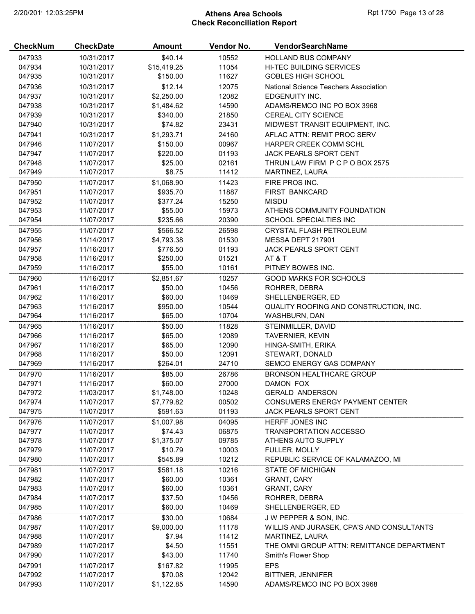# 2/20/2019 12:03:25PM **Athens Area Schools Rpt 1750 Page 13 of 28** Check Reconciliation Report

| <b>CheckNum</b>  | <b>CheckDate</b>         | <b>Amount</b>         | Vendor No.     | <b>VendorSearchName</b>                     |
|------------------|--------------------------|-----------------------|----------------|---------------------------------------------|
| 047933           | 10/31/2017               | \$40.14               | 10552          | <b>HOLLAND BUS COMPANY</b>                  |
| 047934           | 10/31/2017               | \$15,419.25           | 11054          | <b>HI-TEC BUILDING SERVICES</b>             |
| 047935           | 10/31/2017               | \$150.00              | 11627          | <b>GOBLES HIGH SCHOOL</b>                   |
| 047936           | 10/31/2017               | \$12.14               | 12075          | National Science Teachers Association       |
| 047937           | 10/31/2017               | \$2,250.00            | 12082          | EDGENUITY INC.                              |
| 047938           | 10/31/2017               | \$1,484.62            | 14590          | ADAMS/REMCO INC PO BOX 3968                 |
| 047939           | 10/31/2017               | \$340.00              | 21850          | <b>CEREAL CITY SCIENCE</b>                  |
| 047940           | 10/31/2017               | \$74.82               | 23431          | MIDWEST TRANSIT EQUIPMENT, INC.             |
| 047941           | 10/31/2017               | \$1,293.71            | 24160          | AFLAC ATTN: REMIT PROC SERV                 |
| 047946           | 11/07/2017               | \$150.00              | 00967          | HARPER CREEK COMM SCHL                      |
| 047947           | 11/07/2017               | \$220.00              | 01193          | JACK PEARLS SPORT CENT                      |
| 047948           | 11/07/2017               | \$25.00               | 02161          | THRUN LAW FIRM P C P O BOX 2575             |
| 047949           | 11/07/2017               | \$8.75                | 11412          | MARTINEZ, LAURA                             |
| 047950           | 11/07/2017               | \$1,068.90            | 11423          | FIRE PROS INC.                              |
| 047951           | 11/07/2017               | \$935.70              | 11887          | FIRST BANKCARD                              |
| 047952           | 11/07/2017               | \$377.24              | 15250          | <b>MISDU</b>                                |
| 047953           | 11/07/2017               | \$55.00               | 15973          | ATHENS COMMUNITY FOUNDATION                 |
| 047954           | 11/07/2017               | \$235.66              | 20390          | SCHOOL SPECIALTIES INC                      |
| 047955           | 11/07/2017               | \$566.52              | 26598          | <b>CRYSTAL FLASH PETROLEUM</b>              |
| 047956           | 11/14/2017               | \$4,793.38            | 01530          | MESSA DEPT 217901                           |
| 047957           | 11/16/2017               | \$776.50              | 01193          | JACK PEARLS SPORT CENT                      |
| 047958           | 11/16/2017               | \$250.00              | 01521          | AT&T                                        |
| 047959           | 11/16/2017               | \$55.00               | 10161          | PITNEY BOWES INC.                           |
| 047960           | 11/16/2017               | \$2,851.67            | 10257          | <b>GOOD MARKS FOR SCHOOLS</b>               |
| 047961           | 11/16/2017               | \$50.00               | 10456          | ROHRER, DEBRA                               |
| 047962           | 11/16/2017               | \$60.00               | 10469          | SHELLENBERGER, ED                           |
| 047963           | 11/16/2017               | \$950.00              | 10544          | QUALITY ROOFING AND CONSTRUCTION, INC.      |
| 047964           | 11/16/2017               | \$65.00               | 10704          | WASHBURN, DAN                               |
| 047965           | 11/16/2017               | \$50.00               | 11828          | STEINMILLER, DAVID                          |
| 047966           | 11/16/2017               | \$65.00               | 12089          | <b>TAVERNIER, KEVIN</b>                     |
| 047967           | 11/16/2017               | \$65.00               | 12090          | HINGA-SMITH, ERIKA                          |
| 047968<br>047969 | 11/16/2017<br>11/16/2017 | \$50.00<br>\$264.01   | 12091<br>24710 | STEWART, DONALD<br>SEMCO ENERGY GAS COMPANY |
|                  |                          |                       |                |                                             |
| 047970           | 11/16/2017               | \$85.00               | 26786          | <b>BRONSON HEALTHCARE GROUP</b>             |
| 047971<br>047972 | 11/16/2017<br>11/03/2017 | \$60.00<br>\$1,748.00 | 27000<br>10248 | DAMON FOX<br><b>GERALD ANDERSON</b>         |
| 047974           | 11/07/2017               | \$7,779.82            | 00502          | CONSUMERS ENERGY PAYMENT CENTER             |
| 047975           | 11/07/2017               | \$591.63              | 01193          | <b>JACK PEARLS SPORT CENT</b>               |
| 047976           | 11/07/2017               | \$1,007.98            | 04095          | HERFF JONES INC                             |
| 047977           | 11/07/2017               | \$74.43               | 06875          | <b>TRANSPORTATION ACCESSO</b>               |
| 047978           | 11/07/2017               | \$1,375.07            | 09785          | ATHENS AUTO SUPPLY                          |
| 047979           | 11/07/2017               | \$10.79               | 10003          | FULLER, MOLLY                               |
| 047980           | 11/07/2017               | \$545.89              | 10212          | REPUBLIC SERVICE OF KALAMAZOO, MI           |
| 047981           | 11/07/2017               | \$581.18              | 10216          | <b>STATE OF MICHIGAN</b>                    |
| 047982           | 11/07/2017               | \$60.00               | 10361          | <b>GRANT, CARY</b>                          |
| 047983           | 11/07/2017               | \$60.00               | 10361          | <b>GRANT, CARY</b>                          |
| 047984           | 11/07/2017               | \$37.50               | 10456          | ROHRER, DEBRA                               |
| 047985           | 11/07/2017               | \$60.00               | 10469          | SHELLENBERGER, ED                           |
| 047986           | 11/07/2017               | \$30.00               | 10684          | J W PEPPER & SON, INC.                      |
| 047987           | 11/07/2017               | \$9,000.00            | 11178          | WILLIS AND JURASEK, CPA'S AND CONSULTANTS   |
| 047988           | 11/07/2017               | \$7.94                | 11412          | MARTINEZ, LAURA                             |
| 047989           | 11/07/2017               | \$4.50                | 11551          | THE OMNI GROUP ATTN: REMITTANCE DEPARTMENT  |
| 047990           | 11/07/2017               | \$43.00               | 11740          | Smith's Flower Shop                         |
| 047991           | 11/07/2017               | \$167.82              | 11995          | <b>EPS</b>                                  |
| 047992           | 11/07/2017               | \$70.08               | 12042          | <b>BITTNER, JENNIFER</b>                    |
| 047993           | 11/07/2017               | \$1,122.85            | 14590          | ADAMS/REMCO INC PO BOX 3968                 |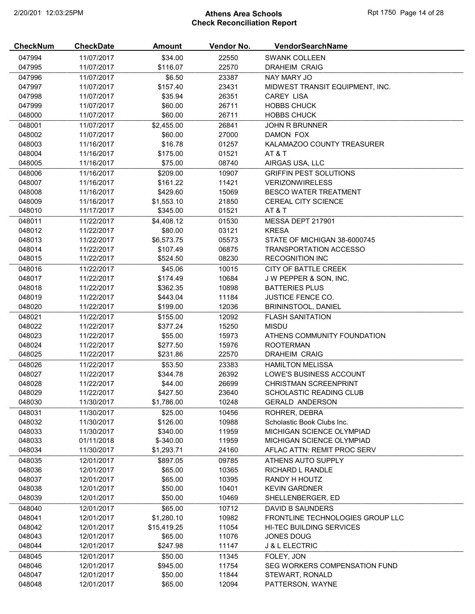# 2/20/2019 12:03:25PM **Athens Area Schools Rpt 1750 Page 14 of 28** Check Reconciliation Report

| <b>CheckNum</b> | <b>CheckDate</b> | <b>Amount</b>       | Vendor No.     | <b>VendorSearchName</b>                     |
|-----------------|------------------|---------------------|----------------|---------------------------------------------|
| 047994          | 11/07/2017       | \$34.00             | 22550          | <b>SWANK COLLEEN</b>                        |
| 047995          | 11/07/2017       | \$116.07            | 22570          | <b>DRAHEIM CRAIG</b>                        |
| 047996          | 11/07/2017       | \$6.50              | 23387          | NAY MARY JO                                 |
| 047997          | 11/07/2017       | \$157.40            | 23431          | MIDWEST TRANSIT EQUIPMENT, INC.             |
| 047998          | 11/07/2017       | \$35.94             | 26351          | <b>CAREY LISA</b>                           |
| 047999          | 11/07/2017       | \$60.00             | 26711          | <b>HOBBS CHUCK</b>                          |
| 048000          | 11/07/2017       | \$60.00             | 26711          | <b>HOBBS CHUCK</b>                          |
| 048001          | 11/07/2017       | \$2,455.00          | 26841          | <b>JOHN R BRUNNER</b>                       |
| 048002          | 11/07/2017       | \$60.00             | 27000          | DAMON FOX                                   |
| 048003          | 11/16/2017       | \$16.78             | 01257          | KALAMAZOO COUNTY TREASURER                  |
| 048004          | 11/16/2017       | \$175.00            | 01521          | AT&T                                        |
| 048005          | 11/16/2017       | \$75.00             | 08740          | AIRGAS USA, LLC                             |
| 048006          | 11/16/2017       | \$209.00            | 10907          | <b>GRIFFIN PEST SOLUTIONS</b>               |
| 048007          | 11/16/2017       | \$161.22            | 11421          | <b>VERIZONWIRELESS</b>                      |
| 048008          | 11/16/2017       | \$429.60            | 15069          | <b>BESCO WATER TREATMENT</b>                |
| 048009          | 11/16/2017       | \$1,553.10          | 21850          | <b>CEREAL CITY SCIENCE</b>                  |
| 048010          | 11/17/2017       | \$345.00            | 01521          | AT&T                                        |
| 048011          | 11/22/2017       | \$4,408.12          | 01530          | MESSA DEPT 217901                           |
| 048012          | 11/22/2017       | \$80.00             | 03121          | <b>KRESA</b>                                |
| 048013          | 11/22/2017       | \$6,573.75          | 05573          | STATE OF MICHIGAN 38-6000745                |
| 048014          | 11/22/2017       | \$107.49            | 06875          | <b>TRANSPORTATION ACCESSO</b>               |
| 048015          | 11/22/2017       | \$524.50            | 08230          | <b>RECOGNITION INC</b>                      |
| 048016          | 11/22/2017       | \$45.06             | 10015          | CITY OF BATTLE CREEK                        |
| 048017          | 11/22/2017       | \$174.49            | 10684          | J W PEPPER & SON, INC.                      |
| 048018          | 11/22/2017       | \$362.35            | 10898          | <b>BATTERIES PLUS</b>                       |
| 048019          | 11/22/2017       | \$443.04            | 11184          | <b>JUSTICE FENCE CO.</b>                    |
| 048020          | 11/22/2017       | \$199.00            | 12036          | <b>BRININSTOOL, DANIEL</b>                  |
| 048021          | 11/22/2017       | \$155.00            | 12092          | <b>FLASH SANITATION</b>                     |
| 048022          | 11/22/2017       | \$377.24            | 15250          | <b>MISDU</b>                                |
| 048023          | 11/22/2017       | \$55.00             | 15973          | ATHENS COMMUNITY FOUNDATION                 |
| 048024          | 11/22/2017       | \$277.50            | 15976          | <b>ROOTERMAN</b>                            |
| 048025          | 11/22/2017       | \$231.86            | 22570          | <b>DRAHEIM CRAIG</b>                        |
| 048026          | 11/22/2017       | \$53.50             | 23383          | <b>HAMILTON MELISSA</b>                     |
| 048027          | 11/22/2017       | \$344.78            | 26392          | LOWE'S BUSINESS ACCOUNT                     |
| 048028          | 11/22/2017       | \$44.00             | 26699          | CHRISTMAN SCREENPRINT                       |
| 048029          | 11/22/2017       | \$427.50            | 23640          | <b>SCHOLASTIC READING CLUB</b>              |
| 048030          | 11/30/2017       | \$1,786.00          | 10248          | <b>GERALD ANDERSON</b>                      |
| 048031          | 11/30/2017       | \$25.00             | 10456          | ROHRER, DEBRA                               |
| 048032          | 11/30/2017       | \$126.00            | 10988          | Scholastic Book Clubs Inc.                  |
| 048033          | 11/30/2017       | \$340.00            | 11959          | <b>MICHIGAN SCIENCE OLYMPIAD</b>            |
| 048033          | 01/11/2018       | $$ -340.00$         | 11959          | MICHIGAN SCIENCE OLYMPIAD                   |
| 048034          | 11/30/2017       | \$1,293.71          | 24160          | AFLAC ATTN: REMIT PROC SERV                 |
| 048035          | 12/01/2017       | \$897.05            | 09785          | ATHENS AUTO SUPPLY                          |
| 048036          | 12/01/2017       | \$65.00             | 10365          | RICHARD L RANDLE                            |
| 048037          | 12/01/2017       | \$65.00             | 10395          | RANDY H HOUTZ                               |
| 048038          | 12/01/2017       | \$50.00             | 10401          | <b>KEVIN GARDNER</b>                        |
| 048039          | 12/01/2017       | \$50.00             | 10469          | SHELLENBERGER, ED                           |
| 048040          | 12/01/2017       | \$65.00             | 10712          | DAVID B SAUNDERS                            |
| 048041          | 12/01/2017       | \$1,280.10          | 10982          | FRONTLINE TECHNOLOGIES GROUP LLC            |
| 048042          | 12/01/2017       | \$15,419.25         | 11054          | HI-TEC BUILDING SERVICES                    |
| 048043          | 12/01/2017       | \$65.00             | 11076          | JONES DOUG                                  |
| 048044          | 12/01/2017       | \$247.98            | 11147          | <b>J &amp; L ELECTRIC</b>                   |
| 048045          |                  |                     |                |                                             |
| 048046          | 12/01/2017       | \$50.00<br>\$945.00 | 11345<br>11754 | FOLEY, JON<br>SEG WORKERS COMPENSATION FUND |
| 048047          | 12/01/2017       |                     |                |                                             |
|                 | 12/01/2017       | \$50.00             | 11844          | STEWART, RONALD                             |
| 048048          | 12/01/2017       | \$65.00             | 12094          | PATTERSON, WAYNE                            |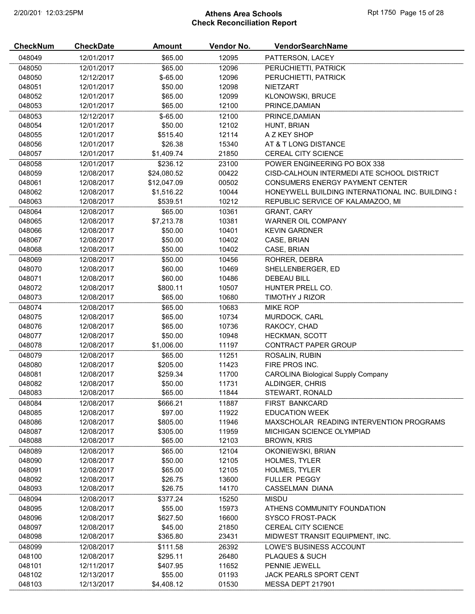# 2/20/2019 12:03:25PM **Athens Area Schools Rpt 1750 Page 15 of 28** Check Reconciliation Report

| <b>CheckNum</b> | <b>CheckDate</b> | <b>Amount</b> | Vendor No. | VendorSearchName                                 |
|-----------------|------------------|---------------|------------|--------------------------------------------------|
| 048049          | 12/01/2017       | \$65.00       | 12095      | PATTERSON, LACEY                                 |
| 048050          | 12/01/2017       | \$65.00       | 12096      | PERUCHIETTI, PATRICK                             |
| 048050          | 12/12/2017       | $$-65.00$     | 12096      | PERUCHIETTI, PATRICK                             |
| 048051          | 12/01/2017       | \$50.00       | 12098      | <b>NIETZART</b>                                  |
| 048052          | 12/01/2017       | \$65.00       | 12099      | <b>KLONOWSKI, BRUCE</b>                          |
| 048053          | 12/01/2017       | \$65.00       | 12100      | PRINCE, DAMIAN                                   |
| 048053          | 12/12/2017       | $$-65.00$     | 12100      | PRINCE, DAMIAN                                   |
| 048054          | 12/01/2017       | \$50.00       | 12102      | HUNT, BRIAN                                      |
| 048055          | 12/01/2017       | \$515.40      | 12114      | A Z KEY SHOP                                     |
| 048056          | 12/01/2017       | \$26.38       | 15340      | AT & T LONG DISTANCE                             |
| 048057          | 12/01/2017       | \$1,409.74    | 21850      | CEREAL CITY SCIENCE                              |
| 048058          | 12/01/2017       | \$236.12      | 23100      | POWER ENGINEERING PO BOX 338                     |
| 048059          | 12/08/2017       | \$24,080.52   | 00422      | CISD-CALHOUN INTERMEDI ATE SCHOOL DISTRICT       |
| 048061          | 12/08/2017       | \$12,047.09   | 00502      | CONSUMERS ENERGY PAYMENT CENTER                  |
| 048062          | 12/08/2017       | \$1,516.22    | 10044      | HONEYWELL BUILDING INTERNATIONAL INC. BUILDING { |
| 048063          | 12/08/2017       | \$539.51      | 10212      | REPUBLIC SERVICE OF KALAMAZOO, MI                |
| 048064          | 12/08/2017       | \$65.00       | 10361      | <b>GRANT, CARY</b>                               |
| 048065          | 12/08/2017       | \$7,213.78    | 10381      | <b>WARNER OIL COMPANY</b>                        |
| 048066          | 12/08/2017       | \$50.00       | 10401      | <b>KEVIN GARDNER</b>                             |
| 048067          | 12/08/2017       | \$50.00       | 10402      | CASE, BRIAN                                      |
| 048068          | 12/08/2017       | \$50.00       | 10402      | CASE, BRIAN                                      |
| 048069          | 12/08/2017       | \$50.00       | 10456      | ROHRER, DEBRA                                    |
| 048070          | 12/08/2017       | \$60.00       | 10469      | SHELLENBERGER, ED                                |
| 048071          | 12/08/2017       | \$60.00       | 10486      | <b>DEBEAU BILL</b>                               |
| 048072          | 12/08/2017       | \$800.11      | 10507      | HUNTER PRELL CO.                                 |
| 048073          | 12/08/2017       | \$65.00       | 10680      | TIMOTHY J RIZOR                                  |
| 048074          | 12/08/2017       | \$65.00       | 10683      | <b>MIKE ROP</b>                                  |
| 048075          | 12/08/2017       | \$65.00       | 10734      | MURDOCK, CARL                                    |
| 048076          | 12/08/2017       | \$65.00       | 10736      | RAKOCY, CHAD                                     |
| 048077          | 12/08/2017       | \$50.00       | 10948      | <b>HECKMAN, SCOTT</b>                            |
| 048078          | 12/08/2017       | \$1,006.00    | 11197      | CONTRACT PAPER GROUP                             |
| 048079          | 12/08/2017       | \$65.00       | 11251      | ROSALIN, RUBIN                                   |
| 048080          | 12/08/2017       | \$205.00      | 11423      | FIRE PROS INC.                                   |
| 048081          | 12/08/2017       | \$259.34      | 11700      | <b>CAROLINA Biological Supply Company</b>        |
| 048082          | 12/08/2017       | \$50.00       | 11731      | ALDINGER, CHRIS                                  |
| 048083          | 12/08/2017       | \$65.00       | 11844      | STEWART, RONALD                                  |
| 048084          | 12/08/2017       | \$666.21      | 11887      | FIRST BANKCARD                                   |
| 048085          | 12/08/2017       | \$97.00       | 11922      | <b>EDUCATION WEEK</b>                            |
| 048086          | 12/08/2017       | \$805.00      | 11946      | MAXSCHOLAR READING INTERVENTION PROGRAMS         |
| 048087          | 12/08/2017       | \$305.00      | 11959      | MICHIGAN SCIENCE OLYMPIAD                        |
| 048088          | 12/08/2017       | \$65.00       | 12103      | <b>BROWN, KRIS</b>                               |
| 048089          | 12/08/2017       | \$65.00       | 12104      | OKONIEWSKI, BRIAN                                |
| 048090          | 12/08/2017       | \$50.00       | 12105      | <b>HOLMES, TYLER</b>                             |
| 048091          | 12/08/2017       | \$65.00       | 12105      | <b>HOLMES, TYLER</b>                             |
| 048092          | 12/08/2017       | \$26.75       | 13600      | <b>FULLER PEGGY</b>                              |
| 048093          | 12/08/2017       | \$26.75       | 14170      | <b>CASSELMAN DIANA</b>                           |
| 048094          | 12/08/2017       | \$377.24      | 15250      | <b>MISDU</b>                                     |
| 048095          | 12/08/2017       | \$55.00       | 15973      | ATHENS COMMUNITY FOUNDATION                      |
| 048096          | 12/08/2017       | \$627.50      | 16600      | <b>SYSCO FROST-PACK</b>                          |
| 048097          | 12/08/2017       | \$45.00       | 21850      | CEREAL CITY SCIENCE                              |
| 048098          | 12/08/2017       | \$365.80      | 23431      | MIDWEST TRANSIT EQUIPMENT, INC.                  |
| 048099          | 12/08/2017       | \$111.58      | 26392      | LOWE'S BUSINESS ACCOUNT                          |
| 048100          | 12/08/2017       | \$295.11      | 26480      | PLAQUES & SUCH                                   |
| 048101          | 12/11/2017       | \$407.95      | 11652      | PENNIE JEWELL                                    |
| 048102          | 12/13/2017       | \$55.00       | 01193      | <b>JACK PEARLS SPORT CENT</b>                    |
| 048103          | 12/13/2017       | \$4,408.12    | 01530      | MESSA DEPT 217901                                |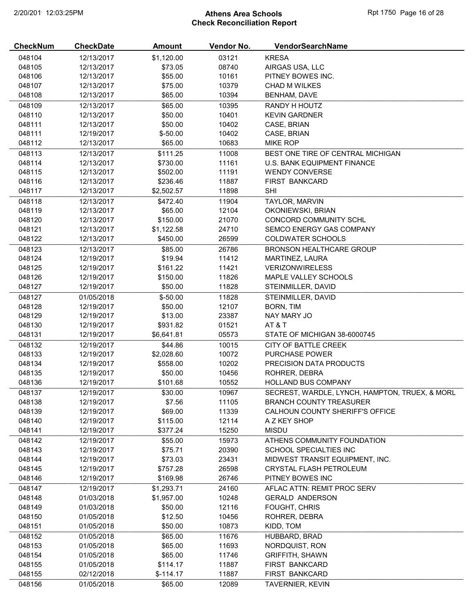# 2/20/2019 12:03:25PM **Athens Area Schools Rpt 1750 Page 16 of 28** Check Reconciliation Report

| <b>CheckNum</b> | <b>CheckDate</b> | Amount     | Vendor No. | VendorSearchName                               |
|-----------------|------------------|------------|------------|------------------------------------------------|
| 048104          | 12/13/2017       | \$1,120.00 | 03121      | <b>KRESA</b>                                   |
| 048105          | 12/13/2017       | \$73.05    | 08740      | AIRGAS USA, LLC                                |
| 048106          | 12/13/2017       | \$55.00    | 10161      | PITNEY BOWES INC.                              |
| 048107          | 12/13/2017       | \$75.00    | 10379      | <b>CHAD M WILKES</b>                           |
| 048108          | 12/13/2017       | \$65.00    | 10394      | <b>BENHAM, DAVE</b>                            |
| 048109          | 12/13/2017       | \$65.00    | 10395      | RANDY H HOUTZ                                  |
| 048110          | 12/13/2017       | \$50.00    | 10401      | <b>KEVIN GARDNER</b>                           |
| 048111          | 12/13/2017       | \$50.00    | 10402      | CASE, BRIAN                                    |
| 048111          | 12/19/2017       | $$ -50.00$ | 10402      | CASE, BRIAN                                    |
| 048112          | 12/13/2017       | \$65.00    | 10683      | MIKE ROP                                       |
| 048113          | 12/13/2017       | \$111.25   | 11008      | BEST ONE TIRE OF CENTRAL MICHIGAN              |
| 048114          | 12/13/2017       | \$730.00   | 11161      | U.S. BANK EQUIPMENT FINANCE                    |
| 048115          | 12/13/2017       | \$502.00   | 11191      | <b>WENDY CONVERSE</b>                          |
| 048116          | 12/13/2017       | \$236.46   | 11887      | <b>FIRST BANKCARD</b>                          |
| 048117          | 12/13/2017       | \$2,502.57 | 11898      | <b>SHI</b>                                     |
| 048118          | 12/13/2017       | \$472.40   | 11904      | TAYLOR, MARVIN                                 |
| 048119          | 12/13/2017       | \$65.00    | 12104      | OKONIEWSKI, BRIAN                              |
| 048120          | 12/13/2017       | \$150.00   | 21070      | CONCORD COMMUNITY SCHL                         |
| 048121          | 12/13/2017       | \$1,122.58 | 24710      | SEMCO ENERGY GAS COMPANY                       |
| 048122          | 12/13/2017       | \$450.00   | 26599      | <b>COLDWATER SCHOOLS</b>                       |
| 048123          | 12/13/2017       | \$85.00    | 26786      | <b>BRONSON HEALTHCARE GROUP</b>                |
| 048124          | 12/19/2017       | \$19.94    | 11412      | MARTINEZ, LAURA                                |
| 048125          | 12/19/2017       | \$161.22   | 11421      | <b>VERIZONWIRELESS</b>                         |
| 048126          | 12/19/2017       | \$150.00   | 11826      | MAPLE VALLEY SCHOOLS                           |
| 048127          | 12/19/2017       | \$50.00    | 11828      | STEINMILLER, DAVID                             |
| 048127          | 01/05/2018       | $$-50.00$  | 11828      | STEINMILLER, DAVID                             |
| 048128          | 12/19/2017       | \$50.00    | 12107      | BORN, TIM                                      |
| 048129          | 12/19/2017       | \$13.00    | 23387      | NAY MARY JO                                    |
| 048130          | 12/19/2017       | \$931.82   | 01521      | AT&T                                           |
| 048131          | 12/19/2017       | \$6,641.81 | 05573      | STATE OF MICHIGAN 38-6000745                   |
| 048132          | 12/19/2017       | \$44.86    | 10015      | CITY OF BATTLE CREEK                           |
| 048133          | 12/19/2017       | \$2,028.60 | 10072      | PURCHASE POWER                                 |
| 048134          | 12/19/2017       | \$558.00   | 10202      | PRECISION DATA PRODUCTS                        |
| 048135          | 12/19/2017       | \$50.00    | 10456      | ROHRER, DEBRA                                  |
| 048136          | 12/19/2017       | \$101.68   | 10552      | <b>HOLLAND BUS COMPANY</b>                     |
| 048137          | 12/19/2017       | \$30.00    | 10967      | SECREST, WARDLE, LYNCH, HAMPTON, TRUEX, & MORL |
| 048138          | 12/19/2017       | \$7.56     | 11105      | <b>BRANCH COUNTY TREASURER</b>                 |
| 048139          | 12/19/2017       | \$69.00    | 11339      | CALHOUN COUNTY SHERIFF'S OFFICE                |
| 048140          | 12/19/2017       | \$115.00   | 12114      | A Z KEY SHOP                                   |
| 048141          | 12/19/2017       | \$377.24   | 15250      | <b>MISDU</b>                                   |
| 048142          | 12/19/2017       | \$55.00    | 15973      | ATHENS COMMUNITY FOUNDATION                    |
| 048143          | 12/19/2017       | \$75.71    | 20390      | SCHOOL SPECIALTIES INC                         |
| 048144          | 12/19/2017       | \$73.03    | 23431      | MIDWEST TRANSIT EQUIPMENT, INC.                |
| 048145          | 12/19/2017       | \$757.28   | 26598      | CRYSTAL FLASH PETROLEUM                        |
| 048146          | 12/19/2017       | \$169.98   | 26746      | PITNEY BOWES INC                               |
| 048147          | 12/19/2017       | \$1,293.71 | 24160      | AFLAC ATTN: REMIT PROC SERV                    |
| 048148          | 01/03/2018       | \$1,957.00 | 10248      | <b>GERALD ANDERSON</b>                         |
| 048149          | 01/03/2018       | \$50.00    | 12116      | <b>FOUGHT, CHRIS</b>                           |
| 048150          | 01/05/2018       | \$12.50    | 10456      | ROHRER, DEBRA                                  |
| 048151          | 01/05/2018       | \$50.00    | 10873      | KIDD, TOM                                      |
| 048152          | 01/05/2018       | \$65.00    | 11676      | HUBBARD, BRAD                                  |
| 048153          | 01/05/2018       | \$65.00    | 11693      | NORDQUIST, RON                                 |
| 048154          | 01/05/2018       | \$65.00    | 11746      | <b>GRIFFITH, SHAWN</b>                         |
| 048155          | 01/05/2018       | \$114.17   | 11887      | FIRST BANKCARD                                 |
| 048155          | 02/12/2018       | $$-114.17$ | 11887      | FIRST BANKCARD                                 |
| 048156          | 01/05/2018       | \$65.00    | 12089      | TAVERNIER, KEVIN                               |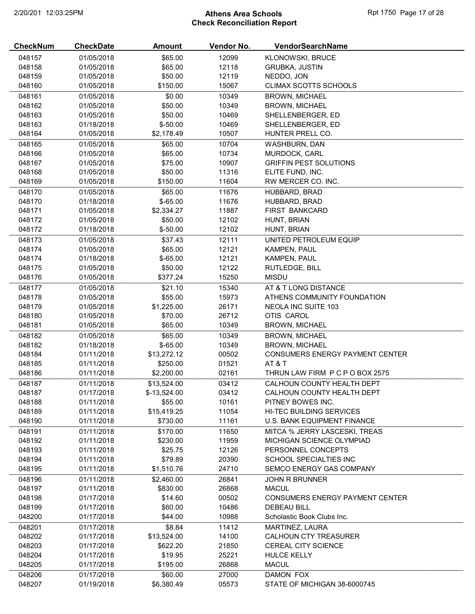# 2/20/2019 12:03:25PM **Athens Area Schools Rpt 1750 Page 17 of 28** Check Reconciliation Report

| <b>CheckNum</b>  | <b>CheckDate</b>         | Amount             | Vendor No.     | VendorSearchName                                             |
|------------------|--------------------------|--------------------|----------------|--------------------------------------------------------------|
| 048157           | 01/05/2018               | \$65.00            | 12099          | KLONOWSKI, BRUCE                                             |
| 048158           | 01/05/2018               | \$65.00            | 12118          | <b>GRUBKA, JUSTIN</b>                                        |
| 048159           | 01/05/2018               | \$50.00            | 12119          | NEDDO, JON                                                   |
| 048160           | 01/05/2018               | \$150.00           | 15067          | <b>CLIMAX SCOTTS SCHOOLS</b>                                 |
| 048161           | 01/05/2018               | \$0.00             | 10349          | <b>BROWN, MICHAEL</b>                                        |
| 048162           | 01/05/2018               | \$50.00            | 10349          | <b>BROWN, MICHAEL</b>                                        |
| 048163           | 01/05/2018               | \$50.00            | 10469          | SHELLENBERGER, ED                                            |
| 048163           | 01/18/2018               | $$-50.00$          | 10469          | SHELLENBERGER, ED                                            |
| 048164           | 01/05/2018               | \$2,178.49         | 10507          | HUNTER PRELL CO.                                             |
| 048165           | 01/05/2018               | \$65.00            | 10704          | WASHBURN, DAN                                                |
| 048166           | 01/05/2018               | \$65.00            | 10734          | MURDOCK, CARL                                                |
| 048167           | 01/05/2018               | \$75.00            | 10907          | <b>GRIFFIN PEST SOLUTIONS</b>                                |
| 048168           | 01/05/2018               | \$50.00            | 11316          | ELITE FUND, INC.                                             |
| 048169           | 01/05/2018               | \$150.00           | 11604          | RW MERCER CO. INC.                                           |
| 048170           | 01/05/2018               | \$65.00            | 11676          | HUBBARD, BRAD                                                |
| 048170           | 01/18/2018               | $$-65.00$          | 11676          | HUBBARD, BRAD                                                |
| 048171           | 01/05/2018               | \$2,334.27         | 11887          | FIRST BANKCARD                                               |
| 048172           | 01/05/2018               | \$50.00            | 12102          | HUNT, BRIAN                                                  |
| 048172           | 01/18/2018               | $$ -50.00$         | 12102          | HUNT, BRIAN                                                  |
| 048173           | 01/05/2018               | \$37.43            | 12111          | UNITED PETROLEUM EQUIP                                       |
| 048174           | 01/05/2018               | \$65.00            | 12121          | KAMPEN, PAUL                                                 |
| 048174           | 01/18/2018               | $$-65.00$          | 12121          | KAMPEN, PAUL                                                 |
| 048175           | 01/05/2018               | \$50.00            | 12122          | RUTLEDGE, BILL                                               |
| 048176           | 01/05/2018               | \$377.24           | 15250          | <b>MISDU</b>                                                 |
| 048177           | 01/05/2018               | \$21.10            | 15340          | AT & T LONG DISTANCE                                         |
| 048178           | 01/05/2018               | \$55.00            | 15973          | ATHENS COMMUNITY FOUNDATION                                  |
| 048179           | 01/05/2018               | \$1,225.00         | 26171          | <b>NEOLA INC SUITE 103</b>                                   |
| 048180           | 01/05/2018               | \$70.00            | 26712          | OTIS CAROL                                                   |
| 048181           | 01/05/2018               | \$65.00            | 10349          | <b>BROWN, MICHAEL</b>                                        |
| 048182           | 01/05/2018               | \$65.00            | 10349          | <b>BROWN, MICHAEL</b>                                        |
| 048182           | 01/18/2018               | $$-65.00$          | 10349          | <b>BROWN, MICHAEL</b>                                        |
| 048184           | 01/11/2018               | \$13,272.12        | 00502          | <b>CONSUMERS ENERGY PAYMENT CENTER</b>                       |
| 048185           | 01/11/2018               | \$250.00           | 01521          | AT&T                                                         |
| 048186           | 01/11/2018               | \$2,200.00         | 02161          | THRUN LAW FIRM P C P O BOX 2575                              |
| 048187           | 01/11/2018               | \$13,524.00        | 03412          | CALHOUN COUNTY HEALTH DEPT                                   |
| 048187           | 01/17/2018               | $$-13,524.00$      | 03412          | CALHOUN COUNTY HEALTH DEPT                                   |
| 048188           | 01/11/2018               | \$55.00            | 10161          | PITNEY BOWES INC.                                            |
| 048189           | 01/11/2018               | \$15,419.25        | 11054          | <b>HI-TEC BUILDING SERVICES</b>                              |
| 048190           | 01/11/2018               | \$730.00           | 11161          | U.S. BANK EQUIPMENT FINANCE                                  |
| 048191           | 01/11/2018               | \$170.00           | 11650          | MITCA % JERRY LASCESKI, TREAS                                |
| 048192           | 01/11/2018               | \$230.00           | 11959          | MICHIGAN SCIENCE OLYMPIAD                                    |
| 048193           | 01/11/2018               | \$25.75            | 12126          | PERSONNEL CONCEPTS                                           |
| 048194           | 01/11/2018               | \$79.89            | 20390          | SCHOOL SPECIALTIES INC                                       |
| 048195           | 01/11/2018               | \$1,510.76         | 24710          | SEMCO ENERGY GAS COMPANY                                     |
| 048196           | 01/11/2018               | \$2,460.00         | 26841          | <b>JOHN R BRUNNER</b>                                        |
|                  | 01/11/2018               | \$830.00           | 26868          | <b>MACUL</b>                                                 |
| 048197           |                          |                    |                |                                                              |
| 048198<br>048199 | 01/17/2018<br>01/17/2018 | \$14.60<br>\$60.00 | 00502<br>10486 | <b>CONSUMERS ENERGY PAYMENT CENTER</b><br><b>DEBEAU BILL</b> |
|                  |                          |                    |                | Scholastic Book Clubs Inc.                                   |
| 048200           | 01/17/2018               | \$44.00            | 10988          |                                                              |
| 048201           | 01/17/2018               | \$8.84             | 11412          | MARTINEZ, LAURA                                              |
| 048202           | 01/17/2018               | \$13,524.00        | 14100          | <b>CALHOUN CTY TREASURER</b>                                 |
| 048203           | 01/17/2018               | \$622.20           | 21850          | <b>CEREAL CITY SCIENCE</b>                                   |
| 048204           | 01/17/2018               | \$19.95            | 25221          | <b>HULCE KELLY</b>                                           |
| 048205           | 01/17/2018               | \$195.00           | 26868          | <b>MACUL</b>                                                 |
| 048206           | 01/17/2018               | \$60.00            | 27000          | DAMON FOX                                                    |
| 048207           | 01/19/2018               | \$6,380.49         | 05573          | STATE OF MICHIGAN 38-6000745                                 |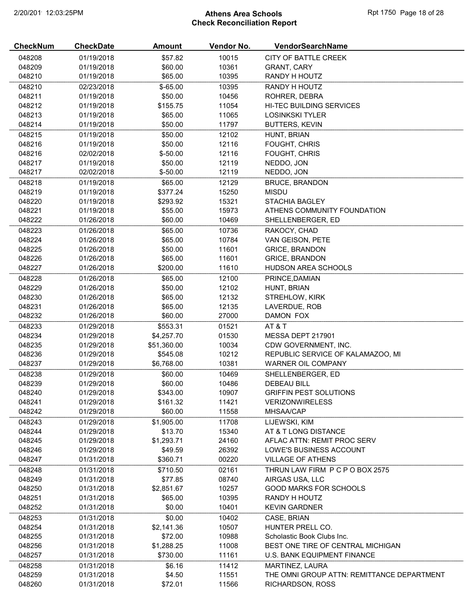# 2/20/2019 12:03:25PM **Athens Area Schools Rpt 1750 Page 18 of 28** Check Reconciliation Report

| <b>CheckNum</b>  | <b>CheckDate</b>         | <b>Amount</b>      | Vendor No.     | VendorSearchName                           |
|------------------|--------------------------|--------------------|----------------|--------------------------------------------|
| 048208           | 01/19/2018               | \$57.82            | 10015          | CITY OF BATTLE CREEK                       |
| 048209           | 01/19/2018               | \$60.00            | 10361          | <b>GRANT, CARY</b>                         |
| 048210           | 01/19/2018               | \$65.00            | 10395          | RANDY H HOUTZ                              |
| 048210           | 02/23/2018               | $$-65.00$          | 10395          | RANDY H HOUTZ                              |
| 048211           | 01/19/2018               | \$50.00            | 10456          | ROHRER, DEBRA                              |
| 048212           | 01/19/2018               | \$155.75           | 11054          | HI-TEC BUILDING SERVICES                   |
| 048213           | 01/19/2018               | \$65.00            | 11065          | <b>LOSINKSKI TYLER</b>                     |
| 048214           | 01/19/2018               | \$50.00            | 11797          | BUTTERS, KEVIN                             |
| 048215           | 01/19/2018               | \$50.00            | 12102          | HUNT, BRIAN                                |
| 048216           | 01/19/2018               | \$50.00            | 12116          | FOUGHT, CHRIS                              |
| 048216           | 02/02/2018               | $$ -50.00$         | 12116          | FOUGHT, CHRIS                              |
| 048217           | 01/19/2018               | \$50.00            | 12119          | NEDDO, JON                                 |
| 048217           | 02/02/2018               | $$ -50.00$         | 12119          | NEDDO, JON                                 |
| 048218           | 01/19/2018               | \$65.00            | 12129          | <b>BRUCE, BRANDON</b>                      |
| 048219           | 01/19/2018               | \$377.24           | 15250          | <b>MISDU</b>                               |
| 048220           | 01/19/2018               | \$293.92           | 15321          | <b>STACHIA BAGLEY</b>                      |
| 048221           | 01/19/2018               | \$55.00            | 15973          | ATHENS COMMUNITY FOUNDATION                |
| 048222           | 01/26/2018               | \$60.00            | 10469          | SHELLENBERGER, ED                          |
| 048223           | 01/26/2018               | \$65.00            | 10736          | RAKOCY, CHAD                               |
| 048224           | 01/26/2018               | \$65.00            | 10784          | VAN GEISON, PETE                           |
| 048225           | 01/26/2018               | \$50.00            | 11601          | <b>GRICE, BRANDON</b>                      |
| 048226           | 01/26/2018               | \$65.00            | 11601          | <b>GRICE, BRANDON</b>                      |
| 048227           | 01/26/2018               | \$200.00           | 11610          | <b>HUDSON AREA SCHOOLS</b>                 |
| 048228           | 01/26/2018               | \$65.00            | 12100          | PRINCE, DAMIAN                             |
| 048229<br>048230 | 01/26/2018               | \$50.00<br>\$65.00 | 12102<br>12132 | HUNT, BRIAN                                |
| 048231           | 01/26/2018<br>01/26/2018 | \$65.00            | 12135          | STREHLOW, KIRK<br>LAVERDUE, ROB            |
| 048232           | 01/26/2018               | \$60.00            | 27000          | DAMON FOX                                  |
| 048233           | 01/29/2018               | \$553.31           | 01521          | AT&T                                       |
| 048234           | 01/29/2018               | \$4,257.70         | 01530          | MESSA DEPT 217901                          |
| 048235           | 01/29/2018               | \$51,360.00        | 10034          | CDW GOVERNMENT, INC.                       |
| 048236           | 01/29/2018               | \$545.08           | 10212          | REPUBLIC SERVICE OF KALAMAZOO. MI          |
| 048237           | 01/29/2018               | \$6,768.00         | 10381          | WARNER OIL COMPANY                         |
| 048238           | 01/29/2018               | \$60.00            | 10469          | SHELLENBERGER, ED                          |
| 048239           | 01/29/2018               | \$60.00            | 10486          | DEBEAU BILL                                |
| 048240           | 01/29/2018               | \$343.00           | 10907          | <b>GRIFFIN PEST SOLUTIONS</b>              |
| 048241           | 01/29/2018               | \$161.32           | 11421          | <b>VERIZONWIRELESS</b>                     |
| 048242           | 01/29/2018               | \$60.00            | 11558          | MHSAA/CAP                                  |
| 048243           | 01/29/2018               | \$1,905.00         | 11708          | LIJEWSKI, KIM                              |
| 048244           | 01/29/2018               | \$13.70            | 15340          | AT & T LONG DISTANCE                       |
| 048245           | 01/29/2018               | \$1,293.71         | 24160          | AFLAC ATTN: REMIT PROC SERV                |
| 048246           | 01/29/2018               | \$49.59            | 26392          | LOWE'S BUSINESS ACCOUNT                    |
| 048247           | 01/31/2018               | \$360.71           | 00220          | <b>VILLAGE OF ATHENS</b>                   |
| 048248           | 01/31/2018               | \$710.50           | 02161          | THRUN LAW FIRM P C P O BOX 2575            |
| 048249           | 01/31/2018               | \$77.85            | 08740          | AIRGAS USA, LLC                            |
| 048250           | 01/31/2018               | \$2,851.67         | 10257          | <b>GOOD MARKS FOR SCHOOLS</b>              |
| 048251           | 01/31/2018               | \$65.00            | 10395          | RANDY H HOUTZ                              |
| 048252           | 01/31/2018               | \$0.00             | 10401          | <b>KEVIN GARDNER</b>                       |
| 048253           | 01/31/2018               | \$0.00             | 10402          | CASE, BRIAN                                |
| 048254           | 01/31/2018               | \$2,141.36         | 10507          | HUNTER PRELL CO.                           |
| 048255           | 01/31/2018               | \$72.00            | 10988          | Scholastic Book Clubs Inc.                 |
| 048256           | 01/31/2018               | \$1,288.25         | 11008          | BEST ONE TIRE OF CENTRAL MICHIGAN          |
| 048257           | 01/31/2018               | \$730.00           | 11161          | U.S. BANK EQUIPMENT FINANCE                |
| 048258           | 01/31/2018               | \$6.16             | 11412          | MARTINEZ, LAURA                            |
| 048259           | 01/31/2018               | \$4.50             | 11551          | THE OMNI GROUP ATTN: REMITTANCE DEPARTMENT |
| 048260           | 01/31/2018               | \$72.01            | 11566          | RICHARDSON, ROSS                           |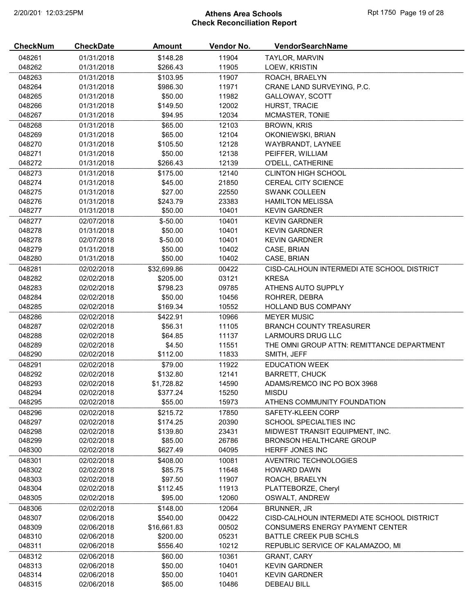# 2/20/2019 12:03:25PM **Athens Area Schools Rpt 1750 Page 19 of 28** Check Reconciliation Report

| <b>CheckNum</b>  | <b>CheckDate</b>         | <b>Amount</b>      | Vendor No.     | VendorSearchName                                                       |
|------------------|--------------------------|--------------------|----------------|------------------------------------------------------------------------|
| 048261           | 01/31/2018               | \$148.28           | 11904          | <b>TAYLOR, MARVIN</b>                                                  |
| 048262           | 01/31/2018               | \$266.43           | 11905          | LOEW, KRISTIN                                                          |
| 048263           | 01/31/2018               | \$103.95           | 11907          | ROACH, BRAELYN                                                         |
| 048264           | 01/31/2018               | \$986.30           | 11971          | CRANE LAND SURVEYING, P.C.                                             |
| 048265           | 01/31/2018               | \$50.00            | 11982          | GALLOWAY, SCOTT                                                        |
| 048266           | 01/31/2018               | \$149.50           | 12002          | HURST, TRACIE                                                          |
| 048267           | 01/31/2018               | \$94.95            | 12034          | MCMASTER, TONIE                                                        |
| 048268           | 01/31/2018               | \$65.00            | 12103          | <b>BROWN, KRIS</b>                                                     |
| 048269           | 01/31/2018               | \$65.00            | 12104          | OKONIEWSKI, BRIAN                                                      |
| 048270           | 01/31/2018               | \$105.50           | 12128          | WAYBRANDT, LAYNEE                                                      |
| 048271           | 01/31/2018               | \$50.00            | 12138          | PEIFFER, WILLIAM                                                       |
| 048272           | 01/31/2018               | \$266.43           | 12139          | O'DELL, CATHERINE                                                      |
| 048273           | 01/31/2018               | \$175.00           | 12140          | <b>CLINTON HIGH SCHOOL</b>                                             |
| 048274           | 01/31/2018               | \$45.00            | 21850          | CEREAL CITY SCIENCE                                                    |
| 048275           | 01/31/2018               | \$27.00            | 22550          | <b>SWANK COLLEEN</b>                                                   |
| 048276           | 01/31/2018               | \$243.79           | 23383          | <b>HAMILTON MELISSA</b>                                                |
| 048277           | 01/31/2018               | \$50.00            | 10401          | <b>KEVIN GARDNER</b>                                                   |
| 048277           | 02/07/2018               | $$ -50.00$         | 10401          | <b>KEVIN GARDNER</b>                                                   |
| 048278           | 01/31/2018               | \$50.00            | 10401          | <b>KEVIN GARDNER</b>                                                   |
| 048278           | 02/07/2018               | $$ -50.00$         | 10401          | <b>KEVIN GARDNER</b>                                                   |
| 048279           | 01/31/2018               | \$50.00            | 10402          | CASE, BRIAN                                                            |
| 048280           | 01/31/2018               | \$50.00            | 10402          | CASE, BRIAN                                                            |
| 048281           | 02/02/2018               | \$32,699.86        | 00422          | CISD-CALHOUN INTERMEDI ATE SCHOOL DISTRICT                             |
| 048282           | 02/02/2018               | \$205.00           | 03121          | <b>KRESA</b>                                                           |
| 048283           | 02/02/2018               | \$798.23           | 09785          | ATHENS AUTO SUPPLY                                                     |
| 048284           | 02/02/2018               | \$50.00            | 10456          | ROHRER, DEBRA                                                          |
| 048285           | 02/02/2018               | \$169.34           | 10552          | <b>HOLLAND BUS COMPANY</b>                                             |
|                  |                          |                    |                |                                                                        |
| 048286           | 02/02/2018               | \$422.91           | 10966          | <b>MEYER MUSIC</b>                                                     |
| 048287           | 02/02/2018               | \$56.31            | 11105          | <b>BRANCH COUNTY TREASURER</b>                                         |
| 048288           | 02/02/2018<br>02/02/2018 | \$64.85            | 11137          | <b>LARMOURS DRUG LLC</b><br>THE OMNI GROUP ATTN: REMITTANCE DEPARTMENT |
| 048289<br>048290 |                          | \$4.50<br>\$112.00 | 11551<br>11833 |                                                                        |
|                  | 02/02/2018               |                    |                | SMITH, JEFF                                                            |
| 048291           | 02/02/2018               | \$79.00            | 11922          | <b>EDUCATION WEEK</b>                                                  |
| 048292           | 02/02/2018               | \$132.80           | 12141          | <b>BARRETT, CHUCK</b>                                                  |
| 048293           | 02/02/2018               | \$1,728.82         | 14590          | ADAMS/REMCO INC PO BOX 3968                                            |
| 048294           | 02/02/2018               | \$377.24           | 15250          | <b>MISDU</b>                                                           |
| 048295           | 02/02/2018               | \$55.00            | 15973          | ATHENS COMMUNITY FOUNDATION                                            |
| 048296           | 02/02/2018               | \$215.72           | 17850          | SAFETY-KLEEN CORP                                                      |
| 048297           | 02/02/2018               | \$174.25           | 20390          | <b>SCHOOL SPECIALTIES INC</b>                                          |
| 048298           | 02/02/2018               | \$139.80           | 23431          | MIDWEST TRANSIT EQUIPMENT, INC.                                        |
| 048299           | 02/02/2018               | \$85.00            | 26786          | <b>BRONSON HEALTHCARE GROUP</b>                                        |
| 048300           | 02/02/2018               | \$627.49           | 04095          | HERFF JONES INC                                                        |
| 048301           | 02/02/2018               | \$408.00           | 10081          | <b>AVENTRIC TECHNOLOGIES</b>                                           |
| 048302           | 02/02/2018               | \$85.75            | 11648          | <b>HOWARD DAWN</b>                                                     |
| 048303           | 02/02/2018               | \$97.50            | 11907          | ROACH, BRAELYN                                                         |
| 048304           | 02/02/2018               | \$112.45           | 11913          | PLATTEBORZE, Cheryl                                                    |
| 048305           | 02/02/2018               | \$95.00            | 12060          | OSWALT, ANDREW                                                         |
| 048306           | 02/02/2018               | \$148.00           | 12064          | BRUNNER, JR                                                            |
| 048307           | 02/06/2018               | \$540.00           | 00422          | CISD-CALHOUN INTERMEDI ATE SCHOOL DISTRICT                             |
| 048309           | 02/06/2018               | \$16,661.83        | 00502          | <b>CONSUMERS ENERGY PAYMENT CENTER</b>                                 |
| 048310           | 02/06/2018               | \$200.00           | 05231          | BATTLE CREEK PUB SCHLS                                                 |
| 048311           | 02/06/2018               | \$556.40           | 10212          | REPUBLIC SERVICE OF KALAMAZOO, MI                                      |
| 048312           | 02/06/2018               | \$60.00            | 10361          | <b>GRANT, CARY</b>                                                     |
| 048313           | 02/06/2018               | \$50.00            | 10401          | <b>KEVIN GARDNER</b>                                                   |
| 048314           | 02/06/2018               | \$50.00            | 10401          | <b>KEVIN GARDNER</b>                                                   |
| 048315           | 02/06/2018               | \$65.00            | 10486          | <b>DEBEAU BILL</b>                                                     |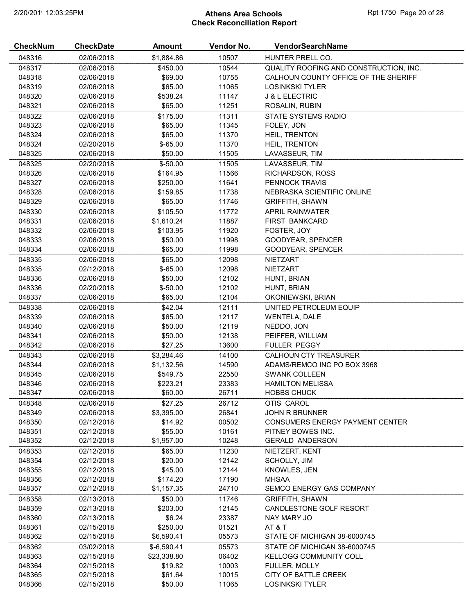# 2/20/2019 12:03:25PM **Athens Area Schools Rpt 1750 Page 20 of 28** Check Reconciliation Report

| <b>CheckNum</b> | <b>CheckDate</b> | Amount       | Vendor No. | VendorSearchName                       |
|-----------------|------------------|--------------|------------|----------------------------------------|
| 048316          | 02/06/2018       | \$1,884.86   | 10507      | HUNTER PRELL CO.                       |
| 048317          | 02/06/2018       | \$450.00     | 10544      | QUALITY ROOFING AND CONSTRUCTION, INC. |
| 048318          | 02/06/2018       | \$69.00      | 10755      | CALHOUN COUNTY OFFICE OF THE SHERIFF   |
| 048319          | 02/06/2018       | \$65.00      | 11065      | <b>LOSINKSKI TYLER</b>                 |
| 048320          | 02/06/2018       | \$538.24     | 11147      | <b>J &amp; L ELECTRIC</b>              |
| 048321          | 02/06/2018       | \$65.00      | 11251      | ROSALIN, RUBIN                         |
| 048322          | 02/06/2018       | \$175.00     | 11311      | STATE SYSTEMS RADIO                    |
| 048323          | 02/06/2018       | \$65.00      | 11345      | FOLEY, JON                             |
| 048324          | 02/06/2018       | \$65.00      | 11370      | HEIL, TRENTON                          |
| 048324          | 02/20/2018       | $$-65.00$    | 11370      | HEIL, TRENTON                          |
| 048325          | 02/06/2018       | \$50.00      | 11505      | LAVASSEUR, TIM                         |
|                 |                  |              | 11505      |                                        |
| 048325          | 02/20/2018       | $$ -50.00$   |            | LAVASSEUR, TIM<br>RICHARDSON, ROSS     |
| 048326          | 02/06/2018       | \$164.95     | 11566      |                                        |
| 048327          | 02/06/2018       | \$250.00     | 11641      | PENNOCK TRAVIS                         |
| 048328          | 02/06/2018       | \$159.85     | 11738      | NEBRASKA SCIENTIFIC ONLINE             |
| 048329          | 02/06/2018       | \$65.00      | 11746      | <b>GRIFFITH, SHAWN</b>                 |
| 048330          | 02/06/2018       | \$105.50     | 11772      | <b>APRIL RAINWATER</b>                 |
| 048331          | 02/06/2018       | \$1,610.24   | 11887      | FIRST BANKCARD                         |
| 048332          | 02/06/2018       | \$103.95     | 11920      | FOSTER, JOY                            |
| 048333          | 02/06/2018       | \$50.00      | 11998      | GOODYEAR, SPENCER                      |
| 048334          | 02/06/2018       | \$65.00      | 11998      | GOODYEAR, SPENCER                      |
| 048335          | 02/06/2018       | \$65.00      | 12098      | <b>NIETZART</b>                        |
| 048335          | 02/12/2018       | $$-65.00$    | 12098      | <b>NIETZART</b>                        |
| 048336          | 02/06/2018       | \$50.00      | 12102      | HUNT, BRIAN                            |
| 048336          | 02/20/2018       | $$-50.00$    | 12102      | HUNT, BRIAN                            |
| 048337          | 02/06/2018       | \$65.00      | 12104      | OKONIEWSKI, BRIAN                      |
| 048338          | 02/06/2018       | \$42.04      | 12111      | UNITED PETROLEUM EQUIP                 |
| 048339          | 02/06/2018       | \$65.00      | 12117      | <b>WENTELA, DALE</b>                   |
| 048340          | 02/06/2018       | \$50.00      | 12119      | NEDDO, JON                             |
| 048341          | 02/06/2018       | \$50.00      | 12138      | PEIFFER, WILLIAM                       |
| 048342          | 02/06/2018       | \$27.25      | 13600      | <b>FULLER PEGGY</b>                    |
| 048343          | 02/06/2018       | \$3,284.46   | 14100      | <b>CALHOUN CTY TREASURER</b>           |
| 048344          | 02/06/2018       | \$1,132.56   | 14590      | ADAMS/REMCO INC PO BOX 3968            |
| 048345          | 02/06/2018       | \$549.75     | 22550      | <b>SWANK COLLEEN</b>                   |
| 048346          | 02/06/2018       | \$223.21     | 23383      | <b>HAMILTON MELISSA</b>                |
| 048347          | 02/06/2018       | \$60.00      | 26711      | <b>HOBBS CHUCK</b>                     |
| 048348          | 02/06/2018       | \$27.25      | 26712      | OTIS CAROL                             |
| 048349          | 02/06/2018       | \$3,395.00   | 26841      | <b>JOHN R BRUNNER</b>                  |
| 048350          | 02/12/2018       | \$14.92      | 00502      | <b>CONSUMERS ENERGY PAYMENT CENTER</b> |
| 048351          | 02/12/2018       | \$55.00      | 10161      | PITNEY BOWES INC.                      |
| 048352          | 02/12/2018       | \$1,957.00   | 10248      | <b>GERALD ANDERSON</b>                 |
| 048353          | 02/12/2018       | \$65.00      | 11230      | NIETZERT, KENT                         |
| 048354          | 02/12/2018       | \$20.00      | 12142      | SCHOLLY, JIM                           |
| 048355          | 02/12/2018       | \$45.00      | 12144      | KNOWLES, JEN                           |
| 048356          | 02/12/2018       | \$174.20     | 17190      | <b>MHSAA</b>                           |
| 048357          | 02/12/2018       | \$1,157.35   | 24710      | SEMCO ENERGY GAS COMPANY               |
| 048358          | 02/13/2018       | \$50.00      | 11746      | <b>GRIFFITH, SHAWN</b>                 |
| 048359          | 02/13/2018       | \$203.00     | 12145      | CANDLESTONE GOLF RESORT                |
| 048360          | 02/13/2018       | \$6.24       | 23387      | NAY MARY JO                            |
| 048361          | 02/15/2018       | \$250.00     | 01521      | AT & T                                 |
| 048362          | 02/15/2018       | \$6,590.41   | 05573      | STATE OF MICHIGAN 38-6000745           |
| 048362          | 03/02/2018       | $$-6,590.41$ | 05573      | STATE OF MICHIGAN 38-6000745           |
| 048363          | 02/15/2018       | \$23,338.80  | 06402      | <b>KELLOGG COMMUNITY COLL</b>          |
| 048364          | 02/15/2018       | \$19.82      | 10003      | FULLER, MOLLY                          |
| 048365          | 02/15/2018       | \$61.64      | 10015      | CITY OF BATTLE CREEK                   |
| 048366          | 02/15/2018       | \$50.00      | 11065      | <b>LOSINKSKI TYLER</b>                 |
|                 |                  |              |            |                                        |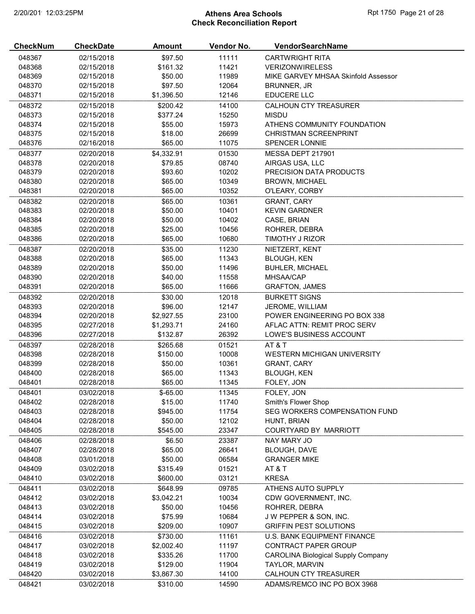# 2/20/2019 12:03:25PM **Athens Area Schools Rpt 1750 Page 21 of 28** Check Reconciliation Report

| <b>CheckNum</b> | <b>CheckDate</b> | <b>Amount</b> | Vendor No. | VendorSearchName                          |
|-----------------|------------------|---------------|------------|-------------------------------------------|
| 048367          | 02/15/2018       | \$97.50       | 11111      | <b>CARTWRIGHT RITA</b>                    |
| 048368          | 02/15/2018       | \$161.32      | 11421      | <b>VERIZONWIRELESS</b>                    |
| 048369          | 02/15/2018       | \$50.00       | 11989      | MIKE GARVEY MHSAA Skinfold Assessor       |
| 048370          | 02/15/2018       | \$97.50       | 12064      | <b>BRUNNER, JR</b>                        |
| 048371          | 02/15/2018       | \$1,396.50    | 12146      | EDUCERE LLC                               |
| 048372          | 02/15/2018       | \$200.42      | 14100      | <b>CALHOUN CTY TREASURER</b>              |
| 048373          | 02/15/2018       | \$377.24      | 15250      | <b>MISDU</b>                              |
| 048374          | 02/15/2018       | \$55.00       | 15973      | ATHENS COMMUNITY FOUNDATION               |
| 048375          | 02/15/2018       | \$18.00       | 26699      | <b>CHRISTMAN SCREENPRINT</b>              |
| 048376          | 02/16/2018       | \$65.00       | 11075      | SPENCER LONNIE                            |
| 048377          | 02/20/2018       | \$4,332.91    | 01530      | MESSA DEPT 217901                         |
| 048378          | 02/20/2018       | \$79.85       | 08740      | AIRGAS USA, LLC                           |
| 048379          | 02/20/2018       | \$93.60       | 10202      | PRECISION DATA PRODUCTS                   |
| 048380          | 02/20/2018       | \$65.00       | 10349      | <b>BROWN, MICHAEL</b>                     |
| 048381          | 02/20/2018       | \$65.00       | 10352      | O'LEARY, CORBY                            |
| 048382          | 02/20/2018       | \$65.00       | 10361      | GRANT, CARY                               |
| 048383          | 02/20/2018       | \$50.00       | 10401      | <b>KEVIN GARDNER</b>                      |
| 048384          | 02/20/2018       | \$50.00       | 10402      | CASE, BRIAN                               |
| 048385          | 02/20/2018       | \$25.00       | 10456      | ROHRER, DEBRA                             |
| 048386          | 02/20/2018       | \$65.00       | 10680      | TIMOTHY J RIZOR                           |
| 048387          | 02/20/2018       | \$35.00       | 11230      | NIETZERT, KENT                            |
| 048388          | 02/20/2018       | \$65.00       | 11343      | <b>BLOUGH, KEN</b>                        |
| 048389          | 02/20/2018       | \$50.00       | 11496      | <b>BUHLER, MICHAEL</b>                    |
| 048390          | 02/20/2018       | \$40.00       | 11558      | MHSAA/CAP                                 |
| 048391          | 02/20/2018       | \$65.00       | 11666      | <b>GRAFTON, JAMES</b>                     |
|                 |                  |               |            |                                           |
| 048392          | 02/20/2018       | \$30.00       | 12018      | <b>BURKETT SIGNS</b>                      |
| 048393          | 02/20/2018       | \$96.00       | 12147      | JEROME, WILLIAM                           |
| 048394          | 02/20/2018       | \$2,927.55    | 23100      | POWER ENGINEERING PO BOX 338              |
| 048395          | 02/27/2018       | \$1,293.71    | 24160      | AFLAC ATTN: REMIT PROC SERV               |
| 048396          | 02/27/2018       | \$132.87      | 26392      | LOWE'S BUSINESS ACCOUNT                   |
| 048397          | 02/28/2018       | \$265.68      | 01521      | AT&T                                      |
| 048398          | 02/28/2018       | \$150.00      | 10008      | <b>WESTERN MICHIGAN UNIVERSITY</b>        |
| 048399          | 02/28/2018       | \$50.00       | 10361      | <b>GRANT, CARY</b>                        |
| 048400          | 02/28/2018       | \$65.00       | 11343      | <b>BLOUGH, KEN</b>                        |
| 048401          | 02/28/2018       | \$65.00       | 11345      | FOLEY, JON                                |
| 048401          | 03/02/2018       | $$-65.00$     | 11345      | FOLEY, JON                                |
| 048402          | 02/28/2018       | \$15.00       | 11740      | Smith's Flower Shop                       |
| 048403          | 02/28/2018       | \$945.00      | 11754      | SEG WORKERS COMPENSATION FUND             |
| 048404          | 02/28/2018       | \$50.00       | 12102      | HUNT, BRIAN                               |
| 048405          | 02/28/2018       | \$545.00      | 23347      | COURTYARD BY MARRIOTT                     |
| 048406          | 02/28/2018       | \$6.50        | 23387      | <b>NAY MARY JO</b>                        |
| 048407          | 02/28/2018       | \$65.00       | 26641      | <b>BLOUGH, DAVE</b>                       |
| 048408          | 03/01/2018       | \$50.00       | 06584      | <b>GRANGER MIKE</b>                       |
| 048409          | 03/02/2018       | \$315.49      | 01521      | AT&T                                      |
| 048410          | 03/02/2018       | \$600.00      | 03121      | <b>KRESA</b>                              |
| 048411          | 03/02/2018       | \$648.99      | 09785      | ATHENS AUTO SUPPLY                        |
| 048412          | 03/02/2018       | \$3,042.21    | 10034      | CDW GOVERNMENT, INC.                      |
| 048413          | 03/02/2018       | \$50.00       | 10456      | ROHRER, DEBRA                             |
| 048414          | 03/02/2018       | \$75.99       | 10684      | J W PEPPER & SON, INC.                    |
| 048415          | 03/02/2018       | \$209.00      | 10907      | <b>GRIFFIN PEST SOLUTIONS</b>             |
| 048416          | 03/02/2018       | \$730.00      | 11161      | U.S. BANK EQUIPMENT FINANCE               |
| 048417          | 03/02/2018       | \$2,002.40    | 11197      | CONTRACT PAPER GROUP                      |
| 048418          | 03/02/2018       | \$335.26      | 11700      | <b>CAROLINA Biological Supply Company</b> |
| 048419          | 03/02/2018       | \$129.00      | 11904      | TAYLOR, MARVIN                            |
| 048420          | 03/02/2018       | \$3,867.30    | 14100      | <b>CALHOUN CTY TREASURER</b>              |
| 048421          | 03/02/2018       | \$310.00      | 14590      | ADAMS/REMCO INC PO BOX 3968               |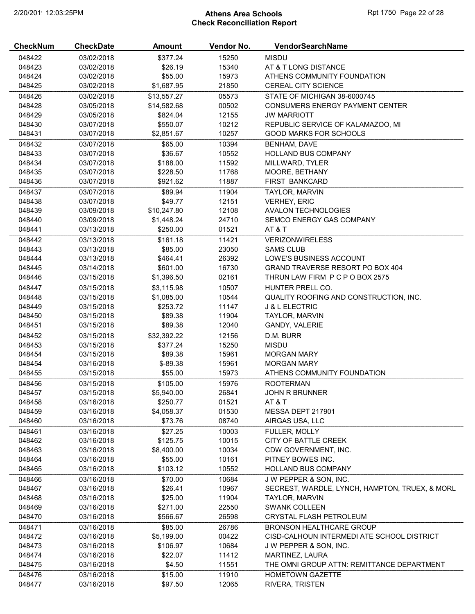# 2/20/2019 12:03:25PM **Athens Area Schools Rpt 1750 Page 22 of 28** Check Reconciliation Report

| <b>CheckNum</b> | <b>CheckDate</b> | <b>Amount</b> | Vendor No. | VendorSearchName                               |
|-----------------|------------------|---------------|------------|------------------------------------------------|
| 048422          | 03/02/2018       | \$377.24      | 15250      | <b>MISDU</b>                                   |
| 048423          | 03/02/2018       | \$26.19       | 15340      | AT & T LONG DISTANCE                           |
| 048424          | 03/02/2018       | \$55.00       | 15973      | ATHENS COMMUNITY FOUNDATION                    |
| 048425          | 03/02/2018       | \$1,687.95    | 21850      | <b>CEREAL CITY SCIENCE</b>                     |
| 048426          | 03/02/2018       | \$13,557.27   | 05573      | STATE OF MICHIGAN 38-6000745                   |
| 048428          | 03/05/2018       | \$14,582.68   | 00502      | <b>CONSUMERS ENERGY PAYMENT CENTER</b>         |
| 048429          | 03/05/2018       | \$824.04      | 12155      | <b>JW MARRIOTT</b>                             |
| 048430          | 03/07/2018       | \$550.07      | 10212      | REPUBLIC SERVICE OF KALAMAZOO, MI              |
| 048431          | 03/07/2018       | \$2,851.67    | 10257      | <b>GOOD MARKS FOR SCHOOLS</b>                  |
| 048432          | 03/07/2018       | \$65.00       | 10394      | <b>BENHAM, DAVE</b>                            |
| 048433          | 03/07/2018       | \$36.67       | 10552      | <b>HOLLAND BUS COMPANY</b>                     |
| 048434          | 03/07/2018       | \$188.00      | 11592      | MILLWARD, TYLER                                |
| 048435          | 03/07/2018       | \$228.50      | 11768      | MOORE, BETHANY                                 |
| 048436          | 03/07/2018       | \$921.62      | 11887      | FIRST BANKCARD                                 |
| 048437          | 03/07/2018       | \$89.94       | 11904      | TAYLOR, MARVIN                                 |
| 048438          | 03/07/2018       | \$49.77       | 12151      | <b>VERHEY, ERIC</b>                            |
| 048439          | 03/09/2018       | \$10,247.80   | 12108      | <b>AVALON TECHNOLOGIES</b>                     |
| 048440          | 03/09/2018       | \$1,448.24    | 24710      | SEMCO ENERGY GAS COMPANY                       |
| 048441          | 03/13/2018       | \$250.00      | 01521      | <b>AT &amp; T</b>                              |
| 048442          | 03/13/2018       | \$161.18      | 11421      | <b>VERIZONWIRELESS</b>                         |
| 048443          | 03/13/2018       | \$85.00       | 23050      | <b>SAMS CLUB</b>                               |
| 048444          | 03/13/2018       | \$464.41      | 26392      | LOWE'S BUSINESS ACCOUNT                        |
| 048445          | 03/14/2018       | \$601.00      | 16730      | GRAND TRAVERSE RESORT PO BOX 404               |
| 048446          | 03/15/2018       | \$1,396.50    | 02161      | THRUN LAW FIRM P C P O BOX 2575                |
| 048447          | 03/15/2018       | \$3,115.98    | 10507      | HUNTER PRELL CO.                               |
| 048448          | 03/15/2018       | \$1,085.00    | 10544      | QUALITY ROOFING AND CONSTRUCTION, INC.         |
| 048449          | 03/15/2018       | \$253.72      | 11147      | <b>J &amp; L ELECTRIC</b>                      |
| 048450          | 03/15/2018       | \$89.38       | 11904      | TAYLOR, MARVIN                                 |
| 048451          | 03/15/2018       | \$89.38       | 12040      | GANDY, VALERIE                                 |
| 048452          | 03/15/2018       | \$32,392.22   | 12156      | D.M. BURR                                      |
| 048453          | 03/15/2018       | \$377.24      | 15250      | <b>MISDU</b>                                   |
| 048454          | 03/15/2018       | \$89.38       | 15961      | <b>MORGAN MARY</b>                             |
| 048454          | 03/16/2018       | $$-89.38$     | 15961      | <b>MORGAN MARY</b>                             |
| 048455          | 03/15/2018       | \$55.00       | 15973      | ATHENS COMMUNITY FOUNDATION                    |
| 048456          | 03/15/2018       | \$105.00      | 15976      | <b>ROOTERMAN</b>                               |
| 048457          | 03/15/2018       | \$5,940.00    | 26841      | <b>JOHN R BRUNNER</b>                          |
| 048458          | 03/16/2018       | \$250.77      | 01521      | <b>AT &amp; T</b>                              |
| 048459          | 03/16/2018       | \$4,058.37    | 01530      | MESSA DEPT 217901                              |
| 048460          | 03/16/2018       | \$73.76       | 08740      | AIRGAS USA, LLC                                |
| 048461          | 03/16/2018       | \$27.25       | 10003      | <b>FULLER, MOLLY</b>                           |
| 048462          | 03/16/2018       | \$125.75      | 10015      | CITY OF BATTLE CREEK                           |
| 048463          | 03/16/2018       | \$8,400.00    | 10034      | CDW GOVERNMENT, INC.                           |
| 048464          | 03/16/2018       | \$55.00       | 10161      | PITNEY BOWES INC.                              |
| 048465          | 03/16/2018       | \$103.12      | 10552      | <b>HOLLAND BUS COMPANY</b>                     |
| 048466          | 03/16/2018       | \$70.00       | 10684      | J W PEPPER & SON, INC.                         |
| 048467          | 03/16/2018       | \$26.41       | 10967      | SECREST, WARDLE, LYNCH, HAMPTON, TRUEX, & MORL |
| 048468          | 03/16/2018       | \$25.00       | 11904      | TAYLOR, MARVIN                                 |
| 048469          | 03/16/2018       | \$271.00      | 22550      | <b>SWANK COLLEEN</b>                           |
| 048470          | 03/16/2018       | \$566.67      | 26598      | CRYSTAL FLASH PETROLEUM                        |
| 048471          | 03/16/2018       | \$85.00       | 26786      | <b>BRONSON HEALTHCARE GROUP</b>                |
| 048472          | 03/16/2018       | \$5,199.00    | 00422      | CISD-CALHOUN INTERMEDI ATE SCHOOL DISTRICT     |
| 048473          | 03/16/2018       | \$106.97      | 10684      | J W PEPPER & SON, INC.                         |
| 048474          | 03/16/2018       | \$22.07       | 11412      | MARTINEZ, LAURA                                |
| 048475          | 03/16/2018       | \$4.50        | 11551      | THE OMNI GROUP ATTN: REMITTANCE DEPARTMENT     |
| 048476          | 03/16/2018       | \$15.00       | 11910      | <b>HOMETOWN GAZETTE</b>                        |
| 048477          | 03/16/2018       | \$97.50       | 12065      | RIVERA, TRISTEN                                |
|                 |                  |               |            |                                                |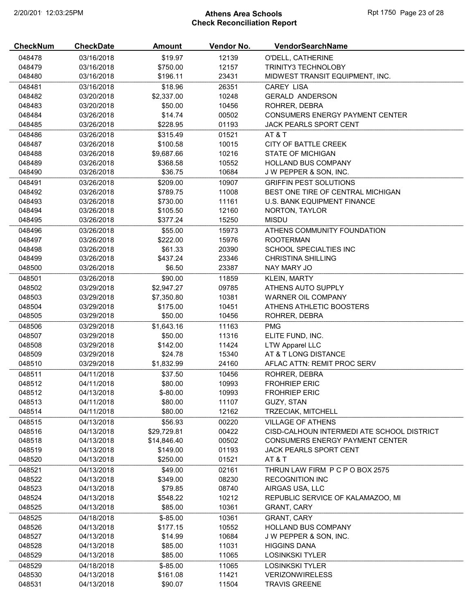# 2/20/2019 12:03:25PM **Athens Area Schools Rpt 1750 Page 23 of 28** Check Reconciliation Report

| <b>CheckNum</b>  | <b>CheckDate</b>         | <b>Amount</b>         | Vendor No.     | VendorSearchName                                    |
|------------------|--------------------------|-----------------------|----------------|-----------------------------------------------------|
| 048478           | 03/16/2018               | \$19.97               | 12139          | O'DELL, CATHERINE                                   |
| 048479           | 03/16/2018               | \$750.00              | 12157          | <b>TRINITY3 TECHNOLOBY</b>                          |
| 048480           | 03/16/2018               | \$196.11              | 23431          | MIDWEST TRANSIT EQUIPMENT, INC.                     |
| 048481           | 03/16/2018               | \$18.96               | 26351          | <b>CAREY LISA</b>                                   |
| 048482           | 03/20/2018               | \$2,337.00            | 10248          | <b>GERALD ANDERSON</b>                              |
| 048483           | 03/20/2018               | \$50.00               | 10456          | ROHRER, DEBRA                                       |
| 048484           | 03/26/2018               | \$14.74               | 00502          | <b>CONSUMERS ENERGY PAYMENT CENTER</b>              |
| 048485           | 03/26/2018               | \$228.95              | 01193          | JACK PEARLS SPORT CENT                              |
| 048486           | 03/26/2018               | \$315.49              | 01521          | <b>AT &amp; T</b>                                   |
| 048487           | 03/26/2018               | \$100.58              | 10015          | CITY OF BATTLE CREEK                                |
| 048488           | 03/26/2018               | \$9,687.66            | 10216          | <b>STATE OF MICHIGAN</b>                            |
| 048489           | 03/26/2018               | \$368.58              | 10552          | <b>HOLLAND BUS COMPANY</b>                          |
| 048490           | 03/26/2018               | \$36.75               | 10684          | J W PEPPER & SON, INC.                              |
| 048491           | 03/26/2018               | \$209.00              | 10907          | <b>GRIFFIN PEST SOLUTIONS</b>                       |
| 048492           | 03/26/2018               | \$789.75              | 11008          | BEST ONE TIRE OF CENTRAL MICHIGAN                   |
| 048493           | 03/26/2018               | \$730.00              | 11161          | U.S. BANK EQUIPMENT FINANCE                         |
| 048494           | 03/26/2018               | \$105.50              | 12160          | NORTON, TAYLOR                                      |
| 048495           | 03/26/2018               | \$377.24              | 15250          | <b>MISDU</b>                                        |
| 048496           | 03/26/2018               | \$55.00               | 15973          | ATHENS COMMUNITY FOUNDATION                         |
| 048497           | 03/26/2018               | \$222.00              | 15976          | <b>ROOTERMAN</b>                                    |
| 048498           | 03/26/2018               | \$61.33               | 20390          | <b>SCHOOL SPECIALTIES INC</b>                       |
| 048499           | 03/26/2018               | \$437.24              | 23346          | CHRISTINA SHILLING                                  |
| 048500           | 03/26/2018               | \$6.50                | 23387          | NAY MARY JO                                         |
| 048501           | 03/26/2018               | \$90.00               | 11859          | KLEIN, MARTY                                        |
| 048502           | 03/29/2018               | \$2,947.27            | 09785          | ATHENS AUTO SUPPLY                                  |
| 048503           | 03/29/2018               | \$7,350.80            | 10381          | WARNER OIL COMPANY                                  |
| 048504           | 03/29/2018               | \$175.00              | 10451          | ATHENS ATHLETIC BOOSTERS                            |
| 048505           | 03/29/2018               | \$50.00               | 10456          | ROHRER, DEBRA                                       |
| 048506           | 03/29/2018               | \$1,643.16            | 11163          | <b>PMG</b>                                          |
| 048507           | 03/29/2018               | \$50.00               | 11316          | ELITE FUND, INC.                                    |
| 048508           | 03/29/2018               | \$142.00              | 11424          | <b>LTW Apparel LLC</b>                              |
| 048509<br>048510 | 03/29/2018<br>03/29/2018 | \$24.78<br>\$1,832.99 | 15340<br>24160 | AT & T LONG DISTANCE<br>AFLAC ATTN: REMIT PROC SERV |
|                  |                          |                       |                |                                                     |
| 048511<br>048512 | 04/11/2018<br>04/11/2018 | \$37.50<br>\$80.00    | 10456<br>10993 | ROHRER, DEBRA<br><b>FROHRIEP ERIC</b>               |
| 048512           | 04/13/2018               | $$ -80.00$            | 10993          | <b>FROHRIEP ERIC</b>                                |
| 048513           | 04/11/2018               | \$80.00               | 11107          | GUZY, STAN                                          |
| 048514           | 04/11/2018               | \$80.00               | 12162          | TRZECIAK, MITCHELL                                  |
| 048515           | 04/13/2018               | \$56.93               | 00220          | <b>VILLAGE OF ATHENS</b>                            |
| 048516           | 04/13/2018               | \$29,729.81           | 00422          | CISD-CALHOUN INTERMEDI ATE SCHOOL DISTRICT          |
| 048518           | 04/13/2018               | \$14,846.40           | 00502          | CONSUMERS ENERGY PAYMENT CENTER                     |
| 048519           | 04/13/2018               | \$149.00              | 01193          | JACK PEARLS SPORT CENT                              |
| 048520           | 04/13/2018               | \$250.00              | 01521          | <b>AT &amp; T</b>                                   |
| 048521           | 04/13/2018               | \$49.00               | 02161          | THRUN LAW FIRM P C P O BOX 2575                     |
| 048522           | 04/13/2018               | \$349.00              | 08230          | <b>RECOGNITION INC</b>                              |
| 048523           | 04/13/2018               | \$79.85               | 08740          | AIRGAS USA, LLC                                     |
| 048524           | 04/13/2018               | \$548.22              | 10212          | REPUBLIC SERVICE OF KALAMAZOO, MI                   |
| 048525           | 04/13/2018               | \$85.00               | 10361          | <b>GRANT, CARY</b>                                  |
| 048525           | 04/18/2018               | $$-85.00$             | 10361          | <b>GRANT, CARY</b>                                  |
| 048526           | 04/13/2018               | \$177.15              | 10552          | <b>HOLLAND BUS COMPANY</b>                          |
| 048527           | 04/13/2018               | \$14.99               | 10684          | J W PEPPER & SON, INC.                              |
| 048528           | 04/13/2018               | \$85.00               | 11031          | <b>HIGGINS DANA</b>                                 |
| 048529           | 04/13/2018               | \$85.00               | 11065          | <b>LOSINKSKI TYLER</b>                              |
| 048529           | 04/18/2018               | $$-85.00$             | 11065          | <b>LOSINKSKI TYLER</b>                              |
| 048530           | 04/13/2018               | \$161.08              | 11421          | <b>VERIZONWIRELESS</b>                              |
| 048531           | 04/13/2018               | \$90.07               | 11504          | <b>TRAVIS GREENE</b>                                |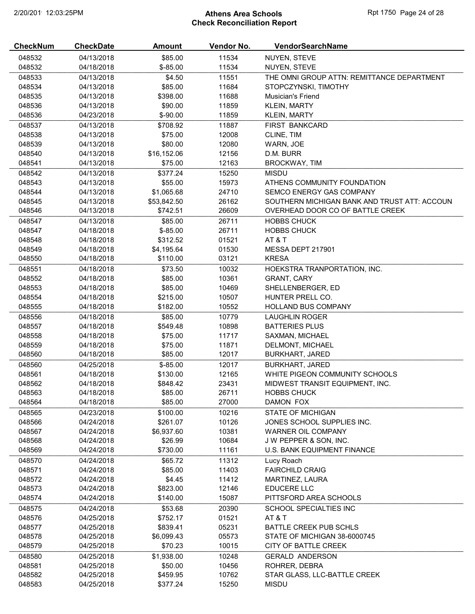# 2/20/2019 12:03:25PM **Athens Area Schools Rpt 1750 Page 24 of 28** Check Reconciliation Report

| <b>CheckNum</b> | <b>CheckDate</b> | Amount      | Vendor No. | VendorSearchName                             |
|-----------------|------------------|-------------|------------|----------------------------------------------|
| 048532          | 04/13/2018       | \$85.00     | 11534      | NUYEN, STEVE                                 |
| 048532          | 04/18/2018       | $$ -85.00$  | 11534      | NUYEN, STEVE                                 |
| 048533          | 04/13/2018       | \$4.50      | 11551      | THE OMNI GROUP ATTN: REMITTANCE DEPARTMENT   |
| 048534          | 04/13/2018       | \$85.00     | 11684      | STOPCZYNSKI, TIMOTHY                         |
| 048535          | 04/13/2018       | \$398.00    | 11688      | Musician's Friend                            |
| 048536          | 04/13/2018       | \$90.00     | 11859      | <b>KLEIN, MARTY</b>                          |
| 048536          | 04/23/2018       | $$ -90.00$  | 11859      | <b>KLEIN, MARTY</b>                          |
| 048537          | 04/13/2018       | \$708.92    | 11887      | FIRST BANKCARD                               |
| 048538          | 04/13/2018       | \$75.00     | 12008      | CLINE, TIM                                   |
| 048539          | 04/13/2018       | \$80.00     | 12080      | WARN, JOE                                    |
| 048540          | 04/13/2018       | \$16,152.06 | 12156      | D.M. BURR                                    |
| 048541          | 04/13/2018       | \$75.00     | 12163      | <b>BROCKWAY, TIM</b>                         |
| 048542          | 04/13/2018       | \$377.24    | 15250      | <b>MISDU</b>                                 |
| 048543          | 04/13/2018       | \$55.00     | 15973      | ATHENS COMMUNITY FOUNDATION                  |
| 048544          | 04/13/2018       | \$1,065.68  | 24710      | SEMCO ENERGY GAS COMPANY                     |
| 048545          | 04/13/2018       | \$53,842.50 | 26162      | SOUTHERN MICHIGAN BANK AND TRUST ATT: ACCOUN |
| 048546          | 04/13/2018       | \$742.51    | 26609      | OVERHEAD DOOR CO OF BATTLE CREEK             |
| 048547          | 04/13/2018       | \$85.00     | 26711      | <b>HOBBS CHUCK</b>                           |
| 048547          | 04/18/2018       | $$ -85.00$  | 26711      | <b>HOBBS CHUCK</b>                           |
| 048548          | 04/18/2018       | \$312.52    | 01521      | AT&T                                         |
| 048549          | 04/18/2018       | \$4,195.64  | 01530      | MESSA DEPT 217901                            |
| 048550          | 04/18/2018       | \$110.00    | 03121      | <b>KRESA</b>                                 |
| 048551          | 04/18/2018       | \$73.50     | 10032      | HOEKSTRA TRANPORTATION, INC.                 |
| 048552          | 04/18/2018       | \$85.00     | 10361      | <b>GRANT, CARY</b>                           |
| 048553          | 04/18/2018       | \$85.00     | 10469      | SHELLENBERGER, ED                            |
| 048554          | 04/18/2018       | \$215.00    | 10507      | HUNTER PRELL CO.                             |
| 048555          | 04/18/2018       | \$182.00    | 10552      | <b>HOLLAND BUS COMPANY</b>                   |
| 048556          | 04/18/2018       | \$85.00     | 10779      | <b>LAUGHLIN ROGER</b>                        |
| 048557          | 04/18/2018       | \$549.48    | 10898      | <b>BATTERIES PLUS</b>                        |
| 048558          | 04/18/2018       | \$75.00     | 11717      | SAXMAN, MICHAEL                              |
| 048559          | 04/18/2018       | \$75.00     | 11871      | DELMONT, MICHAEL                             |
| 048560          | 04/18/2018       | \$85.00     | 12017      | <b>BURKHART, JARED</b>                       |
| 048560          | 04/25/2018       | $$ -85.00$  | 12017      | <b>BURKHART, JARED</b>                       |
| 048561          | 04/18/2018       | \$130.00    | 12165      | WHITE PIGEON COMMUNITY SCHOOLS               |
| 048562          | 04/18/2018       | \$848.42    | 23431      | MIDWEST TRANSIT EQUIPMENT, INC.              |
| 048563          | 04/18/2018       | \$85.00     | 26711      | <b>HOBBS CHUCK</b>                           |
| 048564          | 04/18/2018       | \$85.00     | 27000      | DAMON FOX                                    |
| 048565          | 04/23/2018       | \$100.00    | 10216      | <b>STATE OF MICHIGAN</b>                     |
| 048566          | 04/24/2018       | \$261.07    | 10126      | JONES SCHOOL SUPPLIES INC.                   |
| 048567          | 04/24/2018       | \$6,937.60  | 10381      | WARNER OIL COMPANY                           |
| 048568          | 04/24/2018       | \$26.99     | 10684      | J W PEPPER & SON, INC.                       |
| 048569          | 04/24/2018       | \$730.00    | 11161      | U.S. BANK EQUIPMENT FINANCE                  |
| 048570          | 04/24/2018       | \$65.72     | 11312      | Lucy Roach                                   |
| 048571          | 04/24/2018       | \$85.00     | 11403      | <b>FAIRCHILD CRAIG</b>                       |
| 048572          | 04/24/2018       | \$4.45      | 11412      | MARTINEZ, LAURA                              |
| 048573          | 04/24/2018       | \$823.00    | 12146      | EDUCERE LLC                                  |
| 048574          | 04/24/2018       | \$140.00    | 15087      | PITTSFORD AREA SCHOOLS                       |
| 048575          | 04/24/2018       | \$53.68     | 20390      | SCHOOL SPECIALTIES INC                       |
| 048576          | 04/25/2018       | \$752.17    | 01521      | AT & T                                       |
| 048577          | 04/25/2018       | \$839.41    | 05231      | BATTLE CREEK PUB SCHLS                       |
| 048578          | 04/25/2018       | \$6,099.43  | 05573      | STATE OF MICHIGAN 38-6000745                 |
| 048579          | 04/25/2018       | \$70.23     | 10015      | CITY OF BATTLE CREEK                         |
| 048580          | 04/25/2018       | \$1,938.00  | 10248      | <b>GERALD ANDERSON</b>                       |
| 048581          | 04/25/2018       | \$50.00     | 10456      | ROHRER, DEBRA                                |
| 048582          | 04/25/2018       | \$459.95    | 10762      | STAR GLASS, LLC-BATTLE CREEK                 |
| 048583          | 04/25/2018       | \$377.24    | 15250      | <b>MISDU</b>                                 |
|                 |                  |             |            |                                              |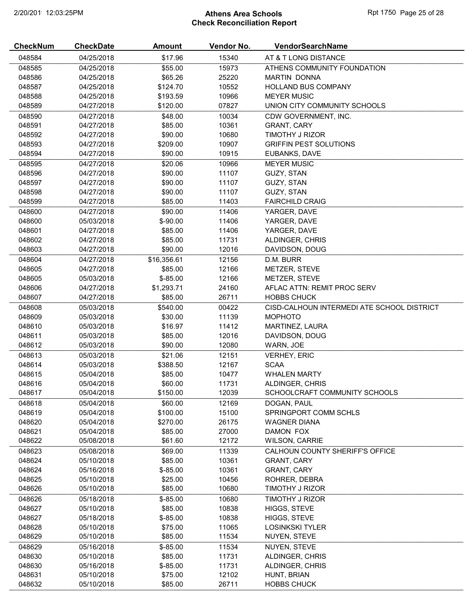# 2/20/2019 12:03:25PM **Athens Area Schools Rpt 1750 Page 25 of 28** Check Reconciliation Report

| <b>CheckNum</b> | <b>CheckDate</b> | Amount      | Vendor No. | VendorSearchName                           |
|-----------------|------------------|-------------|------------|--------------------------------------------|
| 048584          | 04/25/2018       | \$17.96     | 15340      | AT & T LONG DISTANCE                       |
| 048585          | 04/25/2018       | \$55.00     | 15973      | ATHENS COMMUNITY FOUNDATION                |
| 048586          | 04/25/2018       | \$65.26     | 25220      | <b>MARTIN DONNA</b>                        |
| 048587          | 04/25/2018       | \$124.70    | 10552      | <b>HOLLAND BUS COMPANY</b>                 |
| 048588          | 04/25/2018       | \$193.59    | 10966      | <b>MEYER MUSIC</b>                         |
| 048589          | 04/27/2018       | \$120.00    | 07827      | UNION CITY COMMUNITY SCHOOLS               |
| 048590          | 04/27/2018       | \$48.00     | 10034      | CDW GOVERNMENT, INC.                       |
| 048591          | 04/27/2018       | \$85.00     | 10361      | <b>GRANT, CARY</b>                         |
| 048592          | 04/27/2018       | \$90.00     | 10680      | TIMOTHY J RIZOR                            |
| 048593          | 04/27/2018       | \$209.00    | 10907      | <b>GRIFFIN PEST SOLUTIONS</b>              |
| 048594          | 04/27/2018       | \$90.00     | 10915      | EUBANKS, DAVE                              |
| 048595          | 04/27/2018       | \$20.06     | 10966      | <b>MEYER MUSIC</b>                         |
| 048596          | 04/27/2018       | \$90.00     | 11107      | GUZY, STAN                                 |
| 048597          | 04/27/2018       | \$90.00     | 11107      | GUZY, STAN                                 |
| 048598          | 04/27/2018       | \$90.00     | 11107      | GUZY, STAN                                 |
| 048599          | 04/27/2018       | \$85.00     | 11403      | <b>FAIRCHILD CRAIG</b>                     |
| 048600          | 04/27/2018       | \$90.00     | 11406      | YARGER, DAVE                               |
| 048600          | 05/03/2018       | $$-90.00$   | 11406      | YARGER, DAVE                               |
| 048601          | 04/27/2018       | \$85.00     | 11406      | YARGER, DAVE                               |
| 048602          | 04/27/2018       | \$85.00     | 11731      | ALDINGER, CHRIS                            |
| 048603          | 04/27/2018       | \$90.00     | 12016      | DAVIDSON, DOUG                             |
| 048604          | 04/27/2018       | \$16,356.61 | 12156      | D.M. BURR                                  |
| 048605          | 04/27/2018       | \$85.00     | 12166      | METZER, STEVE                              |
| 048605          | 05/03/2018       | $$-85.00$   | 12166      | METZER, STEVE                              |
| 048606          | 04/27/2018       | \$1,293.71  | 24160      | AFLAC ATTN: REMIT PROC SERV                |
| 048607          | 04/27/2018       | \$85.00     | 26711      | <b>HOBBS CHUCK</b>                         |
| 048608          | 05/03/2018       | \$540.00    | 00422      | CISD-CALHOUN INTERMEDI ATE SCHOOL DISTRICT |
| 048609          | 05/03/2018       | \$30.00     | 11139      | <b>MOPHOTO</b>                             |
| 048610          | 05/03/2018       | \$16.97     | 11412      | MARTINEZ, LAURA                            |
| 048611          | 05/03/2018       | \$85.00     | 12016      | DAVIDSON, DOUG                             |
| 048612          | 05/03/2018       | \$90.00     | 12080      | WARN, JOE                                  |
| 048613          | 05/03/2018       | \$21.06     | 12151      | <b>VERHEY, ERIC</b>                        |
| 048614          | 05/03/2018       | \$388.50    | 12167      | <b>SCAA</b>                                |
| 048615          | 05/04/2018       | \$85.00     | 10477      | <b>WHALEN MARTY</b>                        |
| 048616          | 05/04/2018       | \$60.00     | 11731      | ALDINGER, CHRIS                            |
| 048617          | 05/04/2018       | \$150.00    | 12039      | SCHOOLCRAFT COMMUNITY SCHOOLS              |
| 048618          | 05/04/2018       | \$60.00     | 12169      | DOGAN, PAUL                                |
| 048619          | 05/04/2018       | \$100.00    | 15100      | SPRINGPORT COMM SCHLS                      |
| 048620          | 05/04/2018       | \$270.00    | 26175      | <b>WAGNER DIANA</b>                        |
| 048621          | 05/04/2018       | \$85.00     | 27000      | DAMON FOX                                  |
| 048622          | 05/08/2018       | \$61.60     | 12172      | <b>WILSON, CARRIE</b>                      |
| 048623          | 05/08/2018       | \$69.00     | 11339      | CALHOUN COUNTY SHERIFF'S OFFICE            |
| 048624          | 05/10/2018       | \$85.00     | 10361      | <b>GRANT, CARY</b>                         |
| 048624          | 05/16/2018       | $$ -85.00$  | 10361      | <b>GRANT, CARY</b>                         |
| 048625          | 05/10/2018       | \$25.00     | 10456      | ROHRER, DEBRA                              |
| 048626          | 05/10/2018       | \$85.00     | 10680      | TIMOTHY J RIZOR                            |
| 048626          | 05/18/2018       | $$-85.00$   | 10680      | TIMOTHY J RIZOR                            |
| 048627          | 05/10/2018       | \$85.00     | 10838      | HIGGS, STEVE                               |
| 048627          | 05/18/2018       | $$ -85.00$  | 10838      | HIGGS, STEVE                               |
| 048628          | 05/10/2018       | \$75.00     | 11065      | <b>LOSINKSKI TYLER</b>                     |
| 048629          | 05/10/2018       | \$85.00     | 11534      | NUYEN, STEVE                               |
| 048629          | 05/16/2018       | $$ -85.00$  | 11534      | NUYEN, STEVE                               |
| 048630          | 05/10/2018       | \$85.00     | 11731      | ALDINGER, CHRIS                            |
| 048630          | 05/16/2018       | $$ -85.00$  | 11731      | ALDINGER, CHRIS                            |
| 048631          | 05/10/2018       | \$75.00     | 12102      | HUNT, BRIAN                                |
| 048632          | 05/10/2018       | \$85.00     | 26711      | <b>HOBBS CHUCK</b>                         |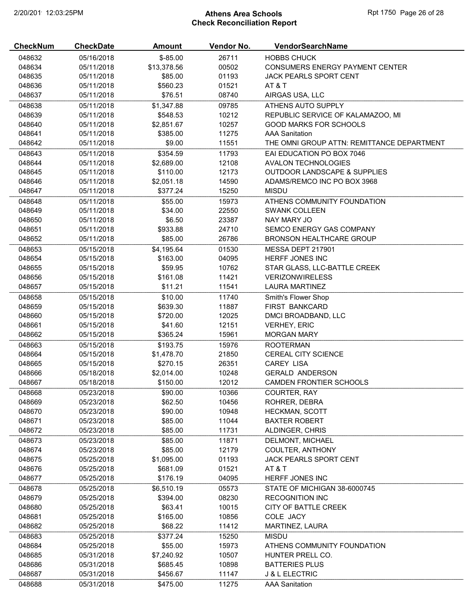# 2/20/2019 12:03:25PM **Athens Area Schools Rpt 1750 Page 26 of 28** Check Reconciliation Report

| <b>CheckNum</b> | <b>CheckDate</b> | <b>Amount</b> | Vendor No. | VendorSearchName                           |
|-----------------|------------------|---------------|------------|--------------------------------------------|
| 048632          | 05/16/2018       | $$-85.00$     | 26711      | <b>HOBBS CHUCK</b>                         |
| 048634          | 05/11/2018       | \$13,378.56   | 00502      | CONSUMERS ENERGY PAYMENT CENTER            |
| 048635          | 05/11/2018       | \$85.00       | 01193      | JACK PEARLS SPORT CENT                     |
| 048636          | 05/11/2018       | \$560.23      | 01521      | AT & T                                     |
| 048637          | 05/11/2018       | \$76.51       | 08740      | AIRGAS USA, LLC                            |
| 048638          | 05/11/2018       | \$1,347.88    | 09785      | ATHENS AUTO SUPPLY                         |
| 048639          | 05/11/2018       | \$548.53      | 10212      | REPUBLIC SERVICE OF KALAMAZOO, MI          |
| 048640          | 05/11/2018       | \$2,851.67    | 10257      | <b>GOOD MARKS FOR SCHOOLS</b>              |
| 048641          | 05/11/2018       | \$385.00      | 11275      | <b>AAA Sanitation</b>                      |
| 048642          | 05/11/2018       | \$9.00        | 11551      | THE OMNI GROUP ATTN: REMITTANCE DEPARTMENT |
| 048643          | 05/11/2018       | \$354.59      | 11793      | EAI EDUCATION PO BOX 7046                  |
| 048644          | 05/11/2018       | \$2,689.00    | 12108      | AVALON TECHNOLOGIES                        |
| 048645          | 05/11/2018       | \$110.00      | 12173      | <b>OUTDOOR LANDSCAPE &amp; SUPPLIES</b>    |
| 048646          | 05/11/2018       | \$2,051.18    | 14590      | ADAMS/REMCO INC PO BOX 3968                |
| 048647          | 05/11/2018       | \$377.24      | 15250      | <b>MISDU</b>                               |
| 048648          | 05/11/2018       | \$55.00       | 15973      | ATHENS COMMUNITY FOUNDATION                |
| 048649          | 05/11/2018       | \$34.00       | 22550      | <b>SWANK COLLEEN</b>                       |
| 048650          | 05/11/2018       | \$6.50        | 23387      | NAY MARY JO                                |
| 048651          | 05/11/2018       | \$933.88      | 24710      | SEMCO ENERGY GAS COMPANY                   |
| 048652          | 05/11/2018       | \$85.00       | 26786      | <b>BRONSON HEALTHCARE GROUP</b>            |
| 048653          | 05/15/2018       | \$4,195.64    | 01530      | MESSA DEPT 217901                          |
| 048654          | 05/15/2018       | \$163.00      | 04095      | HERFF JONES INC                            |
| 048655          | 05/15/2018       | \$59.95       | 10762      | STAR GLASS, LLC-BATTLE CREEK               |
| 048656          | 05/15/2018       | \$161.08      | 11421      | <b>VERIZONWIRELESS</b>                     |
| 048657          | 05/15/2018       | \$11.21       | 11541      | <b>LAURA MARTINEZ</b>                      |
| 048658          | 05/15/2018       | \$10.00       | 11740      | Smith's Flower Shop                        |
| 048659          | 05/15/2018       | \$639.30      | 11887      | FIRST BANKCARD                             |
| 048660          | 05/15/2018       | \$720.00      | 12025      | DMCI BROADBAND, LLC                        |
| 048661          | 05/15/2018       | \$41.60       | 12151      | <b>VERHEY, ERIC</b>                        |
| 048662          | 05/15/2018       | \$365.24      | 15961      | <b>MORGAN MARY</b>                         |
| 048663          | 05/15/2018       | \$193.75      | 15976      | <b>ROOTERMAN</b>                           |
| 048664          | 05/15/2018       | \$1,478.70    | 21850      | <b>CEREAL CITY SCIENCE</b>                 |
| 048665          | 05/15/2018       | \$270.15      | 26351      | CAREY LISA                                 |
| 048666          | 05/18/2018       | \$2,014.00    | 10248      | <b>GERALD ANDERSON</b>                     |
| 048667          | 05/18/2018       | \$150.00      | 12012      | <b>CAMDEN FRONTIER SCHOOLS</b>             |
| 048668          | 05/23/2018       | \$90.00       | 10366      | COURTER, RAY                               |
| 048669          | 05/23/2018       | \$62.50       | 10456      | ROHRER, DEBRA                              |
| 048670          | 05/23/2018       | \$90.00       | 10948      | <b>HECKMAN, SCOTT</b>                      |
| 048671          | 05/23/2018       | \$85.00       | 11044      | <b>BAXTER ROBERT</b>                       |
| 048672          | 05/23/2018       | \$85.00       | 11731      | ALDINGER, CHRIS                            |
| 048673          | 05/23/2018       | \$85.00       | 11871      | DELMONT, MICHAEL                           |
| 048674          | 05/23/2018       | \$85.00       | 12179      | COULTER, ANTHONY                           |
| 048675          | 05/25/2018       | \$1,095.00    | 01193      | JACK PEARLS SPORT CENT                     |
| 048676          | 05/25/2018       | \$681.09      | 01521      | AT & T                                     |
| 048677          | 05/25/2018       | \$176.19      | 04095      | HERFF JONES INC                            |
| 048678          | 05/25/2018       | \$6,510.19    | 05573      | STATE OF MICHIGAN 38-6000745               |
| 048679          | 05/25/2018       | \$394.00      | 08230      | <b>RECOGNITION INC</b>                     |
| 048680          | 05/25/2018       | \$63.41       | 10015      | CITY OF BATTLE CREEK                       |
| 048681          | 05/25/2018       | \$165.00      | 10856      | COLE JACY                                  |
| 048682          | 05/25/2018       | \$68.22       | 11412      | MARTINEZ, LAURA                            |
| 048683          | 05/25/2018       | \$377.24      | 15250      | <b>MISDU</b>                               |
| 048684          | 05/25/2018       | \$55.00       | 15973      | ATHENS COMMUNITY FOUNDATION                |
| 048685          | 05/31/2018       | \$7,240.92    | 10507      | HUNTER PRELL CO.                           |
| 048686          | 05/31/2018       | \$685.45      | 10898      | <b>BATTERIES PLUS</b>                      |
| 048687          | 05/31/2018       | \$456.67      | 11147      | <b>J &amp; L ELECTRIC</b>                  |
| 048688          | 05/31/2018       | \$475.00      | 11275      | <b>AAA Sanitation</b>                      |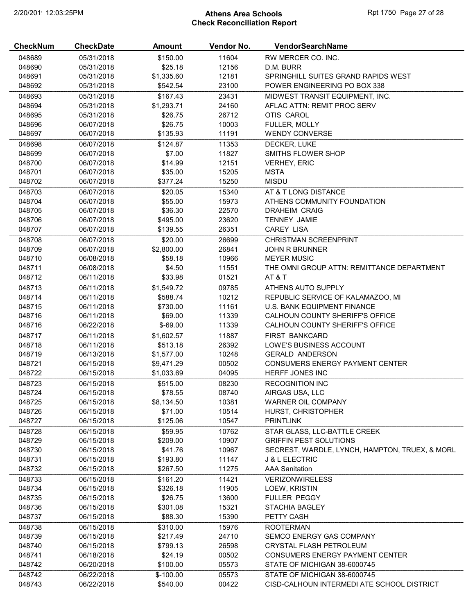# 2/20/2019 12:03:25PM **Athens Area Schools Rpt 1750 Page 27 of 28** Check Reconciliation Report

| <b>CheckNum</b> | <b>CheckDate</b> | <b>Amount</b> | Vendor No. | <b>VendorSearchName</b>                        |
|-----------------|------------------|---------------|------------|------------------------------------------------|
| 048689          | 05/31/2018       | \$150.00      | 11604      | RW MERCER CO. INC.                             |
| 048690          | 05/31/2018       | \$25.18       | 12156      | D.M. BURR                                      |
| 048691          | 05/31/2018       | \$1,335.60    | 12181      | SPRINGHILL SUITES GRAND RAPIDS WEST            |
| 048692          | 05/31/2018       | \$542.54      | 23100      | POWER ENGINEERING PO BOX 338                   |
| 048693          | 05/31/2018       | \$167.43      | 23431      | MIDWEST TRANSIT EQUIPMENT, INC.                |
| 048694          | 05/31/2018       | \$1,293.71    | 24160      | AFLAC ATTN: REMIT PROC SERV                    |
| 048695          | 05/31/2018       | \$26.75       | 26712      | OTIS CAROL                                     |
| 048696          | 06/07/2018       | \$26.75       | 10003      | FULLER, MOLLY                                  |
| 048697          | 06/07/2018       | \$135.93      | 11191      | <b>WENDY CONVERSE</b>                          |
| 048698          | 06/07/2018       | \$124.87      | 11353      | DECKER, LUKE                                   |
| 048699          | 06/07/2018       | \$7.00        | 11827      | SMITHS FLOWER SHOP                             |
| 048700          | 06/07/2018       | \$14.99       | 12151      | <b>VERHEY, ERIC</b>                            |
| 048701          | 06/07/2018       | \$35.00       | 15205      | <b>MSTA</b>                                    |
| 048702          | 06/07/2018       | \$377.24      | 15250      | <b>MISDU</b>                                   |
| 048703          | 06/07/2018       | \$20.05       | 15340      | AT & T LONG DISTANCE                           |
| 048704          | 06/07/2018       | \$55.00       | 15973      | ATHENS COMMUNITY FOUNDATION                    |
| 048705          | 06/07/2018       | \$36.30       | 22570      | <b>DRAHEIM CRAIG</b>                           |
| 048706          | 06/07/2018       | \$495.00      | 23620      | <b>TENNEY JAMIE</b>                            |
| 048707          | 06/07/2018       | \$139.55      | 26351      | <b>CAREY LISA</b>                              |
| 048708          | 06/07/2018       | \$20.00       | 26699      | <b>CHRISTMAN SCREENPRINT</b>                   |
| 048709          | 06/07/2018       | \$2,800.00    | 26841      | <b>JOHN R BRUNNER</b>                          |
| 048710          | 06/08/2018       | \$58.18       | 10966      | <b>MEYER MUSIC</b>                             |
| 048711          | 06/08/2018       | \$4.50        | 11551      | THE OMNI GROUP ATTN: REMITTANCE DEPARTMENT     |
| 048712          | 06/11/2018       | \$33.98       | 01521      | AT&T                                           |
| 048713          | 06/11/2018       | \$1,549.72    | 09785      | ATHENS AUTO SUPPLY                             |
| 048714          | 06/11/2018       | \$588.74      | 10212      | REPUBLIC SERVICE OF KALAMAZOO, MI              |
| 048715          | 06/11/2018       | \$730.00      | 11161      | U.S. BANK EQUIPMENT FINANCE                    |
| 048716          | 06/11/2018       | \$69.00       | 11339      | CALHOUN COUNTY SHERIFF'S OFFICE                |
| 048716          | 06/22/2018       | $$-69.00$     | 11339      | CALHOUN COUNTY SHERIFF'S OFFICE                |
| 048717          | 06/11/2018       | \$1,602.57    | 11887      | FIRST BANKCARD                                 |
| 048718          | 06/11/2018       | \$513.18      | 26392      | LOWE'S BUSINESS ACCOUNT                        |
| 048719          | 06/13/2018       | \$1,577.00    | 10248      | <b>GERALD ANDERSON</b>                         |
| 048721          | 06/15/2018       | \$9,471.29    | 00502      | CONSUMERS ENERGY PAYMENT CENTER                |
| 048722          | 06/15/2018       | \$1,033.69    | 04095      | <b>HERFF JONES INC</b>                         |
| 048723          | 06/15/2018       | \$515.00      | 08230      | <b>RECOGNITION INC</b>                         |
| 048724          | 06/15/2018       | \$78.55       | 08740      | AIRGAS USA, LLC                                |
| 048725          | 06/15/2018       | \$8,134.50    | 10381      | WARNER OIL COMPANY                             |
| 048726          | 06/15/2018       | \$71.00       | 10514      | <b>HURST, CHRISTOPHER</b>                      |
| 048727          | 06/15/2018       | \$125.06      | 10547      | <b>PRINTLINK</b>                               |
| 048728          | 06/15/2018       | \$59.95       | 10762      | STAR GLASS, LLC-BATTLE CREEK                   |
| 048729          | 06/15/2018       | \$209.00      | 10907      | <b>GRIFFIN PEST SOLUTIONS</b>                  |
| 048730          | 06/15/2018       | \$41.76       | 10967      | SECREST, WARDLE, LYNCH, HAMPTON, TRUEX, & MORL |
| 048731          | 06/15/2018       | \$193.80      | 11147      | J & L ELECTRIC                                 |
| 048732          | 06/15/2018       | \$267.50      | 11275      | <b>AAA Sanitation</b>                          |
| 048733          | 06/15/2018       | \$161.20      | 11421      | <b>VERIZONWIRELESS</b>                         |
| 048734          | 06/15/2018       | \$326.18      | 11905      | LOEW, KRISTIN                                  |
| 048735          | 06/15/2018       | \$26.75       | 13600      | <b>FULLER PEGGY</b>                            |
| 048736          | 06/15/2018       | \$301.08      | 15321      | <b>STACHIA BAGLEY</b>                          |
| 048737          | 06/15/2018       | \$88.30       | 15390      | PETTY CASH                                     |
| 048738          | 06/15/2018       | \$310.00      | 15976      | <b>ROOTERMAN</b>                               |
| 048739          | 06/15/2018       | \$217.49      | 24710      | SEMCO ENERGY GAS COMPANY                       |
| 048740          | 06/15/2018       | \$799.13      | 26598      | CRYSTAL FLASH PETROLEUM                        |
| 048741          | 06/18/2018       | \$24.19       | 00502      | CONSUMERS ENERGY PAYMENT CENTER                |
| 048742          | 06/20/2018       | \$100.00      | 05573      | STATE OF MICHIGAN 38-6000745                   |
| 048742          | 06/22/2018       | $$-100.00$    | 05573      | STATE OF MICHIGAN 38-6000745                   |
| 048743          | 06/22/2018       | \$540.00      | 00422      | CISD-CALHOUN INTERMEDI ATE SCHOOL DISTRICT     |